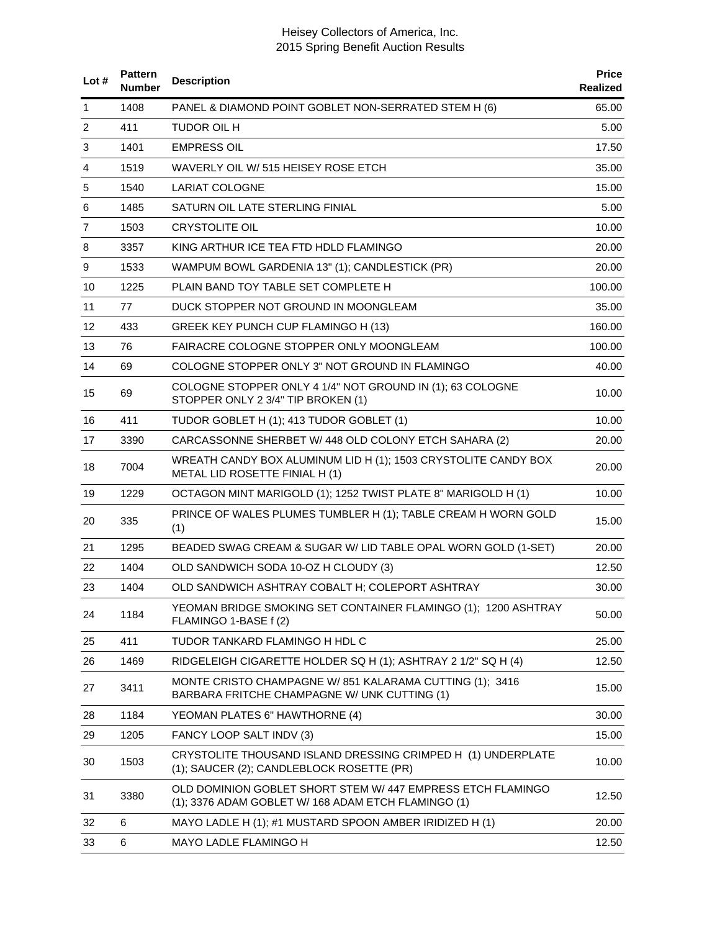| Lot $#$      | <b>Pattern</b><br><b>Number</b> | <b>Description</b>                                                                                                | <b>Price</b><br><b>Realized</b> |
|--------------|---------------------------------|-------------------------------------------------------------------------------------------------------------------|---------------------------------|
| $\mathbf{1}$ | 1408                            | PANEL & DIAMOND POINT GOBLET NON-SERRATED STEM H (6)                                                              | 65.00                           |
| 2            | 411                             | <b>TUDOR OIL H</b>                                                                                                | 5.00                            |
| 3            | 1401                            | <b>EMPRESS OIL</b>                                                                                                | 17.50                           |
| 4            | 1519                            | WAVERLY OIL W/515 HEISEY ROSE ETCH                                                                                | 35.00                           |
| 5            | 1540                            | <b>LARIAT COLOGNE</b>                                                                                             | 15.00                           |
| 6            | 1485                            | SATURN OIL LATE STERLING FINIAL                                                                                   | 5.00                            |
| 7            | 1503                            | <b>CRYSTOLITE OIL</b>                                                                                             | 10.00                           |
| 8            | 3357                            | KING ARTHUR ICE TEA FTD HDLD FLAMINGO                                                                             | 20.00                           |
| 9            | 1533                            | WAMPUM BOWL GARDENIA 13" (1); CANDLESTICK (PR)                                                                    | 20.00                           |
| 10           | 1225                            | PLAIN BAND TOY TABLE SET COMPLETE H                                                                               | 100.00                          |
| 11           | 77                              | DUCK STOPPER NOT GROUND IN MOONGLEAM                                                                              | 35.00                           |
| 12           | 433                             | GREEK KEY PUNCH CUP FLAMINGO H (13)                                                                               | 160.00                          |
| 13           | 76                              | FAIRACRE COLOGNE STOPPER ONLY MOONGLEAM                                                                           | 100.00                          |
| 14           | 69                              | COLOGNE STOPPER ONLY 3" NOT GROUND IN FLAMINGO                                                                    | 40.00                           |
| 15           | 69                              | COLOGNE STOPPER ONLY 4 1/4" NOT GROUND IN (1); 63 COLOGNE<br>STOPPER ONLY 2 3/4" TIP BROKEN (1)                   | 10.00                           |
| 16           | 411                             | TUDOR GOBLET H (1); 413 TUDOR GOBLET (1)                                                                          | 10.00                           |
| 17           | 3390                            | CARCASSONNE SHERBET W/ 448 OLD COLONY ETCH SAHARA (2)                                                             | 20.00                           |
| 18           | 7004                            | WREATH CANDY BOX ALUMINUM LID H (1); 1503 CRYSTOLITE CANDY BOX<br>METAL LID ROSETTE FINIAL H (1)                  | 20.00                           |
| 19           | 1229                            | OCTAGON MINT MARIGOLD (1); 1252 TWIST PLATE 8" MARIGOLD H (1)                                                     | 10.00                           |
| 20           | 335                             | PRINCE OF WALES PLUMES TUMBLER H (1); TABLE CREAM H WORN GOLD<br>(1)                                              | 15.00                           |
| 21           | 1295                            | BEADED SWAG CREAM & SUGAR W/ LID TABLE OPAL WORN GOLD (1-SET)                                                     | 20.00                           |
| 22           | 1404                            | OLD SANDWICH SODA 10-OZ H CLOUDY (3)                                                                              | 12.50                           |
| 23           | 1404                            | OLD SANDWICH ASHTRAY COBALT H; COLEPORT ASHTRAY                                                                   | 30.00                           |
| 24           | 1184                            | YEOMAN BRIDGE SMOKING SET CONTAINER FLAMINGO (1); 1200 ASHTRAY<br>FLAMINGO 1-BASE f (2)                           | 50.00                           |
| 25           | 411                             | TUDOR TANKARD FLAMINGO H HDL C                                                                                    | 25.00                           |
| 26           | 1469                            | RIDGELEIGH CIGARETTE HOLDER SQ H (1); ASHTRAY 2 1/2" SQ H (4)                                                     | 12.50                           |
| 27           | 3411                            | MONTE CRISTO CHAMPAGNE W/851 KALARAMA CUTTING (1); 3416<br>BARBARA FRITCHE CHAMPAGNE W/ UNK CUTTING (1)           | 15.00                           |
| 28           | 1184                            | YEOMAN PLATES 6" HAWTHORNE (4)                                                                                    | 30.00                           |
| 29           | 1205                            | FANCY LOOP SALT INDV (3)                                                                                          | 15.00                           |
| 30           | 1503                            | CRYSTOLITE THOUSAND ISLAND DRESSING CRIMPED H (1) UNDERPLATE<br>(1); SAUCER (2); CANDLEBLOCK ROSETTE (PR)         | 10.00                           |
| 31           | 3380                            | OLD DOMINION GOBLET SHORT STEM W/447 EMPRESS ETCH FLAMINGO<br>(1); 3376 ADAM GOBLET W/ 168 ADAM ETCH FLAMINGO (1) | 12.50                           |
| 32           | 6                               | MAYO LADLE H (1); #1 MUSTARD SPOON AMBER IRIDIZED H (1)                                                           | 20.00                           |
| 33           | 6                               | MAYO LADLE FLAMINGO H                                                                                             | 12.50                           |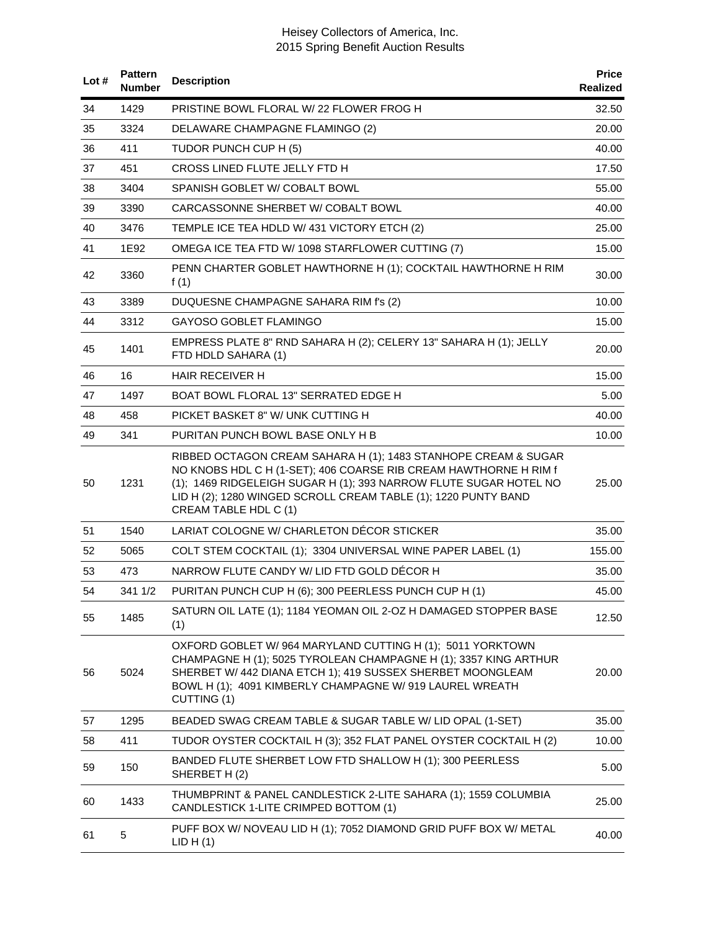| Lot # | <b>Pattern</b><br><b>Number</b> | <b>Description</b>                                                                                                                                                                                                                                                                                 | <b>Price</b><br>Realized |
|-------|---------------------------------|----------------------------------------------------------------------------------------------------------------------------------------------------------------------------------------------------------------------------------------------------------------------------------------------------|--------------------------|
| 34    | 1429                            | PRISTINE BOWL FLORAL W/ 22 FLOWER FROG H                                                                                                                                                                                                                                                           | 32.50                    |
| 35    | 3324                            | DELAWARE CHAMPAGNE FLAMINGO (2)                                                                                                                                                                                                                                                                    | 20.00                    |
| 36    | 411                             | TUDOR PUNCH CUP H (5)                                                                                                                                                                                                                                                                              | 40.00                    |
| 37    | 451                             | CROSS LINED FLUTE JELLY FTD H                                                                                                                                                                                                                                                                      | 17.50                    |
| 38    | 3404                            | SPANISH GOBLET W/ COBALT BOWL                                                                                                                                                                                                                                                                      | 55.00                    |
| 39    | 3390                            | CARCASSONNE SHERBET W/ COBALT BOWL                                                                                                                                                                                                                                                                 | 40.00                    |
| 40    | 3476                            | TEMPLE ICE TEA HDLD W/ 431 VICTORY ETCH (2)                                                                                                                                                                                                                                                        | 25.00                    |
| 41    | 1E92                            | OMEGA ICE TEA FTD W/ 1098 STARFLOWER CUTTING (7)                                                                                                                                                                                                                                                   | 15.00                    |
| 42    | 3360                            | PENN CHARTER GOBLET HAWTHORNE H (1); COCKTAIL HAWTHORNE H RIM<br>f(1)                                                                                                                                                                                                                              | 30.00                    |
| 43    | 3389                            | DUQUESNE CHAMPAGNE SAHARA RIM f's (2)                                                                                                                                                                                                                                                              | 10.00                    |
| 44    | 3312                            | GAYOSO GOBLET FLAMINGO                                                                                                                                                                                                                                                                             | 15.00                    |
| 45    | 1401                            | EMPRESS PLATE 8" RND SAHARA H (2); CELERY 13" SAHARA H (1); JELLY<br>FTD HDLD SAHARA (1)                                                                                                                                                                                                           | 20.00                    |
| 46    | 16                              | <b>HAIR RECEIVER H</b>                                                                                                                                                                                                                                                                             | 15.00                    |
| 47    | 1497                            | BOAT BOWL FLORAL 13" SERRATED EDGE H                                                                                                                                                                                                                                                               | 5.00                     |
| 48    | 458                             | PICKET BASKET 8" W/ UNK CUTTING H                                                                                                                                                                                                                                                                  | 40.00                    |
| 49    | 341                             | PURITAN PUNCH BOWL BASE ONLY H B                                                                                                                                                                                                                                                                   | 10.00                    |
| 50    | 1231                            | RIBBED OCTAGON CREAM SAHARA H (1); 1483 STANHOPE CREAM & SUGAR<br>NO KNOBS HDL C H (1-SET); 406 COARSE RIB CREAM HAWTHORNE H RIM f<br>(1); 1469 RIDGELEIGH SUGAR H (1); 393 NARROW FLUTE SUGAR HOTEL NO<br>LID H (2); 1280 WINGED SCROLL CREAM TABLE (1); 1220 PUNTY BAND<br>CREAM TABLE HDL C (1) | 25.00                    |
| 51    | 1540                            | LARIAT COLOGNE W/ CHARLETON DÉCOR STICKER                                                                                                                                                                                                                                                          | 35.00                    |
| 52    | 5065                            | COLT STEM COCKTAIL (1); 3304 UNIVERSAL WINE PAPER LABEL (1)                                                                                                                                                                                                                                        | 155.00                   |
| 53    | 473                             | NARROW FLUTE CANDY W/ LID FTD GOLD DÉCOR H                                                                                                                                                                                                                                                         | 35.00                    |
| 54    | 341 1/2                         | PURITAN PUNCH CUP H (6); 300 PEERLESS PUNCH CUP H (1)                                                                                                                                                                                                                                              | 45.00                    |
| 55    | 1485                            | SATURN OIL LATE (1); 1184 YEOMAN OIL 2-OZ H DAMAGED STOPPER BASE<br>(1)                                                                                                                                                                                                                            | 12.50                    |
| 56    | 5024                            | OXFORD GOBLET W/ 964 MARYLAND CUTTING H (1); 5011 YORKTOWN<br>CHAMPAGNE H (1); 5025 TYROLEAN CHAMPAGNE H (1); 3357 KING ARTHUR<br>SHERBET W/ 442 DIANA ETCH 1); 419 SUSSEX SHERBET MOONGLEAM<br>BOWL H (1); 4091 KIMBERLY CHAMPAGNE W/ 919 LAUREL WREATH<br>CUTTING (1)                            | 20.00                    |
| 57    | 1295                            | BEADED SWAG CREAM TABLE & SUGAR TABLE W/ LID OPAL (1-SET)                                                                                                                                                                                                                                          | 35.00                    |
| 58    | 411                             | TUDOR OYSTER COCKTAIL H (3); 352 FLAT PANEL OYSTER COCKTAIL H (2)                                                                                                                                                                                                                                  | 10.00                    |
| 59    | 150                             | BANDED FLUTE SHERBET LOW FTD SHALLOW H (1); 300 PEERLESS<br>SHERBET H(2)                                                                                                                                                                                                                           | 5.00                     |
| 60    | 1433                            | THUMBPRINT & PANEL CANDLESTICK 2-LITE SAHARA (1); 1559 COLUMBIA<br>CANDLESTICK 1-LITE CRIMPED BOTTOM (1)                                                                                                                                                                                           | 25.00                    |
| 61    | 5                               | PUFF BOX W/ NOVEAU LID H (1); 7052 DIAMOND GRID PUFF BOX W/ METAL<br>LID H(1)                                                                                                                                                                                                                      | 40.00                    |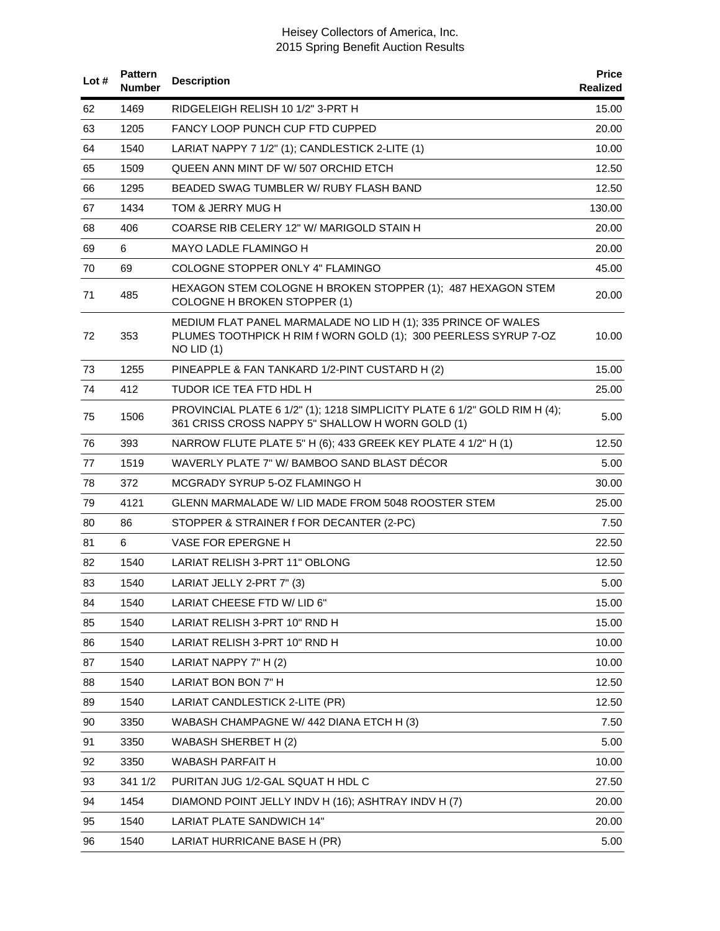| Lot# | <b>Pattern</b><br><b>Number</b> | <b>Description</b>                                                                                                                                 | <b>Price</b><br>Realized |
|------|---------------------------------|----------------------------------------------------------------------------------------------------------------------------------------------------|--------------------------|
| 62   | 1469                            | RIDGELEIGH RELISH 10 1/2" 3-PRT H                                                                                                                  | 15.00                    |
| 63   | 1205                            | <b>FANCY LOOP PUNCH CUP FTD CUPPED</b>                                                                                                             | 20.00                    |
| 64   | 1540                            | LARIAT NAPPY 7 1/2" (1); CANDLESTICK 2-LITE (1)                                                                                                    | 10.00                    |
| 65   | 1509                            | QUEEN ANN MINT DF W/ 507 ORCHID ETCH                                                                                                               | 12.50                    |
| 66   | 1295                            | BEADED SWAG TUMBLER W/ RUBY FLASH BAND                                                                                                             | 12.50                    |
| 67   | 1434                            | TOM & JERRY MUG H                                                                                                                                  | 130.00                   |
| 68   | 406                             | COARSE RIB CELERY 12" W/ MARIGOLD STAIN H                                                                                                          | 20.00                    |
| 69   | 6                               | <b>MAYO LADLE FLAMINGO H</b>                                                                                                                       | 20.00                    |
| 70   | 69                              | COLOGNE STOPPER ONLY 4" FLAMINGO                                                                                                                   | 45.00                    |
| 71   | 485                             | HEXAGON STEM COLOGNE H BROKEN STOPPER (1); 487 HEXAGON STEM<br>COLOGNE H BROKEN STOPPER (1)                                                        | 20.00                    |
| 72   | 353                             | MEDIUM FLAT PANEL MARMALADE NO LID H (1); 335 PRINCE OF WALES<br>PLUMES TOOTHPICK H RIM f WORN GOLD (1); 300 PEERLESS SYRUP 7-OZ<br>$NO$ LID $(1)$ | 10.00                    |
| 73   | 1255                            | PINEAPPLE & FAN TANKARD 1/2-PINT CUSTARD H (2)                                                                                                     | 15.00                    |
| 74   | 412                             | TUDOR ICE TEA FTD HDL H                                                                                                                            | 25.00                    |
| 75   | 1506                            | PROVINCIAL PLATE 6 1/2" (1); 1218 SIMPLICITY PLATE 6 1/2" GOLD RIM H (4);<br>361 CRISS CROSS NAPPY 5" SHALLOW H WORN GOLD (1)                      | 5.00                     |
| 76   | 393                             | NARROW FLUTE PLATE 5" H (6); 433 GREEK KEY PLATE 4 1/2" H (1)                                                                                      | 12.50                    |
| 77   | 1519                            | WAVERLY PLATE 7" W/ BAMBOO SAND BLAST DECOR                                                                                                        | 5.00                     |
| 78   | 372                             | MCGRADY SYRUP 5-OZ FLAMINGO H                                                                                                                      | 30.00                    |
| 79   | 4121                            | GLENN MARMALADE W/ LID MADE FROM 5048 ROOSTER STEM                                                                                                 | 25.00                    |
| 80   | 86                              | STOPPER & STRAINER f FOR DECANTER (2-PC)                                                                                                           | 7.50                     |
| 81   | 6                               | VASE FOR EPERGNE H                                                                                                                                 | 22.50                    |
| 82   | 1540                            | LARIAT RELISH 3-PRT 11" OBLONG                                                                                                                     | 12.50                    |
| 83   | 1540                            | LARIAT JELLY 2-PRT 7" (3)                                                                                                                          | 5.00                     |
| 84   | 1540                            | LARIAT CHEESE FTD W/ LID 6"                                                                                                                        | 15.00                    |
| 85   | 1540                            | LARIAT RELISH 3-PRT 10" RND H                                                                                                                      | 15.00                    |
| 86   | 1540                            | LARIAT RELISH 3-PRT 10" RND H                                                                                                                      | 10.00                    |
| 87   | 1540                            | LARIAT NAPPY 7" H (2)                                                                                                                              | 10.00                    |
| 88   | 1540                            | LARIAT BON BON 7" H                                                                                                                                | 12.50                    |
| 89   | 1540                            | LARIAT CANDLESTICK 2-LITE (PR)                                                                                                                     | 12.50                    |
| 90   | 3350                            | WABASH CHAMPAGNE W/ 442 DIANA ETCH H (3)                                                                                                           | 7.50                     |
| 91   | 3350                            | WABASH SHERBET H (2)                                                                                                                               | 5.00                     |
| 92   | 3350                            | WABASH PARFAIT H                                                                                                                                   | 10.00                    |
| 93   | 341 1/2                         | PURITAN JUG 1/2-GAL SQUAT H HDL C                                                                                                                  | 27.50                    |
| 94   | 1454                            | DIAMOND POINT JELLY INDV H (16); ASHTRAY INDV H (7)                                                                                                | 20.00                    |
| 95   | 1540                            | LARIAT PLATE SANDWICH 14"                                                                                                                          | 20.00                    |
| 96   | 1540                            | LARIAT HURRICANE BASE H (PR)                                                                                                                       | 5.00                     |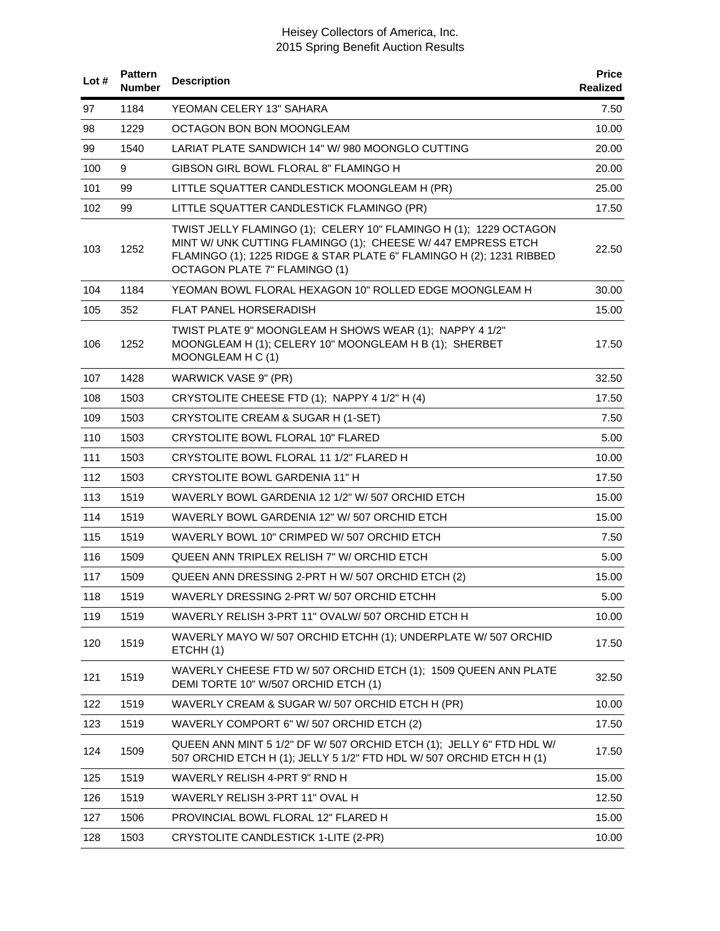| Lot $#$ | <b>Pattern</b><br><b>Number</b> | <b>Description</b>                                                                                                                                                                                                                         | <b>Price</b><br>Realized |
|---------|---------------------------------|--------------------------------------------------------------------------------------------------------------------------------------------------------------------------------------------------------------------------------------------|--------------------------|
| 97      | 1184                            | YEOMAN CELERY 13" SAHARA                                                                                                                                                                                                                   | 7.50                     |
| 98      | 1229                            | OCTAGON BON BON MOONGLEAM                                                                                                                                                                                                                  | 10.00                    |
| 99      | 1540                            | LARIAT PLATE SANDWICH 14" W/ 980 MOONGLO CUTTING                                                                                                                                                                                           | 20.00                    |
| 100     | 9                               | GIBSON GIRL BOWL FLORAL 8" FLAMINGO H                                                                                                                                                                                                      | 20.00                    |
| 101     | 99                              | LITTLE SQUATTER CANDLESTICK MOONGLEAM H (PR)                                                                                                                                                                                               | 25.00                    |
| 102     | 99                              | LITTLE SQUATTER CANDLESTICK FLAMINGO (PR)                                                                                                                                                                                                  | 17.50                    |
| 103     | 1252                            | TWIST JELLY FLAMINGO (1); CELERY 10" FLAMINGO H (1); 1229 OCTAGON<br>MINT W/ UNK CUTTING FLAMINGO (1); CHEESE W/ 447 EMPRESS ETCH<br>FLAMINGO (1); 1225 RIDGE & STAR PLATE 6" FLAMINGO H (2); 1231 RIBBED<br>OCTAGON PLATE 7" FLAMINGO (1) | 22.50                    |
| 104     | 1184                            | YEOMAN BOWL FLORAL HEXAGON 10" ROLLED EDGE MOONGLEAM H                                                                                                                                                                                     | 30.00                    |
| 105     | 352                             | FLAT PANEL HORSERADISH                                                                                                                                                                                                                     | 15.00                    |
| 106     | 1252                            | TWIST PLATE 9" MOONGLEAM H SHOWS WEAR (1); NAPPY 4 1/2"<br>MOONGLEAM H (1); CELERY 10" MOONGLEAM H B (1); SHERBET<br>MOONGLEAM H C (1)                                                                                                     | 17.50                    |
| 107     | 1428                            | WARWICK VASE 9" (PR)                                                                                                                                                                                                                       | 32.50                    |
| 108     | 1503                            | CRYSTOLITE CHEESE FTD (1); NAPPY 4 1/2" H (4)                                                                                                                                                                                              | 17.50                    |
| 109     | 1503                            | CRYSTOLITE CREAM & SUGAR H (1-SET)                                                                                                                                                                                                         | 7.50                     |
| 110     | 1503                            | CRYSTOLITE BOWL FLORAL 10" FLARED                                                                                                                                                                                                          | 5.00                     |
| 111     | 1503                            | CRYSTOLITE BOWL FLORAL 11 1/2" FLARED H                                                                                                                                                                                                    | 10.00                    |
| 112     | 1503                            | CRYSTOLITE BOWL GARDENIA 11" H                                                                                                                                                                                                             | 17.50                    |
| 113     | 1519                            | WAVERLY BOWL GARDENIA 12 1/2" W/ 507 ORCHID ETCH                                                                                                                                                                                           | 15.00                    |
| 114     | 1519                            | WAVERLY BOWL GARDENIA 12" W/ 507 ORCHID ETCH                                                                                                                                                                                               | 15.00                    |
| 115     | 1519                            | WAVERLY BOWL 10" CRIMPED W/ 507 ORCHID ETCH                                                                                                                                                                                                | 7.50                     |
| 116     | 1509                            | QUEEN ANN TRIPLEX RELISH 7" W/ ORCHID ETCH                                                                                                                                                                                                 | 5.00                     |
| 117     | 1509                            | QUEEN ANN DRESSING 2-PRT H W/ 507 ORCHID ETCH (2)                                                                                                                                                                                          | 15.00                    |
| 118     | 1519                            | WAVERLY DRESSING 2-PRT W/ 507 ORCHID ETCHH                                                                                                                                                                                                 | 5.00                     |
| 119     | 1519                            | WAVERLY RELISH 3-PRT 11" OVALW/ 507 ORCHID ETCH H                                                                                                                                                                                          | 10.00                    |
| 120     | 1519                            | WAVERLY MAYO W/ 507 ORCHID ETCHH (1); UNDERPLATE W/ 507 ORCHID<br>ETCHH(1)                                                                                                                                                                 | 17.50                    |
| 121     | 1519                            | WAVERLY CHEESE FTD W/ 507 ORCHID ETCH (1); 1509 QUEEN ANN PLATE<br>DEMI TORTE 10" W/507 ORCHID ETCH (1)                                                                                                                                    | 32.50                    |
| 122     | 1519                            | WAVERLY CREAM & SUGAR W/ 507 ORCHID ETCH H (PR)                                                                                                                                                                                            | 10.00                    |
| 123     | 1519                            | WAVERLY COMPORT 6" W/ 507 ORCHID ETCH (2)                                                                                                                                                                                                  | 17.50                    |
| 124     | 1509                            | QUEEN ANN MINT 5 1/2" DF W/ 507 ORCHID ETCH (1); JELLY 6" FTD HDL W/<br>507 ORCHID ETCH H (1); JELLY 5 1/2" FTD HDL W/ 507 ORCHID ETCH H (1)                                                                                               | 17.50                    |
| 125     | 1519                            | WAVERLY RELISH 4-PRT 9" RND H                                                                                                                                                                                                              | 15.00                    |
| 126     | 1519                            | WAVERLY RELISH 3-PRT 11" OVAL H                                                                                                                                                                                                            | 12.50                    |
| 127     | 1506                            | PROVINCIAL BOWL FLORAL 12" FLARED H                                                                                                                                                                                                        | 15.00                    |
| 128     | 1503                            | CRYSTOLITE CANDLESTICK 1-LITE (2-PR)                                                                                                                                                                                                       | 10.00                    |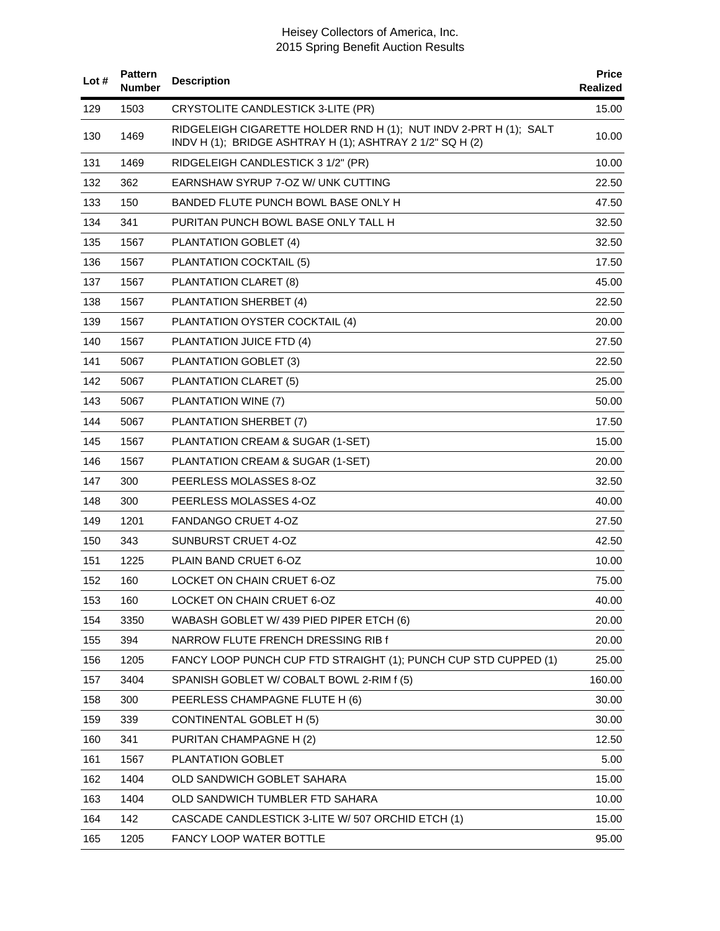| Lot# | <b>Pattern</b><br><b>Number</b> | <b>Description</b>                                                                                                             | <b>Price</b><br><b>Realized</b> |
|------|---------------------------------|--------------------------------------------------------------------------------------------------------------------------------|---------------------------------|
| 129  | 1503                            | CRYSTOLITE CANDLESTICK 3-LITE (PR)                                                                                             | 15.00                           |
| 130  | 1469                            | RIDGELEIGH CIGARETTE HOLDER RND H (1); NUT INDV 2-PRT H (1); SALT<br>INDV H (1); BRIDGE ASHTRAY H (1); ASHTRAY 2 1/2" SQ H (2) | 10.00                           |
| 131  | 1469                            | RIDGELEIGH CANDLESTICK 3 1/2" (PR)                                                                                             | 10.00                           |
| 132  | 362                             | EARNSHAW SYRUP 7-OZ W/ UNK CUTTING                                                                                             | 22.50                           |
| 133  | 150                             | BANDED FLUTE PUNCH BOWL BASE ONLY H                                                                                            | 47.50                           |
| 134  | 341                             | PURITAN PUNCH BOWL BASE ONLY TALL H                                                                                            | 32.50                           |
| 135  | 1567                            | PLANTATION GOBLET (4)                                                                                                          | 32.50                           |
| 136  | 1567                            | PLANTATION COCKTAIL (5)                                                                                                        | 17.50                           |
| 137  | 1567                            | PLANTATION CLARET (8)                                                                                                          | 45.00                           |
| 138  | 1567                            | PLANTATION SHERBET (4)                                                                                                         | 22.50                           |
| 139  | 1567                            | PLANTATION OYSTER COCKTAIL (4)                                                                                                 | 20.00                           |
| 140  | 1567                            | PLANTATION JUICE FTD (4)                                                                                                       | 27.50                           |
| 141  | 5067                            | PLANTATION GOBLET (3)                                                                                                          | 22.50                           |
| 142  | 5067                            | PLANTATION CLARET (5)                                                                                                          | 25.00                           |
| 143  | 5067                            | PLANTATION WINE (7)                                                                                                            | 50.00                           |
| 144  | 5067                            | PLANTATION SHERBET (7)                                                                                                         | 17.50                           |
| 145  | 1567                            | PLANTATION CREAM & SUGAR (1-SET)                                                                                               | 15.00                           |
| 146  | 1567                            | PLANTATION CREAM & SUGAR (1-SET)                                                                                               | 20.00                           |
| 147  | 300                             | PEERLESS MOLASSES 8-OZ                                                                                                         | 32.50                           |
| 148  | 300                             | PEERLESS MOLASSES 4-OZ                                                                                                         | 40.00                           |
| 149  | 1201                            | <b>FANDANGO CRUET 4-OZ</b>                                                                                                     | 27.50                           |
| 150  | 343                             | SUNBURST CRUET 4-OZ                                                                                                            | 42.50                           |
| 151  | 1225                            | PLAIN BAND CRUET 6-OZ                                                                                                          | 10.00                           |
| 152  | 160                             | LOCKET ON CHAIN CRUET 6-OZ                                                                                                     | 75.00                           |
| 153  | 160                             | LOCKET ON CHAIN CRUET 6-OZ                                                                                                     | 40.00                           |
| 154  | 3350                            | WABASH GOBLET W/ 439 PIED PIPER ETCH (6)                                                                                       | 20.00                           |
| 155  | 394                             | NARROW FLUTE FRENCH DRESSING RIB f                                                                                             | 20.00                           |
| 156  | 1205                            | FANCY LOOP PUNCH CUP FTD STRAIGHT (1); PUNCH CUP STD CUPPED (1)                                                                | 25.00                           |
| 157  | 3404                            | SPANISH GOBLET W/ COBALT BOWL 2-RIM f (5)                                                                                      | 160.00                          |
| 158  | 300                             | PEERLESS CHAMPAGNE FLUTE H (6)                                                                                                 | 30.00                           |
| 159  | 339                             | <b>CONTINENTAL GOBLET H (5)</b>                                                                                                | 30.00                           |
| 160  | 341                             | PURITAN CHAMPAGNE H (2)                                                                                                        | 12.50                           |
| 161  | 1567                            | PLANTATION GOBLET                                                                                                              | 5.00                            |
| 162  | 1404                            | OLD SANDWICH GOBLET SAHARA                                                                                                     | 15.00                           |
| 163  | 1404                            | OLD SANDWICH TUMBLER FTD SAHARA                                                                                                | 10.00                           |
| 164  | 142                             | CASCADE CANDLESTICK 3-LITE W/ 507 ORCHID ETCH (1)                                                                              | 15.00                           |
| 165  | 1205                            | FANCY LOOP WATER BOTTLE                                                                                                        | 95.00                           |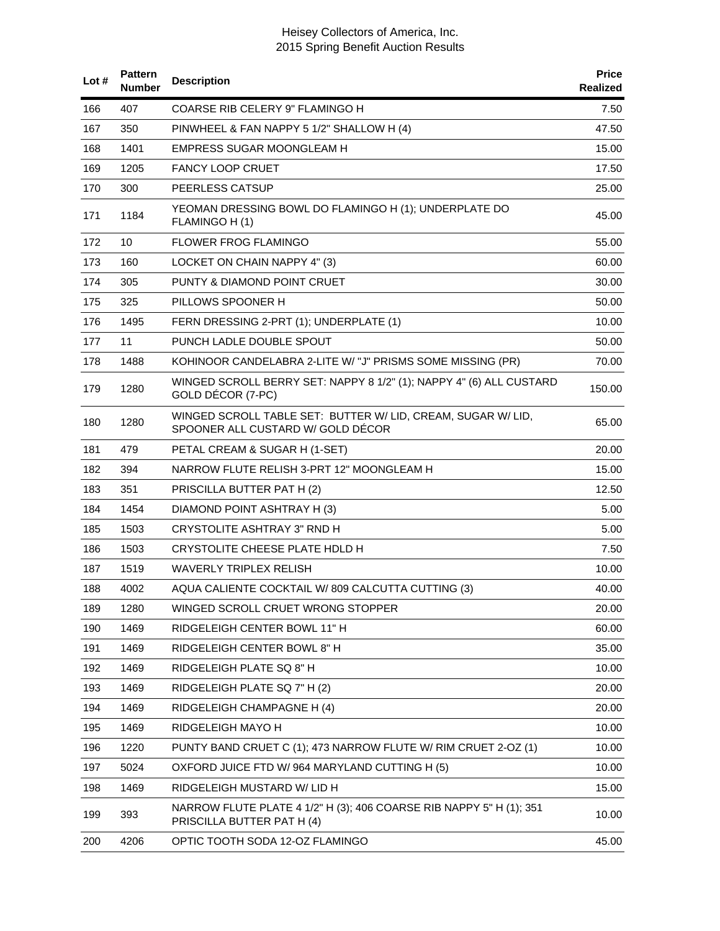| Lot# | <b>Pattern</b><br><b>Number</b> | <b>Description</b>                                                                                | <b>Price</b><br>Realized |
|------|---------------------------------|---------------------------------------------------------------------------------------------------|--------------------------|
| 166  | 407                             | COARSE RIB CELERY 9" FLAMINGO H                                                                   | 7.50                     |
| 167  | 350                             | PINWHEEL & FAN NAPPY 5 1/2" SHALLOW H (4)                                                         | 47.50                    |
| 168  | 1401                            | EMPRESS SUGAR MOONGLEAM H                                                                         | 15.00                    |
| 169  | 1205                            | <b>FANCY LOOP CRUET</b>                                                                           | 17.50                    |
| 170  | 300                             | PEERLESS CATSUP                                                                                   | 25.00                    |
| 171  | 1184                            | YEOMAN DRESSING BOWL DO FLAMINGO H (1); UNDERPLATE DO<br>FLAMINGO H (1)                           | 45.00                    |
| 172  | 10                              | <b>FLOWER FROG FLAMINGO</b>                                                                       | 55.00                    |
| 173  | 160                             | LOCKET ON CHAIN NAPPY 4" (3)                                                                      | 60.00                    |
| 174  | 305                             | PUNTY & DIAMOND POINT CRUET                                                                       | 30.00                    |
| 175  | 325                             | PILLOWS SPOONER H                                                                                 | 50.00                    |
| 176  | 1495                            | FERN DRESSING 2-PRT (1); UNDERPLATE (1)                                                           | 10.00                    |
| 177  | 11                              | PUNCH LADLE DOUBLE SPOUT                                                                          | 50.00                    |
| 178  | 1488                            | KOHINOOR CANDELABRA 2-LITE W/ "J" PRISMS SOME MISSING (PR)                                        | 70.00                    |
| 179  | 1280                            | WINGED SCROLL BERRY SET: NAPPY 8 1/2" (1); NAPPY 4" (6) ALL CUSTARD<br>GOLD DÉCOR (7-PC)          | 150.00                   |
| 180  | 1280                            | WINGED SCROLL TABLE SET: BUTTER W/ LID, CREAM, SUGAR W/ LID,<br>SPOONER ALL CUSTARD W/ GOLD DÉCOR | 65.00                    |
| 181  | 479                             | PETAL CREAM & SUGAR H (1-SET)                                                                     | 20.00                    |
| 182  | 394                             | NARROW FLUTE RELISH 3-PRT 12" MOONGLEAM H                                                         | 15.00                    |
| 183  | 351                             | PRISCILLA BUTTER PAT H (2)                                                                        | 12.50                    |
| 184  | 1454                            | DIAMOND POINT ASHTRAY H (3)                                                                       | 5.00                     |
| 185  | 1503                            | CRYSTOLITE ASHTRAY 3" RND H                                                                       | 5.00                     |
| 186  | 1503                            | CRYSTOLITE CHEESE PLATE HDLD H                                                                    | 7.50                     |
| 187  | 1519                            | WAVERLY TRIPLEX RELISH                                                                            | 10.00                    |
| 188  | 4002                            | AQUA CALIENTE COCKTAIL W/809 CALCUTTA CUTTING (3)                                                 | 40.00                    |
| 189  | 1280                            | WINGED SCROLL CRUET WRONG STOPPER                                                                 | 20.00                    |
| 190  | 1469                            | RIDGELEIGH CENTER BOWL 11" H                                                                      | 60.00                    |
| 191  | 1469                            | RIDGELEIGH CENTER BOWL 8" H                                                                       | 35.00                    |
| 192  | 1469                            | RIDGELEIGH PLATE SQ 8" H                                                                          | 10.00                    |
| 193  | 1469                            | RIDGELEIGH PLATE SQ 7" H (2)                                                                      | 20.00                    |
| 194  | 1469                            | RIDGELEIGH CHAMPAGNE H (4)                                                                        | 20.00                    |
| 195  | 1469                            | RIDGELEIGH MAYO H                                                                                 | 10.00                    |
| 196  | 1220                            | PUNTY BAND CRUET C (1); 473 NARROW FLUTE W/ RIM CRUET 2-OZ (1)                                    | 10.00                    |
| 197  | 5024                            | OXFORD JUICE FTD W/964 MARYLAND CUTTING H (5)                                                     | 10.00                    |
| 198  | 1469                            | RIDGELEIGH MUSTARD W/ LID H                                                                       | 15.00                    |
| 199  | 393                             | NARROW FLUTE PLATE 4 1/2" H (3); 406 COARSE RIB NAPPY 5" H (1); 351<br>PRISCILLA BUTTER PAT H (4) | 10.00                    |
| 200  | 4206                            | OPTIC TOOTH SODA 12-OZ FLAMINGO                                                                   | 45.00                    |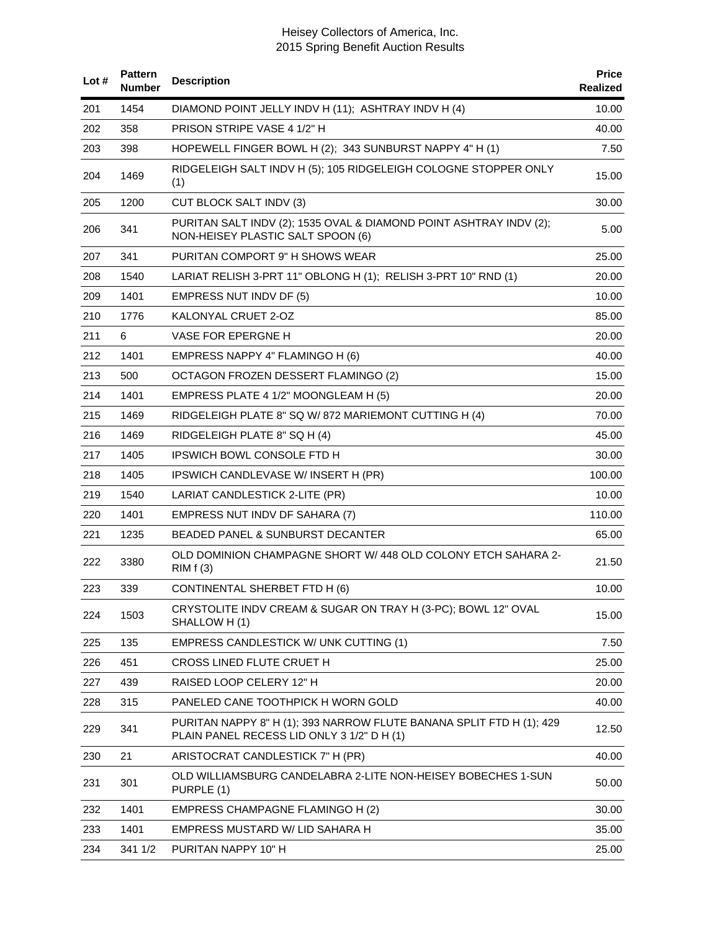| Lot# | <b>Pattern</b><br><b>Number</b> | <b>Description</b>                                                                                                 | <b>Price</b><br>Realized |
|------|---------------------------------|--------------------------------------------------------------------------------------------------------------------|--------------------------|
| 201  | 1454                            | DIAMOND POINT JELLY INDV H (11); ASHTRAY INDV H (4)                                                                | 10.00                    |
| 202  | 358                             | PRISON STRIPE VASE 4 1/2" H                                                                                        | 40.00                    |
| 203  | 398                             | HOPEWELL FINGER BOWL H (2); 343 SUNBURST NAPPY 4" H (1)                                                            | 7.50                     |
| 204  | 1469                            | RIDGELEIGH SALT INDV H (5); 105 RIDGELEIGH COLOGNE STOPPER ONLY<br>(1)                                             | 15.00                    |
| 205  | 1200                            | <b>CUT BLOCK SALT INDV (3)</b>                                                                                     | 30.00                    |
| 206  | 341                             | PURITAN SALT INDV (2); 1535 OVAL & DIAMOND POINT ASHTRAY INDV (2);<br>NON-HEISEY PLASTIC SALT SPOON (6)            | 5.00                     |
| 207  | 341                             | PURITAN COMPORT 9" H SHOWS WEAR                                                                                    | 25.00                    |
| 208  | 1540                            | LARIAT RELISH 3-PRT 11" OBLONG H (1); RELISH 3-PRT 10" RND (1)                                                     | 20.00                    |
| 209  | 1401                            | EMPRESS NUT INDV DF (5)                                                                                            | 10.00                    |
| 210  | 1776                            | KALONYAL CRUET 2-OZ                                                                                                | 85.00                    |
| 211  | 6                               | VASE FOR EPERGNE H                                                                                                 | 20.00                    |
| 212  | 1401                            | EMPRESS NAPPY 4" FLAMINGO H (6)                                                                                    | 40.00                    |
| 213  | 500                             | OCTAGON FROZEN DESSERT FLAMINGO (2)                                                                                | 15.00                    |
| 214  | 1401                            | EMPRESS PLATE 4 1/2" MOONGLEAM H (5)                                                                               | 20.00                    |
| 215  | 1469                            | RIDGELEIGH PLATE 8" SQ W/ 872 MARIEMONT CUTTING H (4)                                                              | 70.00                    |
| 216  | 1469                            | RIDGELEIGH PLATE 8" SQ H (4)                                                                                       | 45.00                    |
| 217  | 1405                            | <b>IPSWICH BOWL CONSOLE FTD H</b>                                                                                  | 30.00                    |
| 218  | 1405                            | IPSWICH CANDLEVASE W/INSERT H (PR)                                                                                 | 100.00                   |
| 219  | 1540                            | LARIAT CANDLESTICK 2-LITE (PR)                                                                                     | 10.00                    |
| 220  | 1401                            | EMPRESS NUT INDV DF SAHARA (7)                                                                                     | 110.00                   |
| 221  | 1235                            | BEADED PANEL & SUNBURST DECANTER                                                                                   | 65.00                    |
| 222  | 3380                            | OLD DOMINION CHAMPAGNE SHORT W/ 448 OLD COLONY ETCH SAHARA 2-<br>RIMf(3)                                           | 21.50                    |
| 223  | 339                             | <b>CONTINENTAL SHERBET FTD H (6)</b>                                                                               | 10.00                    |
| 224  | 1503                            | CRYSTOLITE INDV CREAM & SUGAR ON TRAY H (3-PC); BOWL 12" OVAL<br>SHALLOW H(1)                                      | 15.00                    |
| 225  | 135                             | EMPRESS CANDLESTICK W/ UNK CUTTING (1)                                                                             | 7.50                     |
| 226  | 451                             | CROSS LINED FLUTE CRUET H                                                                                          | 25.00                    |
| 227  | 439                             | RAISED LOOP CELERY 12" H                                                                                           | 20.00                    |
| 228  | 315                             | PANELED CANE TOOTHPICK H WORN GOLD                                                                                 | 40.00                    |
| 229  | 341                             | PURITAN NAPPY 8" H (1); 393 NARROW FLUTE BANANA SPLIT FTD H (1); 429<br>PLAIN PANEL RECESS LID ONLY 3 1/2" D H (1) | 12.50                    |
| 230  | 21                              | ARISTOCRAT CANDLESTICK 7" H (PR)                                                                                   | 40.00                    |
| 231  | 301                             | OLD WILLIAMSBURG CANDELABRA 2-LITE NON-HEISEY BOBECHES 1-SUN<br>PURPLE (1)                                         | 50.00                    |
| 232  | 1401                            | EMPRESS CHAMPAGNE FLAMINGO H (2)                                                                                   | 30.00                    |
| 233  | 1401                            | EMPRESS MUSTARD W/ LID SAHARA H                                                                                    | 35.00                    |
| 234  | 341 1/2                         | PURITAN NAPPY 10" H                                                                                                | 25.00                    |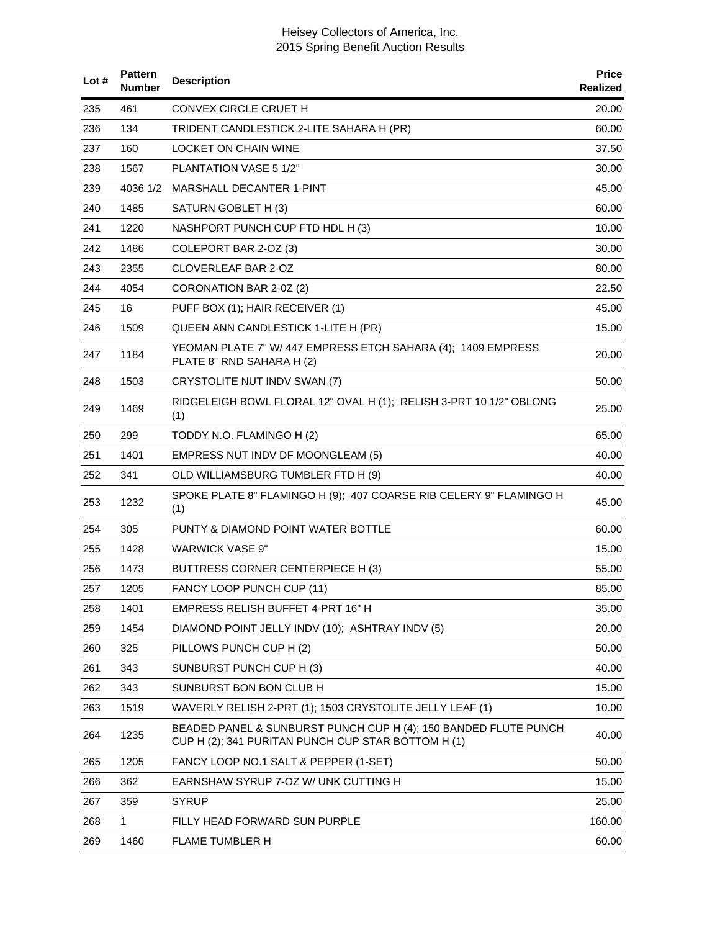| Lot# | <b>Pattern</b><br>Number | <b>Description</b>                                                                                                    | <b>Price</b><br><b>Realized</b> |
|------|--------------------------|-----------------------------------------------------------------------------------------------------------------------|---------------------------------|
| 235  | 461                      | CONVEX CIRCLE CRUET H                                                                                                 | 20.00                           |
| 236  | 134                      | TRIDENT CANDLESTICK 2-LITE SAHARA H (PR)                                                                              | 60.00                           |
| 237  | 160                      | LOCKET ON CHAIN WINE                                                                                                  | 37.50                           |
| 238  | 1567                     | PLANTATION VASE 5 1/2"                                                                                                | 30.00                           |
| 239  | 4036 1/2                 | MARSHALL DECANTER 1-PINT                                                                                              | 45.00                           |
| 240  | 1485                     | SATURN GOBLET H (3)                                                                                                   | 60.00                           |
| 241  | 1220                     | NASHPORT PUNCH CUP FTD HDL H (3)                                                                                      | 10.00                           |
| 242  | 1486                     | COLEPORT BAR 2-OZ (3)                                                                                                 | 30.00                           |
| 243  | 2355                     | CLOVERLEAF BAR 2-OZ                                                                                                   | 80.00                           |
| 244  | 4054                     | CORONATION BAR 2-0Z (2)                                                                                               | 22.50                           |
| 245  | 16                       | PUFF BOX (1); HAIR RECEIVER (1)                                                                                       | 45.00                           |
| 246  | 1509                     | QUEEN ANN CANDLESTICK 1-LITE H (PR)                                                                                   | 15.00                           |
| 247  | 1184                     | YEOMAN PLATE 7" W/ 447 EMPRESS ETCH SAHARA (4); 1409 EMPRESS<br>PLATE 8" RND SAHARA H (2)                             | 20.00                           |
| 248  | 1503                     | CRYSTOLITE NUT INDV SWAN (7)                                                                                          | 50.00                           |
| 249  | 1469                     | RIDGELEIGH BOWL FLORAL 12" OVAL H (1); RELISH 3-PRT 10 1/2" OBLONG<br>(1)                                             | 25.00                           |
| 250  | 299                      | TODDY N.O. FLAMINGO H (2)                                                                                             | 65.00                           |
| 251  | 1401                     | EMPRESS NUT INDV DF MOONGLEAM (5)                                                                                     | 40.00                           |
| 252  | 341                      | OLD WILLIAMSBURG TUMBLER FTD H (9)                                                                                    | 40.00                           |
| 253  | 1232                     | SPOKE PLATE 8" FLAMINGO H (9); 407 COARSE RIB CELERY 9" FLAMINGO H<br>(1)                                             | 45.00                           |
| 254  | 305                      | PUNTY & DIAMOND POINT WATER BOTTLE                                                                                    | 60.00                           |
| 255  | 1428                     | <b>WARWICK VASE 9"</b>                                                                                                | 15.00                           |
| 256  | 1473                     | BUTTRESS CORNER CENTERPIECE H (3)                                                                                     | 55.00                           |
| 257  | 1205                     | FANCY LOOP PUNCH CUP (11)                                                                                             | 85.00                           |
| 258  | 1401                     | EMPRESS RELISH BUFFET 4-PRT 16" H                                                                                     | 35.00                           |
| 259  | 1454                     | DIAMOND POINT JELLY INDV (10); ASHTRAY INDV (5)                                                                       | 20.00                           |
| 260  | 325                      | PILLOWS PUNCH CUP H (2)                                                                                               | 50.00                           |
| 261  | 343                      | SUNBURST PUNCH CUP H (3)                                                                                              | 40.00                           |
| 262  | 343                      | SUNBURST BON BON CLUB H                                                                                               | 15.00                           |
| 263  | 1519                     | WAVERLY RELISH 2-PRT (1); 1503 CRYSTOLITE JELLY LEAF (1)                                                              | 10.00                           |
| 264  | 1235                     | BEADED PANEL & SUNBURST PUNCH CUP H (4); 150 BANDED FLUTE PUNCH<br>CUP H (2); 341 PURITAN PUNCH CUP STAR BOTTOM H (1) | 40.00                           |
| 265  | 1205                     | FANCY LOOP NO.1 SALT & PEPPER (1-SET)                                                                                 | 50.00                           |
| 266  | 362                      | EARNSHAW SYRUP 7-OZ W/ UNK CUTTING H                                                                                  | 15.00                           |
| 267  | 359                      | <b>SYRUP</b>                                                                                                          | 25.00                           |
| 268  | 1                        | FILLY HEAD FORWARD SUN PURPLE                                                                                         | 160.00                          |
| 269  | 1460                     | FLAME TUMBLER H                                                                                                       | 60.00                           |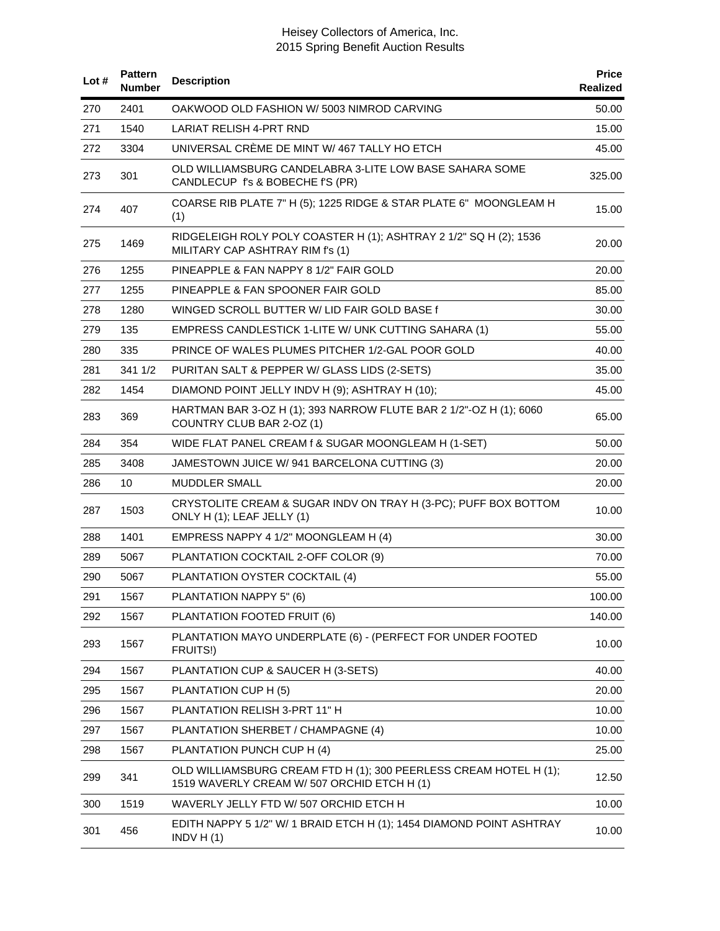| Lot# | <b>Pattern</b><br><b>Number</b> | <b>Description</b>                                                                                               | <b>Price</b><br>Realized |
|------|---------------------------------|------------------------------------------------------------------------------------------------------------------|--------------------------|
| 270  | 2401                            | OAKWOOD OLD FASHION W/ 5003 NIMROD CARVING                                                                       | 50.00                    |
| 271  | 1540                            | <b>LARIAT RELISH 4-PRT RND</b>                                                                                   | 15.00                    |
| 272  | 3304                            | UNIVERSAL CRÈME DE MINT W/467 TALLY HO ETCH                                                                      | 45.00                    |
| 273  | 301                             | OLD WILLIAMSBURG CANDELABRA 3-LITE LOW BASE SAHARA SOME<br>CANDLECUP f's & BOBECHE f'S (PR)                      | 325.00                   |
| 274  | 407                             | COARSE RIB PLATE 7" H (5); 1225 RIDGE & STAR PLATE 6" MOONGLEAM H<br>(1)                                         | 15.00                    |
| 275  | 1469                            | RIDGELEIGH ROLY POLY COASTER H (1); ASHTRAY 2 1/2" SQ H (2); 1536<br>MILITARY CAP ASHTRAY RIM f's (1)            | 20.00                    |
| 276  | 1255                            | PINEAPPLE & FAN NAPPY 8 1/2" FAIR GOLD                                                                           | 20.00                    |
| 277  | 1255                            | PINEAPPLE & FAN SPOONER FAIR GOLD                                                                                | 85.00                    |
| 278  | 1280                            | WINGED SCROLL BUTTER W/ LID FAIR GOLD BASE f                                                                     | 30.00                    |
| 279  | 135                             | <b>EMPRESS CANDLESTICK 1-LITE W/ UNK CUTTING SAHARA (1)</b>                                                      | 55.00                    |
| 280  | 335                             | PRINCE OF WALES PLUMES PITCHER 1/2-GAL POOR GOLD                                                                 | 40.00                    |
| 281  | 341 1/2                         | PURITAN SALT & PEPPER W/ GLASS LIDS (2-SETS)                                                                     | 35.00                    |
| 282  | 1454                            | DIAMOND POINT JELLY INDV H (9); ASHTRAY H (10);                                                                  | 45.00                    |
| 283  | 369                             | HARTMAN BAR 3-OZ H (1); 393 NARROW FLUTE BAR 2 1/2"-OZ H (1); 6060<br>COUNTRY CLUB BAR 2-OZ (1)                  | 65.00                    |
| 284  | 354                             | WIDE FLAT PANEL CREAM f & SUGAR MOONGLEAM H (1-SET)                                                              | 50.00                    |
| 285  | 3408                            | JAMESTOWN JUICE W/ 941 BARCELONA CUTTING (3)                                                                     | 20.00                    |
| 286  | 10                              | MUDDLER SMALL                                                                                                    | 20.00                    |
| 287  | 1503                            | CRYSTOLITE CREAM & SUGAR INDV ON TRAY H (3-PC); PUFF BOX BOTTOM<br>ONLY H (1); LEAF JELLY (1)                    | 10.00                    |
| 288  | 1401                            | EMPRESS NAPPY 4 1/2" MOONGLEAM H (4)                                                                             | 30.00                    |
| 289  | 5067                            | PLANTATION COCKTAIL 2-OFF COLOR (9)                                                                              | 70.00                    |
| 290  | 5067                            | PLANTATION OYSTER COCKTAIL (4)                                                                                   | 55.00                    |
| 291  | 1567                            | PLANTATION NAPPY 5" (6)                                                                                          | 100.00                   |
| 292  | 1567                            | PLANTATION FOOTED FRUIT (6)                                                                                      | 140.00                   |
| 293  | 1567                            | PLANTATION MAYO UNDERPLATE (6) - (PERFECT FOR UNDER FOOTED<br>FRUITS!)                                           | 10.00                    |
| 294  | 1567                            | PLANTATION CUP & SAUCER H (3-SETS)                                                                               | 40.00                    |
| 295  | 1567                            | PLANTATION CUP H (5)                                                                                             | 20.00                    |
| 296  | 1567                            | PLANTATION RELISH 3-PRT 11" H                                                                                    | 10.00                    |
| 297  | 1567                            | PLANTATION SHERBET / CHAMPAGNE (4)                                                                               | 10.00                    |
| 298  | 1567                            | PLANTATION PUNCH CUP H (4)                                                                                       | 25.00                    |
| 299  | 341                             | OLD WILLIAMSBURG CREAM FTD H (1); 300 PEERLESS CREAM HOTEL H (1);<br>1519 WAVERLY CREAM W/ 507 ORCHID ETCH H (1) | 12.50                    |
| 300  | 1519                            | WAVERLY JELLY FTD W/ 507 ORCHID ETCH H                                                                           | 10.00                    |
| 301  | 456                             | EDITH NAPPY 5 1/2" W/ 1 BRAID ETCH H (1); 1454 DIAMOND POINT ASHTRAY<br>INDV $H(1)$                              | 10.00                    |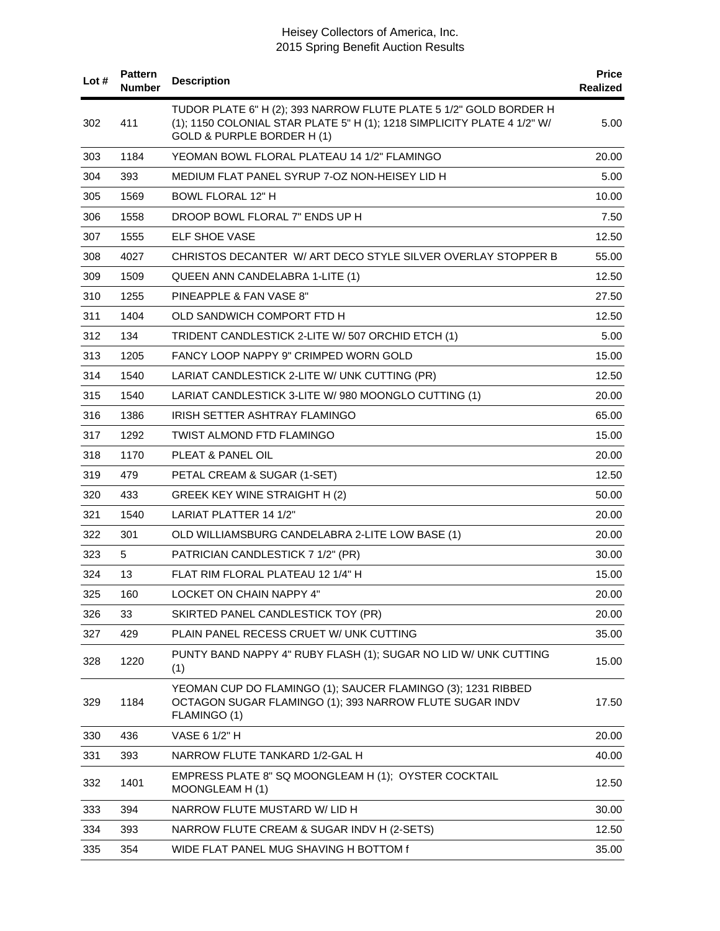| Lot $#$ | <b>Pattern</b><br><b>Number</b> | <b>Description</b>                                                                                                                                                         | <b>Price</b><br><b>Realized</b> |
|---------|---------------------------------|----------------------------------------------------------------------------------------------------------------------------------------------------------------------------|---------------------------------|
| 302     | 411                             | TUDOR PLATE 6" H (2); 393 NARROW FLUTE PLATE 5 1/2" GOLD BORDER H<br>(1); 1150 COLONIAL STAR PLATE 5" H (1); 1218 SIMPLICITY PLATE 4 1/2" W/<br>GOLD & PURPLE BORDER H (1) | 5.00                            |
| 303     | 1184                            | YEOMAN BOWL FLORAL PLATEAU 14 1/2" FLAMINGO                                                                                                                                | 20.00                           |
| 304     | 393                             | MEDIUM FLAT PANEL SYRUP 7-OZ NON-HEISEY LID H                                                                                                                              | 5.00                            |
| 305     | 1569                            | <b>BOWL FLORAL 12" H</b>                                                                                                                                                   | 10.00                           |
| 306     | 1558                            | DROOP BOWL FLORAL 7" ENDS UP H                                                                                                                                             | 7.50                            |
| 307     | 1555                            | <b>ELF SHOE VASE</b>                                                                                                                                                       | 12.50                           |
| 308     | 4027                            | CHRISTOS DECANTER W/ ART DECO STYLE SILVER OVERLAY STOPPER B                                                                                                               | 55.00                           |
| 309     | 1509                            | QUEEN ANN CANDELABRA 1-LITE (1)                                                                                                                                            | 12.50                           |
| 310     | 1255                            | PINEAPPLE & FAN VASE 8"                                                                                                                                                    | 27.50                           |
| 311     | 1404                            | OLD SANDWICH COMPORT FTD H                                                                                                                                                 | 12.50                           |
| 312     | 134                             | TRIDENT CANDLESTICK 2-LITE W/ 507 ORCHID ETCH (1)                                                                                                                          | 5.00                            |
| 313     | 1205                            | FANCY LOOP NAPPY 9" CRIMPED WORN GOLD                                                                                                                                      | 15.00                           |
| 314     | 1540                            | LARIAT CANDLESTICK 2-LITE W/ UNK CUTTING (PR)                                                                                                                              | 12.50                           |
| 315     | 1540                            | LARIAT CANDLESTICK 3-LITE W/ 980 MOONGLO CUTTING (1)                                                                                                                       | 20.00                           |
| 316     | 1386                            | IRISH SETTER ASHTRAY FLAMINGO                                                                                                                                              | 65.00                           |
| 317     | 1292                            | TWIST ALMOND FTD FLAMINGO                                                                                                                                                  | 15.00                           |
| 318     | 1170                            | PLEAT & PANEL OIL                                                                                                                                                          | 20.00                           |
| 319     | 479                             | PETAL CREAM & SUGAR (1-SET)                                                                                                                                                | 12.50                           |
| 320     | 433                             | GREEK KEY WINE STRAIGHT H (2)                                                                                                                                              | 50.00                           |
| 321     | 1540                            | LARIAT PLATTER 14 1/2"                                                                                                                                                     | 20.00                           |
| 322     | 301                             | OLD WILLIAMSBURG CANDELABRA 2-LITE LOW BASE (1)                                                                                                                            | 20.00                           |
| 323     | 5                               | PATRICIAN CANDLESTICK 7 1/2" (PR)                                                                                                                                          | 30.00                           |
| 324     | 13                              | FLAT RIM FLORAL PLATEAU 12 1/4" H                                                                                                                                          | 15.00                           |
| 325     | 160                             | LOCKET ON CHAIN NAPPY 4"                                                                                                                                                   | 20.00                           |
| 326     | 33                              | SKIRTED PANEL CANDLESTICK TOY (PR)                                                                                                                                         | 20.00                           |
| 327     | 429                             | PLAIN PANEL RECESS CRUET W/ UNK CUTTING                                                                                                                                    | 35.00                           |
| 328     | 1220                            | PUNTY BAND NAPPY 4" RUBY FLASH (1); SUGAR NO LID W/ UNK CUTTING<br>(1)                                                                                                     | 15.00                           |
| 329     | 1184                            | YEOMAN CUP DO FLAMINGO (1); SAUCER FLAMINGO (3); 1231 RIBBED<br>OCTAGON SUGAR FLAMINGO (1); 393 NARROW FLUTE SUGAR INDV<br>FLAMINGO (1)                                    | 17.50                           |
| 330     | 436                             | VASE 6 1/2" H                                                                                                                                                              | 20.00                           |
| 331     | 393                             | NARROW FLUTE TANKARD 1/2-GAL H                                                                                                                                             | 40.00                           |
| 332     | 1401                            | EMPRESS PLATE 8" SQ MOONGLEAM H (1); OYSTER COCKTAIL<br>MOONGLEAM H (1)                                                                                                    | 12.50                           |
| 333     | 394                             | NARROW FLUTE MUSTARD W/ LID H                                                                                                                                              | 30.00                           |
| 334     | 393                             | NARROW FLUTE CREAM & SUGAR INDV H (2-SETS)                                                                                                                                 | 12.50                           |
| 335     | 354                             | WIDE FLAT PANEL MUG SHAVING H BOTTOM f                                                                                                                                     | 35.00                           |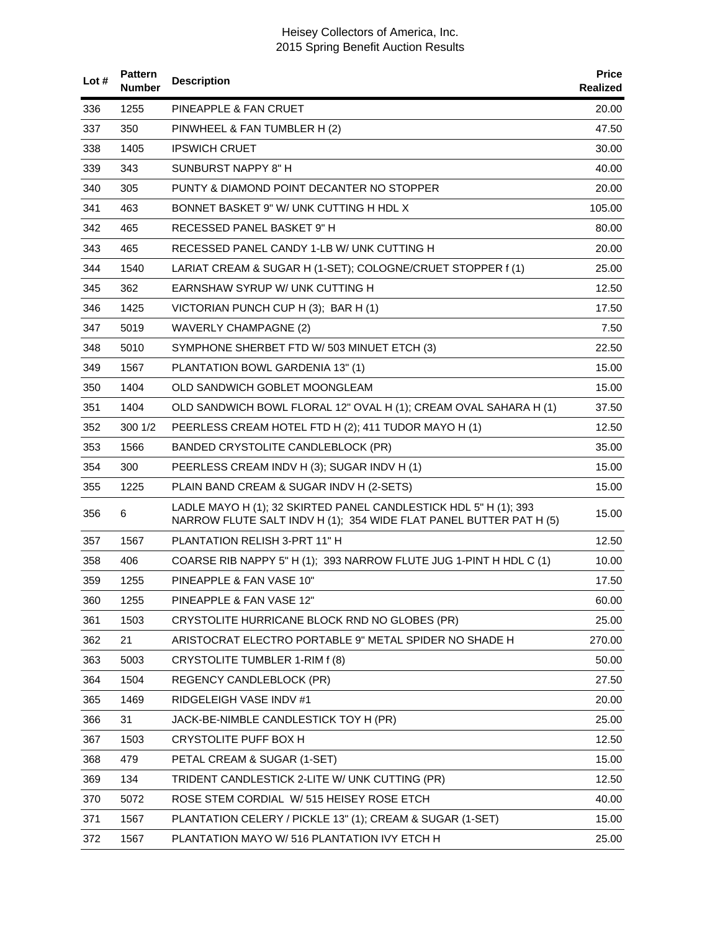| Lot# | <b>Pattern</b><br>Number | <b>Description</b>                                                                                                                     | <b>Price</b><br>Realized |
|------|--------------------------|----------------------------------------------------------------------------------------------------------------------------------------|--------------------------|
| 336  | 1255                     | PINEAPPLE & FAN CRUET                                                                                                                  | 20.00                    |
| 337  | 350                      | PINWHEEL & FAN TUMBLER H (2)                                                                                                           | 47.50                    |
| 338  | 1405                     | <b>IPSWICH CRUET</b>                                                                                                                   | 30.00                    |
| 339  | 343                      | SUNBURST NAPPY 8" H                                                                                                                    | 40.00                    |
| 340  | 305                      | PUNTY & DIAMOND POINT DECANTER NO STOPPER                                                                                              | 20.00                    |
| 341  | 463                      | BONNET BASKET 9" W/ UNK CUTTING H HDL X                                                                                                | 105.00                   |
| 342  | 465                      | RECESSED PANEL BASKET 9" H                                                                                                             | 80.00                    |
| 343  | 465                      | RECESSED PANEL CANDY 1-LB W/ UNK CUTTING H                                                                                             | 20.00                    |
| 344  | 1540                     | LARIAT CREAM & SUGAR H (1-SET); COLOGNE/CRUET STOPPER f (1)                                                                            | 25.00                    |
| 345  | 362                      | EARNSHAW SYRUP W/ UNK CUTTING H                                                                                                        | 12.50                    |
| 346  | 1425                     | VICTORIAN PUNCH CUP H (3); BAR H (1)                                                                                                   | 17.50                    |
| 347  | 5019                     | <b>WAVERLY CHAMPAGNE (2)</b>                                                                                                           | 7.50                     |
| 348  | 5010                     | SYMPHONE SHERBET FTD W/ 503 MINUET ETCH (3)                                                                                            | 22.50                    |
| 349  | 1567                     | PLANTATION BOWL GARDENIA 13" (1)                                                                                                       | 15.00                    |
| 350  | 1404                     | OLD SANDWICH GOBLET MOONGLEAM                                                                                                          | 15.00                    |
| 351  | 1404                     | OLD SANDWICH BOWL FLORAL 12" OVAL H (1); CREAM OVAL SAHARA H (1)                                                                       | 37.50                    |
| 352  | 300 1/2                  | PEERLESS CREAM HOTEL FTD H (2); 411 TUDOR MAYO H (1)                                                                                   | 12.50                    |
| 353  | 1566                     | BANDED CRYSTOLITE CANDLEBLOCK (PR)                                                                                                     | 35.00                    |
| 354  | 300                      | PEERLESS CREAM INDV H (3); SUGAR INDV H (1)                                                                                            | 15.00                    |
| 355  | 1225                     | PLAIN BAND CREAM & SUGAR INDV H (2-SETS)                                                                                               | 15.00                    |
| 356  | 6                        | LADLE MAYO H (1); 32 SKIRTED PANEL CANDLESTICK HDL 5" H (1); 393<br>NARROW FLUTE SALT INDV H (1); 354 WIDE FLAT PANEL BUTTER PAT H (5) | 15.00                    |
| 357  | 1567                     | PLANTATION RELISH 3-PRT 11" H                                                                                                          | 12.50                    |
| 358  | 406                      | COARSE RIB NAPPY 5" H (1); 393 NARROW FLUTE JUG 1-PINT H HDL C (1)                                                                     | 10.00                    |
| 359  | 1255                     | PINEAPPLE & FAN VASE 10"                                                                                                               | 17.50                    |
| 360  | 1255                     | PINEAPPLE & FAN VASE 12"                                                                                                               | 60.00                    |
| 361  | 1503                     | CRYSTOLITE HURRICANE BLOCK RND NO GLOBES (PR)                                                                                          | 25.00                    |
| 362  | 21                       | ARISTOCRAT ELECTRO PORTABLE 9" METAL SPIDER NO SHADE H                                                                                 | 270.00                   |
| 363  | 5003                     | CRYSTOLITE TUMBLER 1-RIM f (8)                                                                                                         | 50.00                    |
| 364  | 1504                     | <b>REGENCY CANDLEBLOCK (PR)</b>                                                                                                        | 27.50                    |
| 365  | 1469                     | RIDGELEIGH VASE INDV #1                                                                                                                | 20.00                    |
| 366  | 31                       | JACK-BE-NIMBLE CANDLESTICK TOY H (PR)                                                                                                  | 25.00                    |
| 367  | 1503                     | CRYSTOLITE PUFF BOX H                                                                                                                  | 12.50                    |
| 368  | 479                      | PETAL CREAM & SUGAR (1-SET)                                                                                                            | 15.00                    |
| 369  | 134                      | TRIDENT CANDLESTICK 2-LITE W/ UNK CUTTING (PR)                                                                                         | 12.50                    |
| 370  | 5072                     | ROSE STEM CORDIAL W/ 515 HEISEY ROSE ETCH                                                                                              | 40.00                    |
| 371  | 1567                     | PLANTATION CELERY / PICKLE 13" (1); CREAM & SUGAR (1-SET)                                                                              | 15.00                    |
| 372  | 1567                     | PLANTATION MAYO W/ 516 PLANTATION IVY ETCH H                                                                                           | 25.00                    |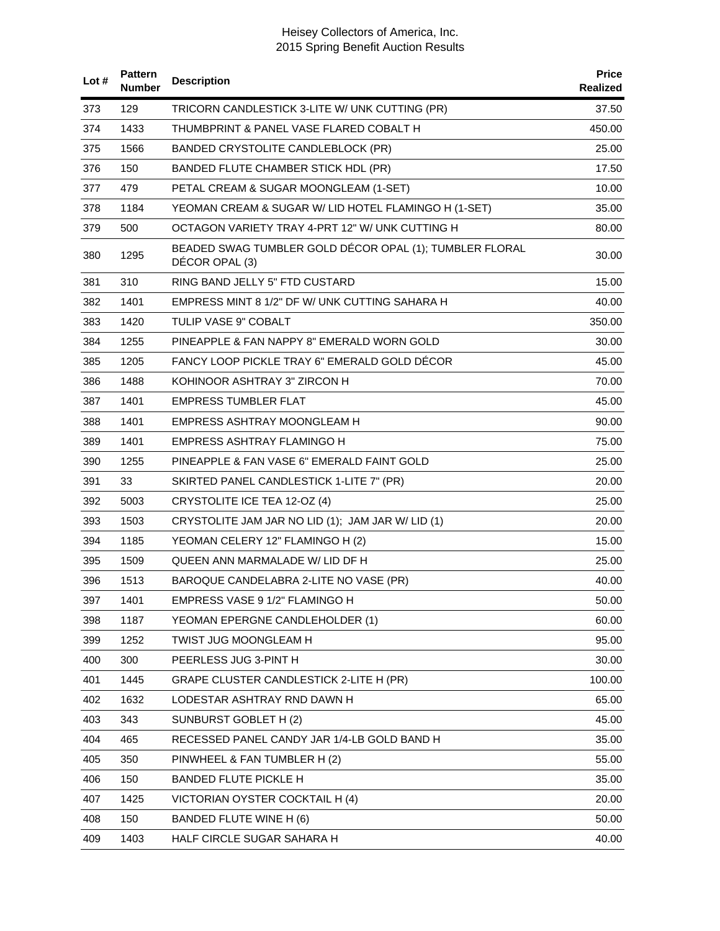| Lot# | <b>Pattern</b><br>Number | <b>Description</b>                                                        | <b>Price</b><br>Realized |
|------|--------------------------|---------------------------------------------------------------------------|--------------------------|
| 373  | 129                      | TRICORN CANDLESTICK 3-LITE W/ UNK CUTTING (PR)                            | 37.50                    |
| 374  | 1433                     | THUMBPRINT & PANEL VASE FLARED COBALT H                                   | 450.00                   |
| 375  | 1566                     | BANDED CRYSTOLITE CANDLEBLOCK (PR)                                        | 25.00                    |
| 376  | 150                      | BANDED FLUTE CHAMBER STICK HDL (PR)                                       | 17.50                    |
| 377  | 479                      | PETAL CREAM & SUGAR MOONGLEAM (1-SET)                                     | 10.00                    |
| 378  | 1184                     | YEOMAN CREAM & SUGAR W/ LID HOTEL FLAMINGO H (1-SET)                      | 35.00                    |
| 379  | 500                      | OCTAGON VARIETY TRAY 4-PRT 12" W/ UNK CUTTING H                           | 80.00                    |
| 380  | 1295                     | BEADED SWAG TUMBLER GOLD DÉCOR OPAL (1); TUMBLER FLORAL<br>DÉCOR OPAL (3) | 30.00                    |
| 381  | 310                      | RING BAND JELLY 5" FTD CUSTARD                                            | 15.00                    |
| 382  | 1401                     | EMPRESS MINT 8 1/2" DF W/ UNK CUTTING SAHARA H                            | 40.00                    |
| 383  | 1420                     | TULIP VASE 9" COBALT                                                      | 350.00                   |
| 384  | 1255                     | PINEAPPLE & FAN NAPPY 8" EMERALD WORN GOLD                                | 30.00                    |
| 385  | 1205                     | FANCY LOOP PICKLE TRAY 6" EMERALD GOLD DECOR                              | 45.00                    |
| 386  | 1488                     | KOHINOOR ASHTRAY 3" ZIRCON H                                              | 70.00                    |
| 387  | 1401                     | EMPRESS TUMBLER FLAT                                                      | 45.00                    |
| 388  | 1401                     | EMPRESS ASHTRAY MOONGLEAM H                                               | 90.00                    |
| 389  | 1401                     | EMPRESS ASHTRAY FLAMINGO H                                                | 75.00                    |
| 390  | 1255                     | PINEAPPLE & FAN VASE 6" EMERALD FAINT GOLD                                | 25.00                    |
| 391  | 33                       | SKIRTED PANEL CANDLESTICK 1-LITE 7" (PR)                                  | 20.00                    |
| 392  | 5003                     | CRYSTOLITE ICE TEA 12-OZ (4)                                              | 25.00                    |
| 393  | 1503                     | CRYSTOLITE JAM JAR NO LID (1); JAM JAR W/ LID (1)                         | 20.00                    |
| 394  | 1185                     | YEOMAN CELERY 12" FLAMINGO H (2)                                          | 15.00                    |
| 395  | 1509                     | QUEEN ANN MARMALADE W/ LID DF H                                           | 25.00                    |
| 396  | 1513                     | BAROQUE CANDELABRA 2-LITE NO VASE (PR)                                    | 40.00                    |
| 397  | 1401                     | EMPRESS VASE 9 1/2" FLAMINGO H                                            | 50.00                    |
| 398  | 1187                     | YEOMAN EPERGNE CANDLEHOLDER (1)                                           | 60.00                    |
| 399  | 1252                     | TWIST JUG MOONGLEAM H                                                     | 95.00                    |
| 400  | 300                      | PEERLESS JUG 3-PINT H                                                     | 30.00                    |
| 401  | 1445                     | GRAPE CLUSTER CANDLESTICK 2-LITE H (PR)                                   | 100.00                   |
| 402  | 1632                     | LODESTAR ASHTRAY RND DAWN H                                               | 65.00                    |
| 403  | 343                      | SUNBURST GOBLET H (2)                                                     | 45.00                    |
| 404  | 465                      | RECESSED PANEL CANDY JAR 1/4-LB GOLD BAND H                               | 35.00                    |
| 405  | 350                      | PINWHEEL & FAN TUMBLER H (2)                                              | 55.00                    |
| 406  | 150                      | <b>BANDED FLUTE PICKLE H</b>                                              | 35.00                    |
| 407  | 1425                     | VICTORIAN OYSTER COCKTAIL H (4)                                           | 20.00                    |
| 408  | 150                      | BANDED FLUTE WINE H (6)                                                   | 50.00                    |
| 409  | 1403                     | HALF CIRCLE SUGAR SAHARA H                                                | 40.00                    |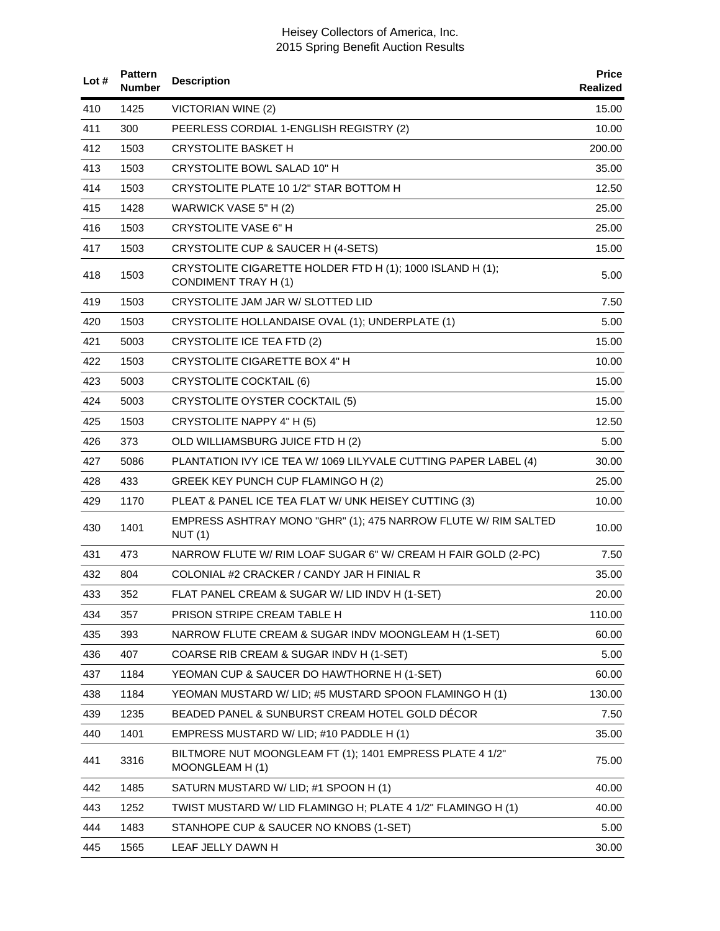| Lot # | <b>Pattern</b><br><b>Number</b> | <b>Description</b>                                                                       | <b>Price</b><br>Realized |
|-------|---------------------------------|------------------------------------------------------------------------------------------|--------------------------|
| 410   | 1425                            | <b>VICTORIAN WINE (2)</b>                                                                | 15.00                    |
| 411   | 300                             | PEERLESS CORDIAL 1-ENGLISH REGISTRY (2)                                                  | 10.00                    |
| 412   | 1503                            | <b>CRYSTOLITE BASKET H</b>                                                               | 200.00                   |
| 413   | 1503                            | CRYSTOLITE BOWL SALAD 10" H                                                              | 35.00                    |
| 414   | 1503                            | CRYSTOLITE PLATE 10 1/2" STAR BOTTOM H                                                   | 12.50                    |
| 415   | 1428                            | WARWICK VASE 5" H (2)                                                                    | 25.00                    |
| 416   | 1503                            | CRYSTOLITE VASE 6" H                                                                     | 25.00                    |
| 417   | 1503                            | CRYSTOLITE CUP & SAUCER H (4-SETS)                                                       | 15.00                    |
| 418   | 1503                            | CRYSTOLITE CIGARETTE HOLDER FTD H (1); 1000 ISLAND H (1);<br><b>CONDIMENT TRAY H (1)</b> | 5.00                     |
| 419   | 1503                            | CRYSTOLITE JAM JAR W/ SLOTTED LID                                                        | 7.50                     |
| 420   | 1503                            | CRYSTOLITE HOLLANDAISE OVAL (1); UNDERPLATE (1)                                          | 5.00                     |
| 421   | 5003                            | <b>CRYSTOLITE ICE TEA FTD (2)</b>                                                        | 15.00                    |
| 422   | 1503                            | CRYSTOLITE CIGARETTE BOX 4" H                                                            | 10.00                    |
| 423   | 5003                            | <b>CRYSTOLITE COCKTAIL (6)</b>                                                           | 15.00                    |
| 424   | 5003                            | <b>CRYSTOLITE OYSTER COCKTAIL (5)</b>                                                    | 15.00                    |
| 425   | 1503                            | CRYSTOLITE NAPPY 4" H (5)                                                                | 12.50                    |
| 426   | 373                             | OLD WILLIAMSBURG JUICE FTD H (2)                                                         | 5.00                     |
| 427   | 5086                            | PLANTATION IVY ICE TEA W/ 1069 LILYVALE CUTTING PAPER LABEL (4)                          | 30.00                    |
| 428   | 433                             | GREEK KEY PUNCH CUP FLAMINGO H (2)                                                       | 25.00                    |
| 429   | 1170                            | PLEAT & PANEL ICE TEA FLAT W/ UNK HEISEY CUTTING (3)                                     | 10.00                    |
| 430   | 1401                            | EMPRESS ASHTRAY MONO "GHR" (1); 475 NARROW FLUTE W/ RIM SALTED<br>NUT(1)                 | 10.00                    |
| 431   | 473                             | NARROW FLUTE W/ RIM LOAF SUGAR 6" W/ CREAM H FAIR GOLD (2-PC)                            | 7.50                     |
| 432   | 804                             | COLONIAL #2 CRACKER / CANDY JAR H FINIAL R                                               | 35.00                    |
| 433   | 352                             | FLAT PANEL CREAM & SUGAR W/ LID INDV H (1-SET)                                           | 20.00                    |
| 434   | 357                             | PRISON STRIPE CREAM TABLE H                                                              | 110.00                   |
| 435   | 393                             | NARROW FLUTE CREAM & SUGAR INDV MOONGLEAM H (1-SET)                                      | 60.00                    |
| 436   | 407                             | COARSE RIB CREAM & SUGAR INDV H (1-SET)                                                  | 5.00                     |
| 437   | 1184                            | YEOMAN CUP & SAUCER DO HAWTHORNE H (1-SET)                                               | 60.00                    |
| 438   | 1184                            | YEOMAN MUSTARD W/ LID; #5 MUSTARD SPOON FLAMINGO H (1)                                   | 130.00                   |
| 439   | 1235                            | BEADED PANEL & SUNBURST CREAM HOTEL GOLD DECOR                                           | 7.50                     |
| 440   | 1401                            | EMPRESS MUSTARD W/ LID; #10 PADDLE H (1)                                                 | 35.00                    |
| 441   | 3316                            | BILTMORE NUT MOONGLEAM FT (1); 1401 EMPRESS PLATE 4 1/2"<br>MOONGLEAM H (1)              | 75.00                    |
| 442   | 1485                            | SATURN MUSTARD W/ LID; #1 SPOON H (1)                                                    | 40.00                    |
| 443   | 1252                            | TWIST MUSTARD W/ LID FLAMINGO H; PLATE 4 1/2" FLAMINGO H (1)                             | 40.00                    |
| 444   | 1483                            | STANHOPE CUP & SAUCER NO KNOBS (1-SET)                                                   | 5.00                     |
| 445   | 1565                            | LEAF JELLY DAWN H                                                                        | 30.00                    |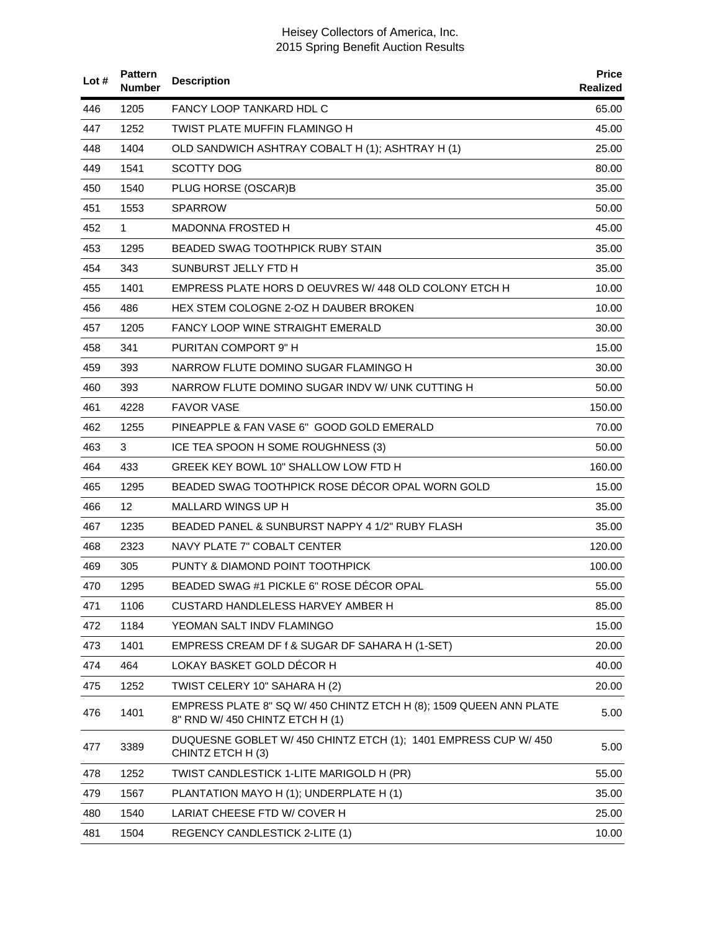| Lot $#$ | <b>Pattern</b><br>Number | <b>Description</b>                                                                                    | <b>Price</b><br>Realized |
|---------|--------------------------|-------------------------------------------------------------------------------------------------------|--------------------------|
| 446     | 1205                     | <b>FANCY LOOP TANKARD HDL C</b>                                                                       | 65.00                    |
| 447     | 1252                     | <b>TWIST PLATE MUFFIN FLAMINGO H</b>                                                                  | 45.00                    |
| 448     | 1404                     | OLD SANDWICH ASHTRAY COBALT H (1); ASHTRAY H (1)                                                      | 25.00                    |
| 449     | 1541                     | <b>SCOTTY DOG</b>                                                                                     | 80.00                    |
| 450     | 1540                     | PLUG HORSE (OSCAR)B                                                                                   | 35.00                    |
| 451     | 1553                     | <b>SPARROW</b>                                                                                        | 50.00                    |
| 452     | 1                        | MADONNA FROSTED H                                                                                     | 45.00                    |
| 453     | 1295                     | BEADED SWAG TOOTHPICK RUBY STAIN                                                                      | 35.00                    |
| 454     | 343                      | SUNBURST JELLY FTD H                                                                                  | 35.00                    |
| 455     | 1401                     | EMPRESS PLATE HORS D OEUVRES W/ 448 OLD COLONY ETCH H                                                 | 10.00                    |
| 456     | 486                      | HEX STEM COLOGNE 2-OZ H DAUBER BROKEN                                                                 | 10.00                    |
| 457     | 1205                     | <b>FANCY LOOP WINE STRAIGHT EMERALD</b>                                                               | 30.00                    |
| 458     | 341                      | PURITAN COMPORT 9" H                                                                                  | 15.00                    |
| 459     | 393                      | NARROW FLUTE DOMINO SUGAR FLAMINGO H                                                                  | 30.00                    |
| 460     | 393                      | NARROW FLUTE DOMINO SUGAR INDV W/ UNK CUTTING H                                                       | 50.00                    |
| 461     | 4228                     | <b>FAVOR VASE</b>                                                                                     | 150.00                   |
| 462     | 1255                     | PINEAPPLE & FAN VASE 6" GOOD GOLD EMERALD                                                             | 70.00                    |
| 463     | 3                        | ICE TEA SPOON H SOME ROUGHNESS (3)                                                                    | 50.00                    |
| 464     | 433                      | GREEK KEY BOWL 10" SHALLOW LOW FTD H                                                                  | 160.00                   |
| 465     | 1295                     | BEADED SWAG TOOTHPICK ROSE DECOR OPAL WORN GOLD                                                       | 15.00                    |
| 466     | 12                       | MALLARD WINGS UP H                                                                                    | 35.00                    |
| 467     | 1235                     | BEADED PANEL & SUNBURST NAPPY 4 1/2" RUBY FLASH                                                       | 35.00                    |
| 468     | 2323                     | NAVY PLATE 7" COBALT CENTER                                                                           | 120.00                   |
| 469     | 305                      | PUNTY & DIAMOND POINT TOOTHPICK                                                                       | 100.00                   |
| 470     | 1295                     | BEADED SWAG #1 PICKLE 6" ROSE DÉCOR OPAL                                                              | 55.00                    |
| 471     | 1106                     | CUSTARD HANDLELESS HARVEY AMBER H                                                                     | 85.00                    |
| 472     | 1184                     | YEOMAN SALT INDV FLAMINGO                                                                             | 15.00                    |
| 473     | 1401                     | EMPRESS CREAM DF f & SUGAR DF SAHARA H (1-SET)                                                        | 20.00                    |
| 474     | 464                      | LOKAY BASKET GOLD DÉCOR H                                                                             | 40.00                    |
| 475     | 1252                     | TWIST CELERY 10" SAHARA H (2)                                                                         | 20.00                    |
| 476     | 1401                     | EMPRESS PLATE 8" SQ W/ 450 CHINTZ ETCH H (8); 1509 QUEEN ANN PLATE<br>8" RND W/ 450 CHINTZ ETCH H (1) | 5.00                     |
| 477     | 3389                     | DUQUESNE GOBLET W/ 450 CHINTZ ETCH (1); 1401 EMPRESS CUP W/ 450<br>CHINTZ ETCH H (3)                  | 5.00                     |
| 478     | 1252                     | TWIST CANDLESTICK 1-LITE MARIGOLD H (PR)                                                              | 55.00                    |
| 479     | 1567                     | PLANTATION MAYO H (1); UNDERPLATE H (1)                                                               | 35.00                    |
| 480     | 1540                     | LARIAT CHEESE FTD W/ COVER H                                                                          | 25.00                    |
| 481     | 1504                     | REGENCY CANDLESTICK 2-LITE (1)                                                                        | 10.00                    |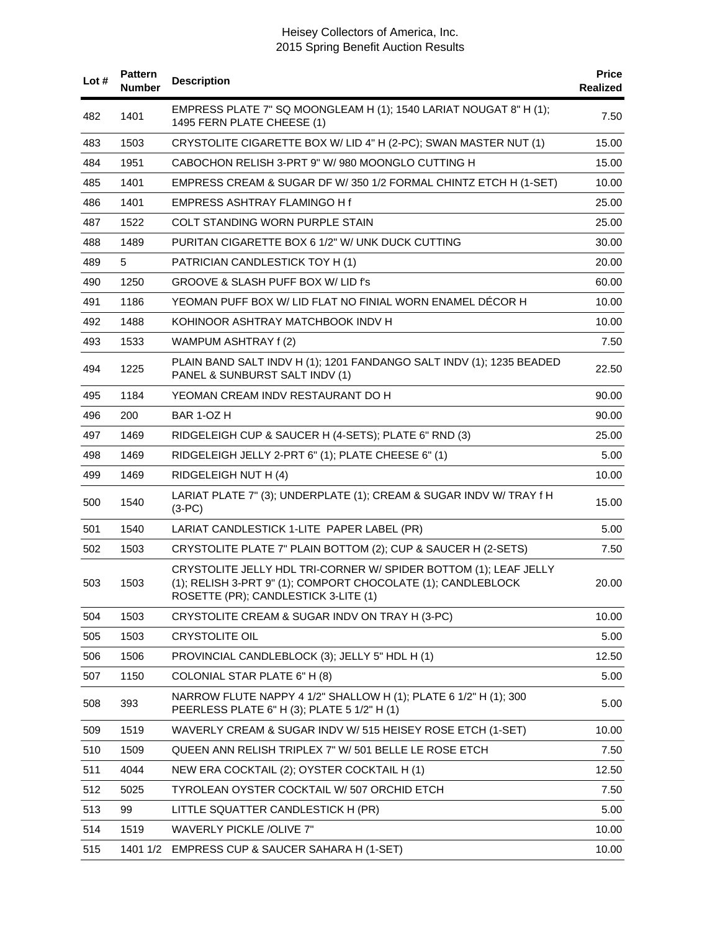| Lot# | <b>Pattern</b><br><b>Number</b> | <b>Description</b>                                                                                                                                                       | <b>Price</b><br>Realized |
|------|---------------------------------|--------------------------------------------------------------------------------------------------------------------------------------------------------------------------|--------------------------|
| 482  | 1401                            | EMPRESS PLATE 7" SQ MOONGLEAM H (1); 1540 LARIAT NOUGAT 8" H (1);<br>1495 FERN PLATE CHEESE (1)                                                                          | 7.50                     |
| 483  | 1503                            | CRYSTOLITE CIGARETTE BOX W/ LID 4" H (2-PC); SWAN MASTER NUT (1)                                                                                                         | 15.00                    |
| 484  | 1951                            | CABOCHON RELISH 3-PRT 9" W/ 980 MOONGLO CUTTING H                                                                                                                        | 15.00                    |
| 485  | 1401                            | EMPRESS CREAM & SUGAR DF W/350 1/2 FORMAL CHINTZ ETCH H (1-SET)                                                                                                          | 10.00                    |
| 486  | 1401                            | EMPRESS ASHTRAY FLAMINGO H f                                                                                                                                             | 25.00                    |
| 487  | 1522                            | COLT STANDING WORN PURPLE STAIN                                                                                                                                          | 25.00                    |
| 488  | 1489                            | PURITAN CIGARETTE BOX 6 1/2" W/ UNK DUCK CUTTING                                                                                                                         | 30.00                    |
| 489  | 5                               | PATRICIAN CANDLESTICK TOY H (1)                                                                                                                                          | 20.00                    |
| 490  | 1250                            | GROOVE & SLASH PUFF BOX W/ LID f's                                                                                                                                       | 60.00                    |
| 491  | 1186                            | YEOMAN PUFF BOX W/ LID FLAT NO FINIAL WORN ENAMEL DECOR H                                                                                                                | 10.00                    |
| 492  | 1488                            | KOHINOOR ASHTRAY MATCHBOOK INDV H                                                                                                                                        | 10.00                    |
| 493  | 1533                            | WAMPUM ASHTRAY f (2)                                                                                                                                                     | 7.50                     |
| 494  | 1225                            | PLAIN BAND SALT INDV H (1); 1201 FANDANGO SALT INDV (1); 1235 BEADED<br>PANEL & SUNBURST SALT INDV (1)                                                                   | 22.50                    |
| 495  | 1184                            | YEOMAN CREAM INDV RESTAURANT DO H                                                                                                                                        | 90.00                    |
| 496  | 200                             | BAR 1-OZ H                                                                                                                                                               | 90.00                    |
| 497  | 1469                            | RIDGELEIGH CUP & SAUCER H (4-SETS); PLATE 6" RND (3)                                                                                                                     | 25.00                    |
| 498  | 1469                            | RIDGELEIGH JELLY 2-PRT 6" (1); PLATE CHEESE 6" (1)                                                                                                                       | 5.00                     |
| 499  | 1469                            | RIDGELEIGH NUT H (4)                                                                                                                                                     | 10.00                    |
| 500  | 1540                            | LARIAT PLATE 7" (3); UNDERPLATE (1); CREAM & SUGAR INDV W/ TRAY f H<br>$(3-PC)$                                                                                          | 15.00                    |
| 501  | 1540                            | LARIAT CANDLESTICK 1-LITE PAPER LABEL (PR)                                                                                                                               | 5.00                     |
| 502  | 1503                            | CRYSTOLITE PLATE 7" PLAIN BOTTOM (2); CUP & SAUCER H (2-SETS)                                                                                                            | 7.50                     |
| 503  | 1503                            | CRYSTOLITE JELLY HDL TRI-CORNER W/ SPIDER BOTTOM (1); LEAF JELLY<br>(1); RELISH 3-PRT 9" (1); COMPORT CHOCOLATE (1); CANDLEBLOCK<br>ROSETTE (PR); CANDLESTICK 3-LITE (1) | 20.00                    |
| 504  | 1503                            | CRYSTOLITE CREAM & SUGAR INDV ON TRAY H (3-PC)                                                                                                                           | 10.00                    |
| 505  | 1503                            | <b>CRYSTOLITE OIL</b>                                                                                                                                                    | 5.00                     |
| 506  | 1506                            | PROVINCIAL CANDLEBLOCK (3); JELLY 5" HDL H (1)                                                                                                                           | 12.50                    |
| 507  | 1150                            | COLONIAL STAR PLATE 6" H (8)                                                                                                                                             | 5.00                     |
| 508  | 393                             | NARROW FLUTE NAPPY 4 1/2" SHALLOW H (1); PLATE 6 1/2" H (1); 300<br>PEERLESS PLATE 6" H (3); PLATE 5 1/2" H (1)                                                          | 5.00                     |
| 509  | 1519                            | WAVERLY CREAM & SUGAR INDV W/ 515 HEISEY ROSE ETCH (1-SET)                                                                                                               | 10.00                    |
| 510  | 1509                            | QUEEN ANN RELISH TRIPLEX 7" W/ 501 BELLE LE ROSE ETCH                                                                                                                    | 7.50                     |
| 511  | 4044                            | NEW ERA COCKTAIL (2); OYSTER COCKTAIL H (1)                                                                                                                              | 12.50                    |
| 512  | 5025                            | TYROLEAN OYSTER COCKTAIL W/507 ORCHID ETCH                                                                                                                               | 7.50                     |
| 513  | 99                              | LITTLE SQUATTER CANDLESTICK H (PR)                                                                                                                                       | 5.00                     |
| 514  | 1519                            | <b>WAVERLY PICKLE /OLIVE 7"</b>                                                                                                                                          | 10.00                    |
| 515  | 1401 1/2                        | EMPRESS CUP & SAUCER SAHARA H (1-SET)                                                                                                                                    | 10.00                    |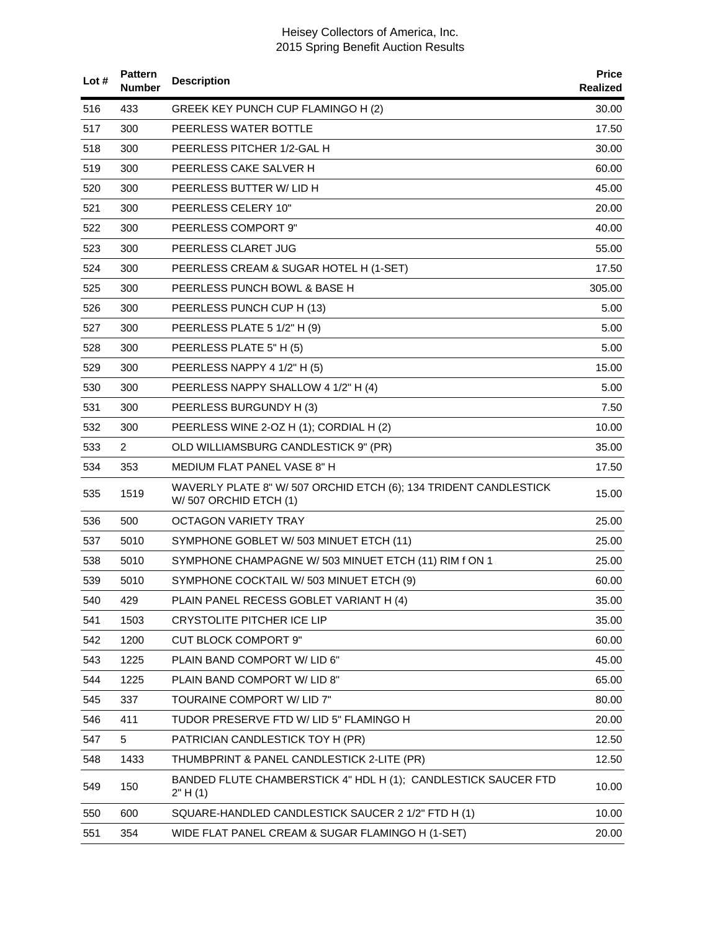| Lot# | <b>Pattern</b><br><b>Number</b> | <b>Description</b>                                                                        | <b>Price</b><br>Realized |
|------|---------------------------------|-------------------------------------------------------------------------------------------|--------------------------|
| 516  | 433                             | GREEK KEY PUNCH CUP FLAMINGO H (2)                                                        | 30.00                    |
| 517  | 300                             | PEERLESS WATER BOTTLE                                                                     | 17.50                    |
| 518  | 300                             | PEERLESS PITCHER 1/2-GAL H                                                                | 30.00                    |
| 519  | 300                             | PEERLESS CAKE SALVER H                                                                    | 60.00                    |
| 520  | 300                             | PEERLESS BUTTER W/ LID H                                                                  | 45.00                    |
| 521  | 300                             | PEERLESS CELERY 10"                                                                       | 20.00                    |
| 522  | 300                             | PEERLESS COMPORT 9"                                                                       | 40.00                    |
| 523  | 300                             | PEERLESS CLARET JUG                                                                       | 55.00                    |
| 524  | 300                             | PEERLESS CREAM & SUGAR HOTEL H (1-SET)                                                    | 17.50                    |
| 525  | 300                             | PEERLESS PUNCH BOWL & BASE H                                                              | 305.00                   |
| 526  | 300                             | PEERLESS PUNCH CUP H (13)                                                                 | 5.00                     |
| 527  | 300                             | PEERLESS PLATE 5 1/2" H (9)                                                               | 5.00                     |
| 528  | 300                             | PEERLESS PLATE 5" H (5)                                                                   | 5.00                     |
| 529  | 300                             | PEERLESS NAPPY 4 1/2" H (5)                                                               | 15.00                    |
| 530  | 300                             | PEERLESS NAPPY SHALLOW 4 1/2" H (4)                                                       | 5.00                     |
| 531  | 300                             | PEERLESS BURGUNDY H (3)                                                                   | 7.50                     |
| 532  | 300                             | PEERLESS WINE 2-OZ H (1); CORDIAL H (2)                                                   | 10.00                    |
| 533  | $\overline{2}$                  | OLD WILLIAMSBURG CANDLESTICK 9" (PR)                                                      | 35.00                    |
| 534  | 353                             | MEDIUM FLAT PANEL VASE 8" H                                                               | 17.50                    |
| 535  | 1519                            | WAVERLY PLATE 8" W/ 507 ORCHID ETCH (6); 134 TRIDENT CANDLESTICK<br>W/507 ORCHID ETCH (1) | 15.00                    |
| 536  | 500                             | <b>OCTAGON VARIETY TRAY</b>                                                               | 25.00                    |
| 537  | 5010                            | SYMPHONE GOBLET W/503 MINUET ETCH (11)                                                    | 25.00                    |
| 538  | 5010                            | SYMPHONE CHAMPAGNE W/ 503 MINUET ETCH (11) RIM f ON 1                                     | 25.00                    |
| 539  | 5010                            | SYMPHONE COCKTAIL W/ 503 MINUET ETCH (9)                                                  | 60.00                    |
| 540  | 429                             | PLAIN PANEL RECESS GOBLET VARIANT H (4)                                                   | 35.00                    |
| 541  | 1503                            | <b>CRYSTOLITE PITCHER ICE LIP</b>                                                         | 35.00                    |
| 542  | 1200                            | <b>CUT BLOCK COMPORT 9"</b>                                                               | 60.00                    |
| 543  | 1225                            | PLAIN BAND COMPORT W/ LID 6"                                                              | 45.00                    |
| 544  | 1225                            | PLAIN BAND COMPORT W/ LID 8"                                                              | 65.00                    |
| 545  | 337                             | TOURAINE COMPORT W/ LID 7"                                                                | 80.00                    |
| 546  | 411                             | TUDOR PRESERVE FTD W/ LID 5" FLAMINGO H                                                   | 20.00                    |
| 547  | 5                               | PATRICIAN CANDLESTICK TOY H (PR)                                                          | 12.50                    |
| 548  | 1433                            | THUMBPRINT & PANEL CANDLESTICK 2-LITE (PR)                                                | 12.50                    |
| 549  | 150                             | BANDED FLUTE CHAMBERSTICK 4" HDL H (1); CANDLESTICK SAUCER FTD<br>2" H(1)                 | 10.00                    |
| 550  | 600                             | SQUARE-HANDLED CANDLESTICK SAUCER 2 1/2" FTD H (1)                                        | 10.00                    |
| 551  | 354                             | WIDE FLAT PANEL CREAM & SUGAR FLAMINGO H (1-SET)                                          | 20.00                    |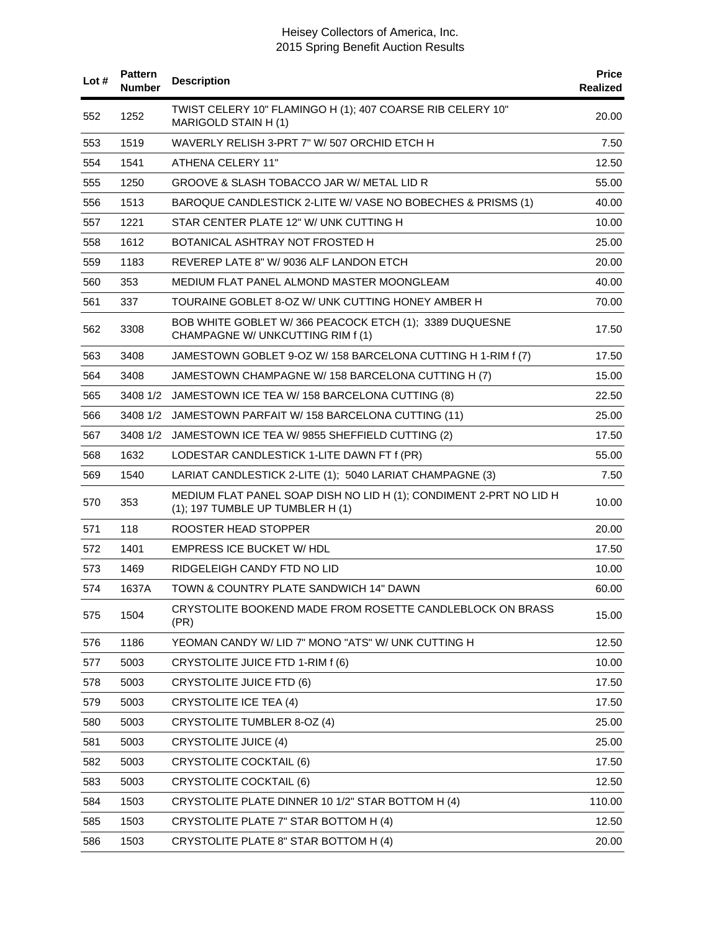| Lot $#$ | <b>Pattern</b><br><b>Number</b> | <b>Description</b>                                                                                     | Price<br>Realized |
|---------|---------------------------------|--------------------------------------------------------------------------------------------------------|-------------------|
| 552     | 1252                            | TWIST CELERY 10" FLAMINGO H (1); 407 COARSE RIB CELERY 10"<br>MARIGOLD STAIN H (1)                     | 20.00             |
| 553     | 1519                            | WAVERLY RELISH 3-PRT 7" W/ 507 ORCHID ETCH H                                                           | 7.50              |
| 554     | 1541                            | ATHENA CELERY 11"                                                                                      | 12.50             |
| 555     | 1250                            | GROOVE & SLASH TOBACCO JAR W/ METAL LID R                                                              | 55.00             |
| 556     | 1513                            | BAROQUE CANDLESTICK 2-LITE W/ VASE NO BOBECHES & PRISMS (1)                                            | 40.00             |
| 557     | 1221                            | STAR CENTER PLATE 12" W/ UNK CUTTING H                                                                 | 10.00             |
| 558     | 1612                            | BOTANICAL ASHTRAY NOT FROSTED H                                                                        | 25.00             |
| 559     | 1183                            | REVEREP LATE 8" W/ 9036 ALF LANDON ETCH                                                                | 20.00             |
| 560     | 353                             | MEDIUM FLAT PANEL ALMOND MASTER MOONGLEAM                                                              | 40.00             |
| 561     | 337                             | TOURAINE GOBLET 8-OZ W/ UNK CUTTING HONEY AMBER H                                                      | 70.00             |
| 562     | 3308                            | BOB WHITE GOBLET W/366 PEACOCK ETCH (1); 3389 DUQUESNE<br>CHAMPAGNE W/ UNKCUTTING RIM f (1)            | 17.50             |
| 563     | 3408                            | JAMESTOWN GOBLET 9-OZ W/ 158 BARCELONA CUTTING H 1-RIM f (7)                                           | 17.50             |
| 564     | 3408                            | JAMESTOWN CHAMPAGNE W/ 158 BARCELONA CUTTING H (7)                                                     | 15.00             |
| 565     |                                 | 3408 1/2 JAMESTOWN ICE TEA W/ 158 BARCELONA CUTTING (8)                                                | 22.50             |
| 566     | 3408 1/2                        | JAMESTOWN PARFAIT W/ 158 BARCELONA CUTTING (11)                                                        | 25.00             |
| 567     | 3408 1/2                        | JAMESTOWN ICE TEA W/ 9855 SHEFFIELD CUTTING (2)                                                        | 17.50             |
| 568     | 1632                            | LODESTAR CANDLESTICK 1-LITE DAWN FT f (PR)                                                             | 55.00             |
| 569     | 1540                            | LARIAT CANDLESTICK 2-LITE (1); 5040 LARIAT CHAMPAGNE (3)                                               | 7.50              |
| 570     | 353                             | MEDIUM FLAT PANEL SOAP DISH NO LID H (1); CONDIMENT 2-PRT NO LID H<br>(1); 197 TUMBLE UP TUMBLER H (1) | 10.00             |
| 571     | 118                             | ROOSTER HEAD STOPPER                                                                                   | 20.00             |
| 572     | 1401                            | <b>EMPRESS ICE BUCKET W/ HDL</b>                                                                       | 17.50             |
| 573     | 1469                            | RIDGELEIGH CANDY FTD NO LID                                                                            | 10.00             |
| 574     | 1637A                           | TOWN & COUNTRY PLATE SANDWICH 14" DAWN                                                                 | 60.00             |
| 575     | 1504                            | CRYSTOLITE BOOKEND MADE FROM ROSETTE CANDLEBLOCK ON BRASS<br>(PR)                                      | 15.00             |
| 576     | 1186                            | YEOMAN CANDY W/ LID 7" MONO "ATS" W/ UNK CUTTING H                                                     | 12.50             |
| 577     | 5003                            | CRYSTOLITE JUICE FTD 1-RIM f (6)                                                                       | 10.00             |
| 578     | 5003                            | <b>CRYSTOLITE JUICE FTD (6)</b>                                                                        | 17.50             |
| 579     | 5003                            | <b>CRYSTOLITE ICE TEA (4)</b>                                                                          | 17.50             |
| 580     | 5003                            | CRYSTOLITE TUMBLER 8-OZ (4)                                                                            | 25.00             |
| 581     | 5003                            | <b>CRYSTOLITE JUICE (4)</b>                                                                            | 25.00             |
| 582     | 5003                            | <b>CRYSTOLITE COCKTAIL (6)</b>                                                                         | 17.50             |
| 583     | 5003                            | <b>CRYSTOLITE COCKTAIL (6)</b>                                                                         | 12.50             |
| 584     | 1503                            | CRYSTOLITE PLATE DINNER 10 1/2" STAR BOTTOM H (4)                                                      | 110.00            |
| 585     | 1503                            | CRYSTOLITE PLATE 7" STAR BOTTOM H (4)                                                                  | 12.50             |
| 586     | 1503                            | CRYSTOLITE PLATE 8" STAR BOTTOM H (4)                                                                  | 20.00             |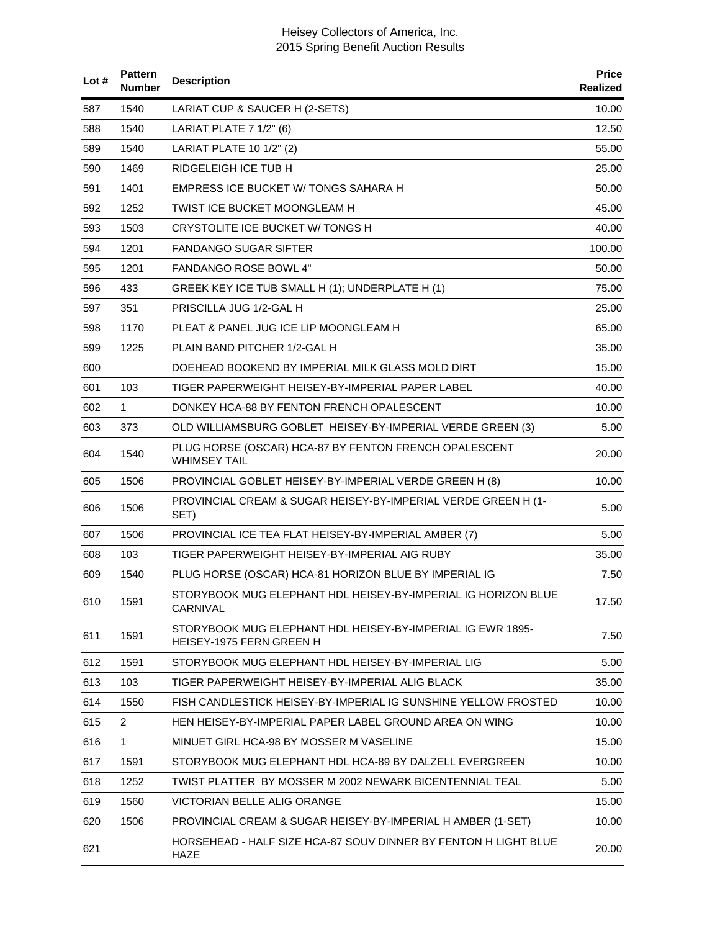| Lot# | <b>Pattern</b><br><b>Number</b> | <b>Description</b>                                                                     | <b>Price</b><br>Realized |
|------|---------------------------------|----------------------------------------------------------------------------------------|--------------------------|
| 587  | 1540                            | LARIAT CUP & SAUCER H (2-SETS)                                                         | 10.00                    |
| 588  | 1540                            | LARIAT PLATE 7 1/2" (6)                                                                | 12.50                    |
| 589  | 1540                            | LARIAT PLATE 10 1/2" (2)                                                               | 55.00                    |
| 590  | 1469                            | <b>RIDGELEIGH ICE TUB H</b>                                                            | 25.00                    |
| 591  | 1401                            | EMPRESS ICE BUCKET W/ TONGS SAHARA H                                                   | 50.00                    |
| 592  | 1252                            | TWIST ICE BUCKET MOONGLEAM H                                                           | 45.00                    |
| 593  | 1503                            | CRYSTOLITE ICE BUCKET W/TONGS H                                                        | 40.00                    |
| 594  | 1201                            | FANDANGO SUGAR SIFTER                                                                  | 100.00                   |
| 595  | 1201                            | FANDANGO ROSE BOWL 4"                                                                  | 50.00                    |
| 596  | 433                             | GREEK KEY ICE TUB SMALL H (1); UNDERPLATE H (1)                                        | 75.00                    |
| 597  | 351                             | PRISCILLA JUG 1/2-GAL H                                                                | 25.00                    |
| 598  | 1170                            | PLEAT & PANEL JUG ICE LIP MOONGLEAM H                                                  | 65.00                    |
| 599  | 1225                            | PLAIN BAND PITCHER 1/2-GAL H                                                           | 35.00                    |
| 600  |                                 | DOEHEAD BOOKEND BY IMPERIAL MILK GLASS MOLD DIRT                                       | 15.00                    |
| 601  | 103                             | TIGER PAPERWEIGHT HEISEY-BY-IMPERIAL PAPER LABEL                                       | 40.00                    |
| 602  | $\mathbf{1}$                    | DONKEY HCA-88 BY FENTON FRENCH OPALESCENT                                              | 10.00                    |
| 603  | 373                             | OLD WILLIAMSBURG GOBLET HEISEY-BY-IMPERIAL VERDE GREEN (3)                             | 5.00                     |
| 604  | 1540                            | PLUG HORSE (OSCAR) HCA-87 BY FENTON FRENCH OPALESCENT<br><b>WHIMSEY TAIL</b>           | 20.00                    |
| 605  | 1506                            | PROVINCIAL GOBLET HEISEY-BY-IMPERIAL VERDE GREEN H (8)                                 | 10.00                    |
| 606  | 1506                            | PROVINCIAL CREAM & SUGAR HEISEY-BY-IMPERIAL VERDE GREEN H (1-<br>SET)                  | 5.00                     |
| 607  | 1506                            | PROVINCIAL ICE TEA FLAT HEISEY-BY-IMPERIAL AMBER (7)                                   | 5.00                     |
| 608  | 103                             | TIGER PAPERWEIGHT HEISEY-BY-IMPERIAL AIG RUBY                                          | 35.00                    |
| 609  | 1540                            | PLUG HORSE (OSCAR) HCA-81 HORIZON BLUE BY IMPERIAL IG                                  | 7.50                     |
| 610  | 1591                            | STORYBOOK MUG ELEPHANT HDL HEISEY-BY-IMPERIAL IG HORIZON BLUE<br>CARNIVAL              | 17.50                    |
| 611  | 1591                            | STORYBOOK MUG ELEPHANT HDL HEISEY-BY-IMPERIAL IG EWR 1895-<br>HEISEY-1975 FERN GREEN H | 7.50                     |
| 612  | 1591                            | STORYBOOK MUG ELEPHANT HDL HEISEY-BY-IMPERIAL LIG                                      | 5.00                     |
| 613  | 103                             | TIGER PAPERWEIGHT HEISEY-BY-IMPERIAL ALIG BLACK                                        | 35.00                    |
| 614  | 1550                            | FISH CANDLESTICK HEISEY-BY-IMPERIAL IG SUNSHINE YELLOW FROSTED                         | 10.00                    |
| 615  | $\overline{2}$                  | HEN HEISEY-BY-IMPERIAL PAPER LABEL GROUND AREA ON WING                                 | 10.00                    |
| 616  | $\mathbf{1}$                    | MINUET GIRL HCA-98 BY MOSSER M VASELINE                                                | 15.00                    |
| 617  | 1591                            | STORYBOOK MUG ELEPHANT HDL HCA-89 BY DALZELL EVERGREEN                                 | 10.00                    |
| 618  | 1252                            | TWIST PLATTER_BY MOSSER M 2002 NEWARK BICENTENNIAL TEAL                                | 5.00                     |
| 619  | 1560                            | VICTORIAN BELLE ALIG ORANGE                                                            | 15.00                    |
| 620  | 1506                            | PROVINCIAL CREAM & SUGAR HEISEY-BY-IMPERIAL H AMBER (1-SET)                            | 10.00                    |
| 621  |                                 | HORSEHEAD - HALF SIZE HCA-87 SOUV DINNER BY FENTON H LIGHT BLUE<br><b>HAZE</b>         | 20.00                    |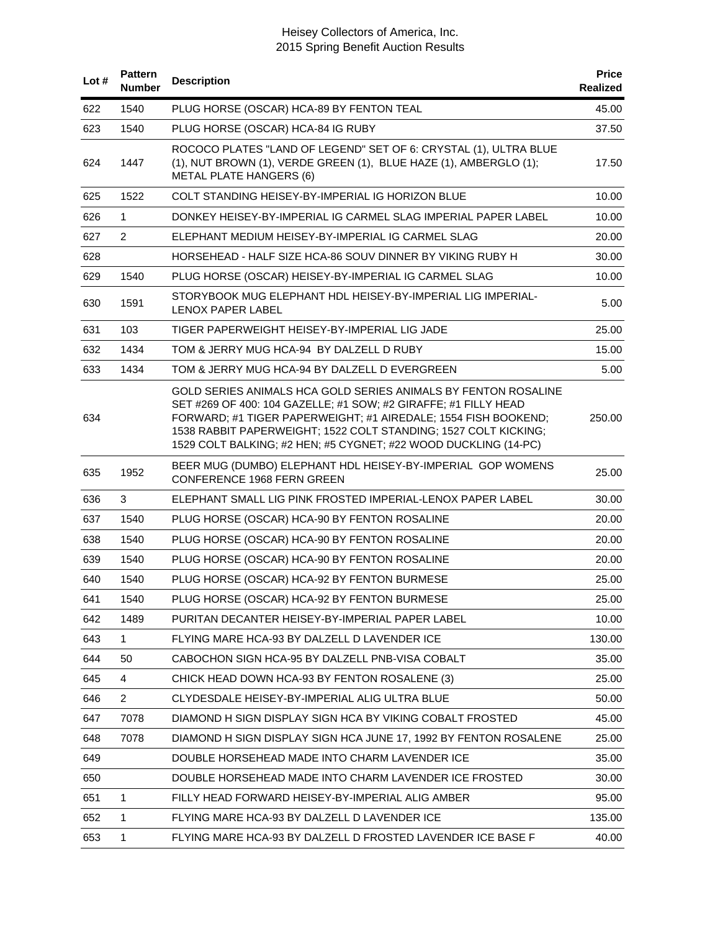| Lot# | <b>Pattern</b><br><b>Number</b> | <b>Description</b>                                                                                                                                                                                                                                                                                                                        | <b>Price</b><br><b>Realized</b> |
|------|---------------------------------|-------------------------------------------------------------------------------------------------------------------------------------------------------------------------------------------------------------------------------------------------------------------------------------------------------------------------------------------|---------------------------------|
| 622  | 1540                            | PLUG HORSE (OSCAR) HCA-89 BY FENTON TEAL                                                                                                                                                                                                                                                                                                  | 45.00                           |
| 623  | 1540                            | PLUG HORSE (OSCAR) HCA-84 IG RUBY                                                                                                                                                                                                                                                                                                         | 37.50                           |
| 624  | 1447                            | ROCOCO PLATES "LAND OF LEGEND" SET OF 6: CRYSTAL (1), ULTRA BLUE<br>(1), NUT BROWN (1), VERDE GREEN (1), BLUE HAZE (1), AMBERGLO (1);<br><b>METAL PLATE HANGERS (6)</b>                                                                                                                                                                   | 17.50                           |
| 625  | 1522                            | COLT STANDING HEISEY-BY-IMPERIAL IG HORIZON BLUE                                                                                                                                                                                                                                                                                          | 10.00                           |
| 626  | $\mathbf 1$                     | DONKEY HEISEY-BY-IMPERIAL IG CARMEL SLAG IMPERIAL PAPER LABEL                                                                                                                                                                                                                                                                             | 10.00                           |
| 627  | $\overline{2}$                  | ELEPHANT MEDIUM HEISEY-BY-IMPERIAL IG CARMEL SLAG                                                                                                                                                                                                                                                                                         | 20.00                           |
| 628  |                                 | HORSEHEAD - HALF SIZE HCA-86 SOUV DINNER BY VIKING RUBY H                                                                                                                                                                                                                                                                                 | 30.00                           |
| 629  | 1540                            | PLUG HORSE (OSCAR) HEISEY-BY-IMPERIAL IG CARMEL SLAG                                                                                                                                                                                                                                                                                      | 10.00                           |
| 630  | 1591                            | STORYBOOK MUG ELEPHANT HDL HEISEY-BY-IMPERIAL LIG IMPERIAL-<br>LENOX PAPER LABEL                                                                                                                                                                                                                                                          | 5.00                            |
| 631  | 103                             | TIGER PAPERWEIGHT HEISEY-BY-IMPERIAL LIG JADE                                                                                                                                                                                                                                                                                             | 25.00                           |
| 632  | 1434                            | TOM & JERRY MUG HCA-94 BY DALZELL D RUBY                                                                                                                                                                                                                                                                                                  | 15.00                           |
| 633  | 1434                            | TOM & JERRY MUG HCA-94 BY DALZELL D EVERGREEN                                                                                                                                                                                                                                                                                             | 5.00                            |
| 634  |                                 | GOLD SERIES ANIMALS HCA GOLD SERIES ANIMALS BY FENTON ROSALINE<br>SET #269 OF 400: 104 GAZELLE; #1 SOW; #2 GIRAFFE; #1 FILLY HEAD<br>FORWARD; #1 TIGER PAPERWEIGHT; #1 AIREDALE; 1554 FISH BOOKEND;<br>1538 RABBIT PAPERWEIGHT; 1522 COLT STANDING; 1527 COLT KICKING;<br>1529 COLT BALKING; #2 HEN; #5 CYGNET; #22 WOOD DUCKLING (14-PC) | 250.00                          |
| 635  | 1952                            | BEER MUG (DUMBO) ELEPHANT HDL HEISEY-BY-IMPERIAL GOP WOMENS<br>CONFERENCE 1968 FERN GREEN                                                                                                                                                                                                                                                 | 25.00                           |
| 636  | 3                               | ELEPHANT SMALL LIG PINK FROSTED IMPERIAL-LENOX PAPER LABEL                                                                                                                                                                                                                                                                                | 30.00                           |
| 637  | 1540                            | PLUG HORSE (OSCAR) HCA-90 BY FENTON ROSALINE                                                                                                                                                                                                                                                                                              | 20.00                           |
| 638  | 1540                            | PLUG HORSE (OSCAR) HCA-90 BY FENTON ROSALINE                                                                                                                                                                                                                                                                                              | 20.00                           |
| 639  | 1540                            | PLUG HORSE (OSCAR) HCA-90 BY FENTON ROSALINE                                                                                                                                                                                                                                                                                              | 20.00                           |
| 640  | 1540                            | PLUG HORSE (OSCAR) HCA-92 BY FENTON BURMESE                                                                                                                                                                                                                                                                                               | 25.00                           |
| 641  | 1540                            | PLUG HORSE (OSCAR) HCA-92 BY FENTON BURMESE                                                                                                                                                                                                                                                                                               | 25.00                           |
| 642  | 1489                            | PURITAN DECANTER HEISEY-BY-IMPERIAL PAPER LABEL                                                                                                                                                                                                                                                                                           | 10.00                           |
| 643  | $\mathbf{1}$                    | FLYING MARE HCA-93 BY DALZELL D LAVENDER ICE                                                                                                                                                                                                                                                                                              | 130.00                          |
| 644  | 50                              | CABOCHON SIGN HCA-95 BY DALZELL PNB-VISA COBALT                                                                                                                                                                                                                                                                                           | 35.00                           |
| 645  | 4                               | CHICK HEAD DOWN HCA-93 BY FENTON ROSALENE (3)                                                                                                                                                                                                                                                                                             | 25.00                           |
| 646  | $\overline{2}$                  | CLYDESDALE HEISEY-BY-IMPERIAL ALIG ULTRA BLUE                                                                                                                                                                                                                                                                                             | 50.00                           |
| 647  | 7078                            | DIAMOND H SIGN DISPLAY SIGN HCA BY VIKING COBALT FROSTED                                                                                                                                                                                                                                                                                  | 45.00                           |
| 648  | 7078                            | DIAMOND H SIGN DISPLAY SIGN HCA JUNE 17, 1992 BY FENTON ROSALENE                                                                                                                                                                                                                                                                          | 25.00                           |
| 649  |                                 | DOUBLE HORSEHEAD MADE INTO CHARM LAVENDER ICE                                                                                                                                                                                                                                                                                             | 35.00                           |
| 650  |                                 | DOUBLE HORSEHEAD MADE INTO CHARM LAVENDER ICE FROSTED                                                                                                                                                                                                                                                                                     | 30.00                           |
| 651  | 1                               | FILLY HEAD FORWARD HEISEY-BY-IMPERIAL ALIG AMBER                                                                                                                                                                                                                                                                                          | 95.00                           |
| 652  | 1                               | FLYING MARE HCA-93 BY DALZELL D LAVENDER ICE                                                                                                                                                                                                                                                                                              | 135.00                          |
| 653  | 1                               | FLYING MARE HCA-93 BY DALZELL D FROSTED LAVENDER ICE BASE F                                                                                                                                                                                                                                                                               | 40.00                           |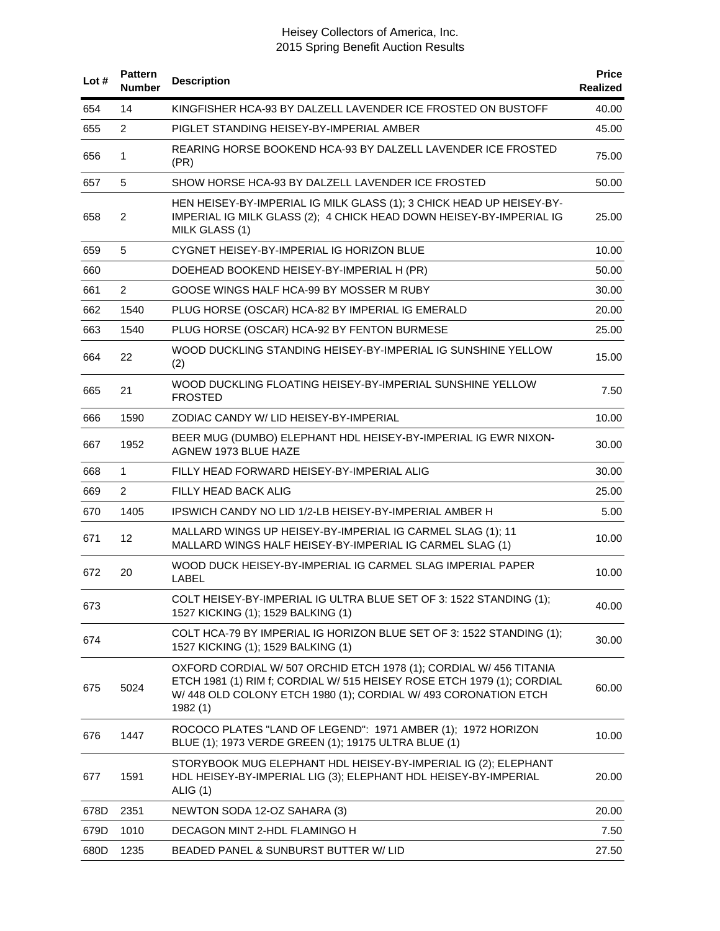| Lot# | <b>Pattern</b><br><b>Number</b> | <b>Description</b>                                                                                                                                                                                                        | <b>Price</b><br>Realized |
|------|---------------------------------|---------------------------------------------------------------------------------------------------------------------------------------------------------------------------------------------------------------------------|--------------------------|
| 654  | 14                              | KINGFISHER HCA-93 BY DALZELL LAVENDER ICE FROSTED ON BUSTOFF                                                                                                                                                              | 40.00                    |
| 655  | $\overline{2}$                  | PIGLET STANDING HEISEY-BY-IMPERIAL AMBER                                                                                                                                                                                  | 45.00                    |
| 656  | $\mathbf{1}$                    | REARING HORSE BOOKEND HCA-93 BY DALZELL LAVENDER ICE FROSTED<br>(PR)                                                                                                                                                      | 75.00                    |
| 657  | 5                               | SHOW HORSE HCA-93 BY DALZELL LAVENDER ICE FROSTED                                                                                                                                                                         | 50.00                    |
| 658  | $\overline{2}$                  | HEN HEISEY-BY-IMPERIAL IG MILK GLASS (1); 3 CHICK HEAD UP HEISEY-BY-<br>IMPERIAL IG MILK GLASS (2); 4 CHICK HEAD DOWN HEISEY-BY-IMPERIAL IG<br>MILK GLASS (1)                                                             | 25.00                    |
| 659  | 5                               | CYGNET HEISEY-BY-IMPERIAL IG HORIZON BLUE                                                                                                                                                                                 | 10.00                    |
| 660  |                                 | DOEHEAD BOOKEND HEISEY-BY-IMPERIAL H (PR)                                                                                                                                                                                 | 50.00                    |
| 661  | $\overline{2}$                  | GOOSE WINGS HALF HCA-99 BY MOSSER M RUBY                                                                                                                                                                                  | 30.00                    |
| 662  | 1540                            | PLUG HORSE (OSCAR) HCA-82 BY IMPERIAL IG EMERALD                                                                                                                                                                          | 20.00                    |
| 663  | 1540                            | PLUG HORSE (OSCAR) HCA-92 BY FENTON BURMESE                                                                                                                                                                               | 25.00                    |
| 664  | 22                              | WOOD DUCKLING STANDING HEISEY-BY-IMPERIAL IG SUNSHINE YELLOW<br>(2)                                                                                                                                                       | 15.00                    |
| 665  | 21                              | WOOD DUCKLING FLOATING HEISEY-BY-IMPERIAL SUNSHINE YELLOW<br><b>FROSTED</b>                                                                                                                                               | 7.50                     |
| 666  | 1590                            | ZODIAC CANDY W/ LID HEISEY-BY-IMPERIAL                                                                                                                                                                                    | 10.00                    |
| 667  | 1952                            | BEER MUG (DUMBO) ELEPHANT HDL HEISEY-BY-IMPERIAL IG EWR NIXON-<br>AGNEW 1973 BLUE HAZE                                                                                                                                    | 30.00                    |
| 668  | 1                               | FILLY HEAD FORWARD HEISEY-BY-IMPERIAL ALIG                                                                                                                                                                                | 30.00                    |
| 669  | $\overline{2}$                  | FILLY HEAD BACK ALIG                                                                                                                                                                                                      | 25.00                    |
| 670  | 1405                            | IPSWICH CANDY NO LID 1/2-LB HEISEY-BY-IMPERIAL AMBER H                                                                                                                                                                    | 5.00                     |
| 671  | 12                              | MALLARD WINGS UP HEISEY-BY-IMPERIAL IG CARMEL SLAG (1); 11<br>MALLARD WINGS HALF HEISEY-BY-IMPERIAL IG CARMEL SLAG (1)                                                                                                    | 10.00                    |
| 672  | 20                              | WOOD DUCK HEISEY-BY-IMPERIAL IG CARMEL SLAG IMPERIAL PAPER<br><b>LABEL</b>                                                                                                                                                | 10.00                    |
| 673  |                                 | COLT HEISEY-BY-IMPERIAL IG ULTRA BLUE SET OF 3: 1522 STANDING (1);<br>1527 KICKING (1); 1529 BALKING (1)                                                                                                                  | 40.00                    |
| 674  |                                 | COLT HCA-79 BY IMPERIAL IG HORIZON BLUE SET OF 3: 1522 STANDING (1);<br>1527 KICKING (1); 1529 BALKING (1)                                                                                                                | 30.00                    |
| 675  | 5024                            | OXFORD CORDIAL W/ 507 ORCHID ETCH 1978 (1); CORDIAL W/ 456 TITANIA<br>ETCH 1981 (1) RIM f; CORDIAL W/ 515 HEISEY ROSE ETCH 1979 (1); CORDIAL<br>W/448 OLD COLONY ETCH 1980 (1); CORDIAL W/493 CORONATION ETCH<br>1982 (1) | 60.00                    |
| 676  | 1447                            | ROCOCO PLATES "LAND OF LEGEND": 1971 AMBER (1); 1972 HORIZON<br>BLUE (1); 1973 VERDE GREEN (1); 19175 ULTRA BLUE (1)                                                                                                      | 10.00                    |
| 677  | 1591                            | STORYBOOK MUG ELEPHANT HDL HEISEY-BY-IMPERIAL IG (2); ELEPHANT<br>HDL HEISEY-BY-IMPERIAL LIG (3); ELEPHANT HDL HEISEY-BY-IMPERIAL<br>ALIG $(1)$                                                                           | 20.00                    |
| 678D | 2351                            | NEWTON SODA 12-OZ SAHARA (3)                                                                                                                                                                                              | 20.00                    |
| 679D | 1010                            | DECAGON MINT 2-HDL FLAMINGO H                                                                                                                                                                                             | 7.50                     |
| 680D | 1235                            | BEADED PANEL & SUNBURST BUTTER W/ LID                                                                                                                                                                                     | 27.50                    |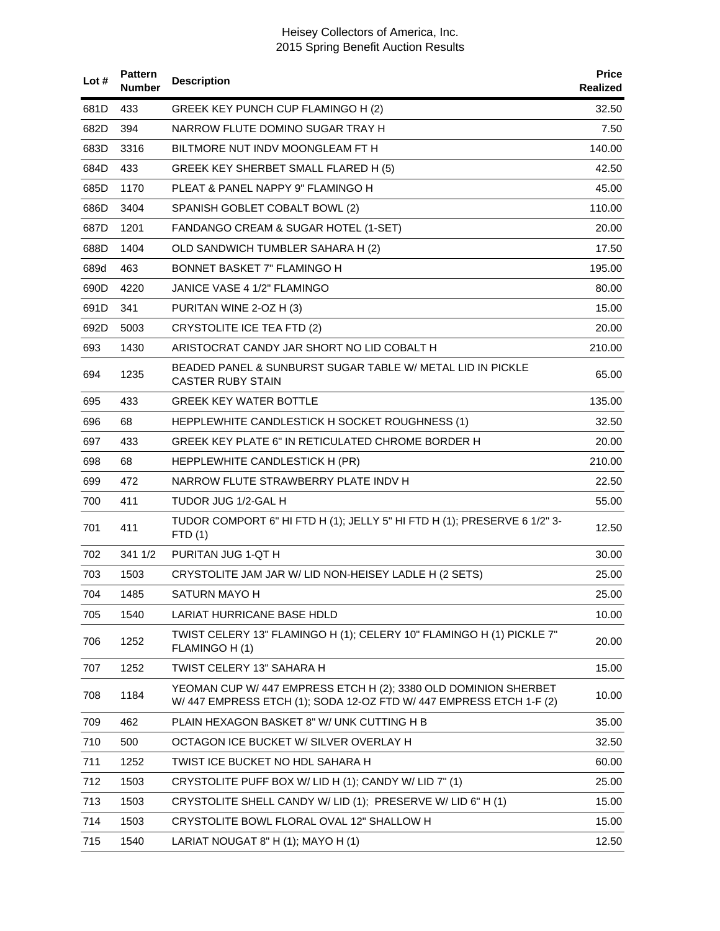| Lot# | <b>Pattern</b><br><b>Number</b> | <b>Description</b>                                                                                                                   | <b>Price</b><br>Realized |
|------|---------------------------------|--------------------------------------------------------------------------------------------------------------------------------------|--------------------------|
| 681D | 433                             | GREEK KEY PUNCH CUP FLAMINGO H (2)                                                                                                   | 32.50                    |
| 682D | 394                             | NARROW FLUTE DOMINO SUGAR TRAY H                                                                                                     | 7.50                     |
| 683D | 3316                            | BILTMORE NUT INDV MOONGLEAM FT H                                                                                                     | 140.00                   |
| 684D | 433                             | GREEK KEY SHERBET SMALL FLARED H (5)                                                                                                 | 42.50                    |
| 685D | 1170                            | PLEAT & PANEL NAPPY 9" FLAMINGO H                                                                                                    | 45.00                    |
| 686D | 3404                            | SPANISH GOBLET COBALT BOWL (2)                                                                                                       | 110.00                   |
| 687D | 1201                            | FANDANGO CREAM & SUGAR HOTEL (1-SET)                                                                                                 | 20.00                    |
| 688D | 1404                            | OLD SANDWICH TUMBLER SAHARA H (2)                                                                                                    | 17.50                    |
| 689d | 463                             | <b>BONNET BASKET 7" FLAMINGO H</b>                                                                                                   | 195.00                   |
| 690D | 4220                            | JANICE VASE 4 1/2" FLAMINGO                                                                                                          | 80.00                    |
| 691D | 341                             | PURITAN WINE 2-OZ H (3)                                                                                                              | 15.00                    |
| 692D | 5003                            | CRYSTOLITE ICE TEA FTD (2)                                                                                                           | 20.00                    |
| 693  | 1430                            | ARISTOCRAT CANDY JAR SHORT NO LID COBALT H                                                                                           | 210.00                   |
| 694  | 1235                            | BEADED PANEL & SUNBURST SUGAR TABLE W/ METAL LID IN PICKLE<br><b>CASTER RUBY STAIN</b>                                               | 65.00                    |
| 695  | 433                             | <b>GREEK KEY WATER BOTTLE</b>                                                                                                        | 135.00                   |
| 696  | 68                              | HEPPLEWHITE CANDLESTICK H SOCKET ROUGHNESS (1)                                                                                       | 32.50                    |
| 697  | 433                             | GREEK KEY PLATE 6" IN RETICULATED CHROME BORDER H                                                                                    | 20.00                    |
| 698  | 68                              | HEPPLEWHITE CANDLESTICK H (PR)                                                                                                       | 210.00                   |
| 699  | 472                             | NARROW FLUTE STRAWBERRY PLATE INDV H                                                                                                 | 22.50                    |
| 700  | 411                             | TUDOR JUG 1/2-GAL H                                                                                                                  | 55.00                    |
| 701  | 411                             | TUDOR COMPORT 6" HI FTD H (1); JELLY 5" HI FTD H (1); PRESERVE 6 1/2" 3-<br>FTD(1)                                                   | 12.50                    |
| 702  | 341 1/2                         | PURITAN JUG 1-QT H                                                                                                                   | 30.00                    |
| 703  | 1503                            | CRYSTOLITE JAM JAR W/ LID NON-HEISEY LADLE H (2 SETS)                                                                                | 25.00                    |
| 704  | 1485                            | SATURN MAYO H                                                                                                                        | 25.00                    |
| 705  | 1540                            | LARIAT HURRICANE BASE HDLD                                                                                                           | 10.00                    |
| 706  | 1252                            | TWIST CELERY 13" FLAMINGO H (1); CELERY 10" FLAMINGO H (1) PICKLE 7"<br>FLAMINGO H (1)                                               | 20.00                    |
| 707  | 1252                            | TWIST CELERY 13" SAHARA H                                                                                                            | 15.00                    |
| 708  | 1184                            | YEOMAN CUP W/ 447 EMPRESS ETCH H (2); 3380 OLD DOMINION SHERBET<br>W/447 EMPRESS ETCH (1); SODA 12-OZ FTD W/447 EMPRESS ETCH 1-F (2) | 10.00                    |
| 709  | 462                             | PLAIN HEXAGON BASKET 8" W/ UNK CUTTING H B                                                                                           | 35.00                    |
| 710  | 500                             | OCTAGON ICE BUCKET W/ SILVER OVERLAY H                                                                                               | 32.50                    |
| 711  | 1252                            | TWIST ICE BUCKET NO HDL SAHARA H                                                                                                     | 60.00                    |
| 712  | 1503                            | CRYSTOLITE PUFF BOX W/ LID H (1); CANDY W/ LID 7" (1)                                                                                | 25.00                    |
| 713  | 1503                            | CRYSTOLITE SHELL CANDY W/ LID (1); PRESERVE W/ LID 6" H (1)                                                                          | 15.00                    |
| 714  | 1503                            | CRYSTOLITE BOWL FLORAL OVAL 12" SHALLOW H                                                                                            | 15.00                    |
| 715  | 1540                            | LARIAT NOUGAT 8" H (1); MAYO H (1)                                                                                                   | 12.50                    |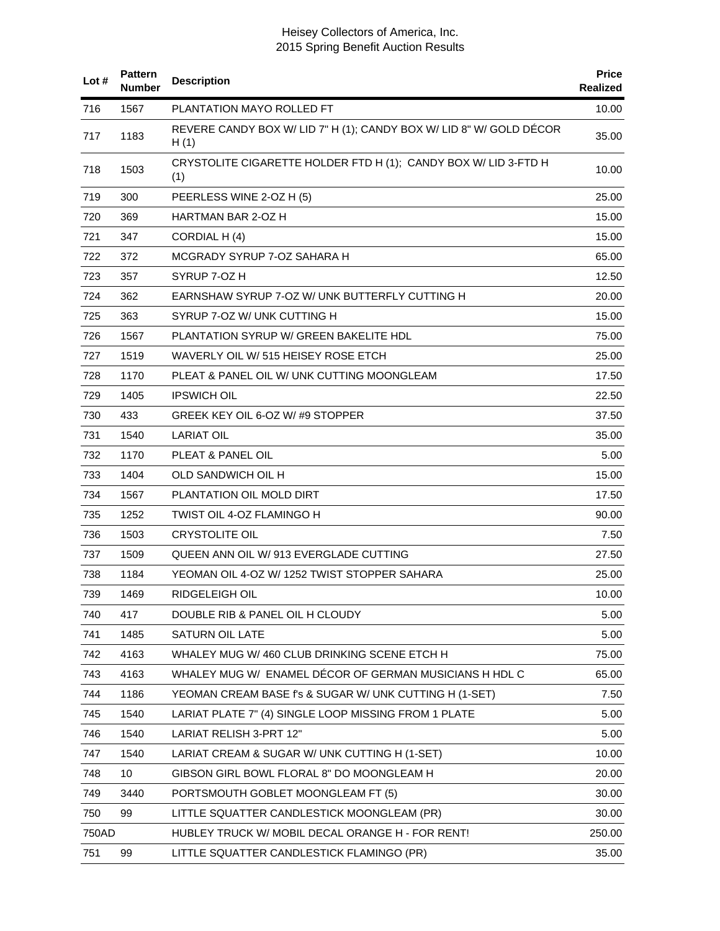| Lot # | <b>Pattern</b><br><b>Number</b> | <b>Description</b>                                                          | <b>Price</b><br>Realized |
|-------|---------------------------------|-----------------------------------------------------------------------------|--------------------------|
| 716   | 1567                            | PLANTATION MAYO ROLLED FT                                                   | 10.00                    |
| 717   | 1183                            | REVERE CANDY BOX W/ LID 7" H (1); CANDY BOX W/ LID 8" W/ GOLD DÉCOR<br>H(1) | 35.00                    |
| 718   | 1503                            | CRYSTOLITE CIGARETTE HOLDER FTD H (1); CANDY BOX W/ LID 3-FTD H<br>(1)      | 10.00                    |
| 719   | 300                             | PEERLESS WINE 2-OZ H (5)                                                    | 25.00                    |
| 720   | 369                             | HARTMAN BAR 2-OZ H                                                          | 15.00                    |
| 721   | 347                             | CORDIAL H (4)                                                               | 15.00                    |
| 722   | 372                             | MCGRADY SYRUP 7-OZ SAHARA H                                                 | 65.00                    |
| 723   | 357                             | SYRUP 7-OZ H                                                                | 12.50                    |
| 724   | 362                             | EARNSHAW SYRUP 7-OZ W/ UNK BUTTERFLY CUTTING H                              | 20.00                    |
| 725   | 363                             | SYRUP 7-OZ W/ UNK CUTTING H                                                 | 15.00                    |
| 726   | 1567                            | PLANTATION SYRUP W/ GREEN BAKELITE HDL                                      | 75.00                    |
| 727   | 1519                            | WAVERLY OIL W/ 515 HEISEY ROSE ETCH                                         | 25.00                    |
| 728   | 1170                            | PLEAT & PANEL OIL W/ UNK CUTTING MOONGLEAM                                  | 17.50                    |
| 729   | 1405                            | <b>IPSWICH OIL</b>                                                          | 22.50                    |
| 730   | 433                             | GREEK KEY OIL 6-OZ W/#9 STOPPER                                             | 37.50                    |
| 731   | 1540                            | <b>LARIAT OIL</b>                                                           | 35.00                    |
| 732   | 1170                            | PLEAT & PANEL OIL                                                           | 5.00                     |
| 733   | 1404                            | OLD SANDWICH OIL H                                                          | 15.00                    |
| 734   | 1567                            | PLANTATION OIL MOLD DIRT                                                    | 17.50                    |
| 735   | 1252                            | TWIST OIL 4-OZ FLAMINGO H                                                   | 90.00                    |
| 736   | 1503                            | <b>CRYSTOLITE OIL</b>                                                       | 7.50                     |
| 737   | 1509                            | QUEEN ANN OIL W/ 913 EVERGLADE CUTTING                                      | 27.50                    |
| 738   | 1184                            | YEOMAN OIL 4-OZ W/ 1252 TWIST STOPPER SAHARA                                | 25.00                    |
| 739   | 1469                            | RIDGELEIGH OIL                                                              | 10.00                    |
| 740   | 417                             | DOUBLE RIB & PANEL OIL H CLOUDY                                             | 5.00                     |
| 741   | 1485                            | SATURN OIL LATE                                                             | 5.00                     |
| 742   | 4163                            | WHALEY MUG W/460 CLUB DRINKING SCENE ETCH H                                 | 75.00                    |
| 743   | 4163                            | WHALEY MUG W/ ENAMEL DÉCOR OF GERMAN MUSICIANS H HDL C                      | 65.00                    |
| 744   | 1186                            | YEOMAN CREAM BASE f's & SUGAR W/ UNK CUTTING H (1-SET)                      | 7.50                     |
| 745   | 1540                            | LARIAT PLATE 7" (4) SINGLE LOOP MISSING FROM 1 PLATE                        | 5.00                     |
| 746   | 1540                            | LARIAT RELISH 3-PRT 12"                                                     | 5.00                     |
| 747   | 1540                            | LARIAT CREAM & SUGAR W/ UNK CUTTING H (1-SET)                               | 10.00                    |
| 748   | 10                              | GIBSON GIRL BOWL FLORAL 8" DO MOONGLEAM H                                   | 20.00                    |
| 749   | 3440                            | PORTSMOUTH GOBLET MOONGLEAM FT (5)                                          | 30.00                    |
| 750   | 99                              | LITTLE SQUATTER CANDLESTICK MOONGLEAM (PR)                                  | 30.00                    |
| 750AD |                                 | HUBLEY TRUCK W/ MOBIL DECAL ORANGE H - FOR RENT!                            | 250.00                   |
| 751   | 99                              | LITTLE SQUATTER CANDLESTICK FLAMINGO (PR)                                   | 35.00                    |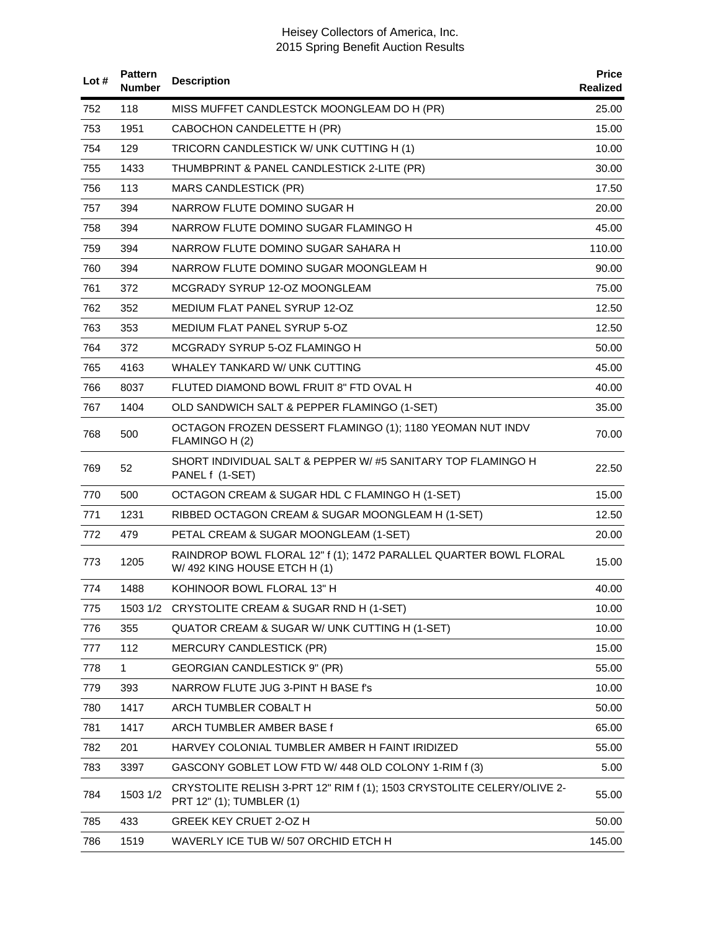| Lot $#$ | <b>Pattern</b><br><b>Number</b> | <b>Description</b>                                                                                 | <b>Price</b><br>Realized |
|---------|---------------------------------|----------------------------------------------------------------------------------------------------|--------------------------|
| 752     | 118                             | MISS MUFFET CANDLESTCK MOONGLEAM DO H (PR)                                                         | 25.00                    |
| 753     | 1951                            | CABOCHON CANDELETTE H (PR)                                                                         | 15.00                    |
| 754     | 129                             | TRICORN CANDLESTICK W/ UNK CUTTING H (1)                                                           | 10.00                    |
| 755     | 1433                            | THUMBPRINT & PANEL CANDLESTICK 2-LITE (PR)                                                         | 30.00                    |
| 756     | 113                             | <b>MARS CANDLESTICK (PR)</b>                                                                       | 17.50                    |
| 757     | 394                             | NARROW FLUTE DOMINO SUGAR H                                                                        | 20.00                    |
| 758     | 394                             | NARROW FLUTE DOMINO SUGAR FLAMINGO H                                                               | 45.00                    |
| 759     | 394                             | NARROW FLUTE DOMINO SUGAR SAHARA H                                                                 | 110.00                   |
| 760     | 394                             | NARROW FLUTE DOMINO SUGAR MOONGLEAM H                                                              | 90.00                    |
| 761     | 372                             | MCGRADY SYRUP 12-OZ MOONGLEAM                                                                      | 75.00                    |
| 762     | 352                             | <b>MEDIUM FLAT PANEL SYRUP 12-OZ</b>                                                               | 12.50                    |
| 763     | 353                             | MEDIUM FLAT PANEL SYRUP 5-OZ                                                                       | 12.50                    |
| 764     | 372                             | MCGRADY SYRUP 5-OZ FLAMINGO H                                                                      | 50.00                    |
| 765     | 4163                            | WHALEY TANKARD W/ UNK CUTTING                                                                      | 45.00                    |
| 766     | 8037                            | FLUTED DIAMOND BOWL FRUIT 8" FTD OVAL H                                                            | 40.00                    |
| 767     | 1404                            | OLD SANDWICH SALT & PEPPER FLAMINGO (1-SET)                                                        | 35.00                    |
| 768     | 500                             | OCTAGON FROZEN DESSERT FLAMINGO (1); 1180 YEOMAN NUT INDV<br>FLAMINGO H (2)                        | 70.00                    |
| 769     | 52                              | SHORT INDIVIDUAL SALT & PEPPER W/#5 SANITARY TOP FLAMINGO H<br>PANEL f (1-SET)                     | 22.50                    |
| 770     | 500                             | OCTAGON CREAM & SUGAR HDL C FLAMINGO H (1-SET)                                                     | 15.00                    |
| 771     | 1231                            | RIBBED OCTAGON CREAM & SUGAR MOONGLEAM H (1-SET)                                                   | 12.50                    |
| 772     | 479                             | PETAL CREAM & SUGAR MOONGLEAM (1-SET)                                                              | 20.00                    |
| 773     | 1205                            | RAINDROP BOWL FLORAL 12" f (1); 1472 PARALLEL QUARTER BOWL FLORAL<br>W/492 KING HOUSE ETCH H (1)   | 15.00                    |
| 774     | 1488                            | KOHINOOR BOWL FLORAL 13" H                                                                         | 40.00                    |
| 775     |                                 | 1503 1/2 CRYSTOLITE CREAM & SUGAR RND H (1-SET)                                                    | 10.00                    |
| 776     | 355                             | QUATOR CREAM & SUGAR W/ UNK CUTTING H (1-SET)                                                      | 10.00                    |
| 777     | 112                             | <b>MERCURY CANDLESTICK (PR)</b>                                                                    | 15.00                    |
| 778     | 1                               | GEORGIAN CANDLESTICK 9" (PR)                                                                       | 55.00                    |
| 779     | 393                             | NARROW FLUTE JUG 3-PINT H BASE f's                                                                 | 10.00                    |
| 780     | 1417                            | ARCH TUMBLER COBALT H                                                                              | 50.00                    |
| 781     | 1417                            | ARCH TUMBLER AMBER BASE f                                                                          | 65.00                    |
| 782     | 201                             | HARVEY COLONIAL TUMBLER AMBER H FAINT IRIDIZED                                                     | 55.00                    |
| 783     | 3397                            | GASCONY GOBLET LOW FTD W/ 448 OLD COLONY 1-RIM f (3)                                               | 5.00                     |
| 784     | 1503 1/2                        | CRYSTOLITE RELISH 3-PRT 12" RIM f (1); 1503 CRYSTOLITE CELERY/OLIVE 2-<br>PRT 12" (1); TUMBLER (1) | 55.00                    |
| 785     | 433                             | GREEK KEY CRUET 2-OZ H                                                                             | 50.00                    |
| 786     | 1519                            | WAVERLY ICE TUB W/ 507 ORCHID ETCH H                                                               | 145.00                   |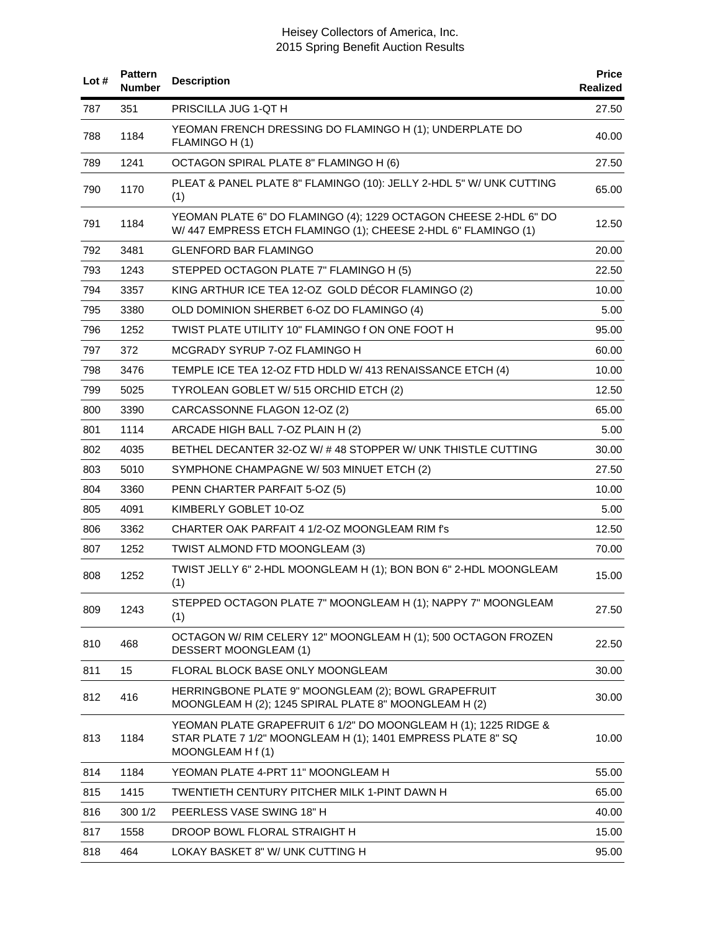| Lot# | <b>Pattern</b><br><b>Number</b> | <b>Description</b>                                                                                                                                  | <b>Price</b><br><b>Realized</b> |
|------|---------------------------------|-----------------------------------------------------------------------------------------------------------------------------------------------------|---------------------------------|
| 787  | 351                             | PRISCILLA JUG 1-QT H                                                                                                                                | 27.50                           |
| 788  | 1184                            | YEOMAN FRENCH DRESSING DO FLAMINGO H (1); UNDERPLATE DO<br>FLAMINGO H (1)                                                                           | 40.00                           |
| 789  | 1241                            | OCTAGON SPIRAL PLATE 8" FLAMINGO H (6)                                                                                                              | 27.50                           |
| 790  | 1170                            | PLEAT & PANEL PLATE 8" FLAMINGO (10): JELLY 2-HDL 5" W/ UNK CUTTING<br>(1)                                                                          | 65.00                           |
| 791  | 1184                            | YEOMAN PLATE 6" DO FLAMINGO (4); 1229 OCTAGON CHEESE 2-HDL 6" DO<br>W/447 EMPRESS ETCH FLAMINGO (1); CHEESE 2-HDL 6" FLAMINGO (1)                   | 12.50                           |
| 792  | 3481                            | <b>GLENFORD BAR FLAMINGO</b>                                                                                                                        | 20.00                           |
| 793  | 1243                            | STEPPED OCTAGON PLATE 7" FLAMINGO H (5)                                                                                                             | 22.50                           |
| 794  | 3357                            | KING ARTHUR ICE TEA 12-OZ GOLD DÉCOR FLAMINGO (2)                                                                                                   | 10.00                           |
| 795  | 3380                            | OLD DOMINION SHERBET 6-OZ DO FLAMINGO (4)                                                                                                           | 5.00                            |
| 796  | 1252                            | TWIST PLATE UTILITY 10" FLAMINGO f ON ONE FOOT H                                                                                                    | 95.00                           |
| 797  | 372                             | MCGRADY SYRUP 7-OZ FLAMINGO H                                                                                                                       | 60.00                           |
| 798  | 3476                            | TEMPLE ICE TEA 12-OZ FTD HDLD W/ 413 RENAISSANCE ETCH (4)                                                                                           | 10.00                           |
| 799  | 5025                            | TYROLEAN GOBLET W/ 515 ORCHID ETCH (2)                                                                                                              | 12.50                           |
| 800  | 3390                            | CARCASSONNE FLAGON 12-OZ (2)                                                                                                                        | 65.00                           |
| 801  | 1114                            | ARCADE HIGH BALL 7-OZ PLAIN H (2)                                                                                                                   | 5.00                            |
| 802  | 4035                            | BETHEL DECANTER 32-OZ W/ #48 STOPPER W/ UNK THISTLE CUTTING                                                                                         | 30.00                           |
| 803  | 5010                            | SYMPHONE CHAMPAGNE W/ 503 MINUET ETCH (2)                                                                                                           | 27.50                           |
| 804  | 3360                            | PENN CHARTER PARFAIT 5-OZ (5)                                                                                                                       | 10.00                           |
| 805  | 4091                            | KIMBERLY GOBLET 10-OZ                                                                                                                               | 5.00                            |
| 806  | 3362                            | CHARTER OAK PARFAIT 4 1/2-OZ MOONGLEAM RIM f's                                                                                                      | 12.50                           |
| 807  | 1252                            | TWIST ALMOND FTD MOONGLEAM (3)                                                                                                                      | 70.00                           |
| 808  | 1252                            | TWIST JELLY 6" 2-HDL MOONGLEAM H (1); BON BON 6" 2-HDL MOONGLEAM<br>(1)                                                                             | 15.00                           |
| 809  | 1243                            | STEPPED OCTAGON PLATE 7" MOONGLEAM H (1); NAPPY 7" MOONGLEAM<br>(1)                                                                                 | 27.50                           |
| 810  | 468                             | OCTAGON W/ RIM CELERY 12" MOONGLEAM H (1); 500 OCTAGON FROZEN<br><b>DESSERT MOONGLEAM (1)</b>                                                       | 22.50                           |
| 811  | 15                              | FLORAL BLOCK BASE ONLY MOONGLEAM                                                                                                                    | 30.00                           |
| 812  | 416                             | HERRINGBONE PLATE 9" MOONGLEAM (2); BOWL GRAPEFRUIT<br>MOONGLEAM H (2); 1245 SPIRAL PLATE 8" MOONGLEAM H (2)                                        | 30.00                           |
| 813  | 1184                            | YEOMAN PLATE GRAPEFRUIT 6 1/2" DO MOONGLEAM H (1); 1225 RIDGE &<br>STAR PLATE 7 1/2" MOONGLEAM H (1); 1401 EMPRESS PLATE 8" SQ<br>MOONGLEAM H f (1) | 10.00                           |
| 814  | 1184                            | YEOMAN PLATE 4-PRT 11" MOONGLEAM H                                                                                                                  | 55.00                           |
| 815  | 1415                            | TWENTIETH CENTURY PITCHER MILK 1-PINT DAWN H                                                                                                        | 65.00                           |
| 816  | 300 1/2                         | PEERLESS VASE SWING 18" H                                                                                                                           | 40.00                           |
| 817  | 1558                            | DROOP BOWL FLORAL STRAIGHT H                                                                                                                        | 15.00                           |
| 818  | 464                             | LOKAY BASKET 8" W/ UNK CUTTING H                                                                                                                    | 95.00                           |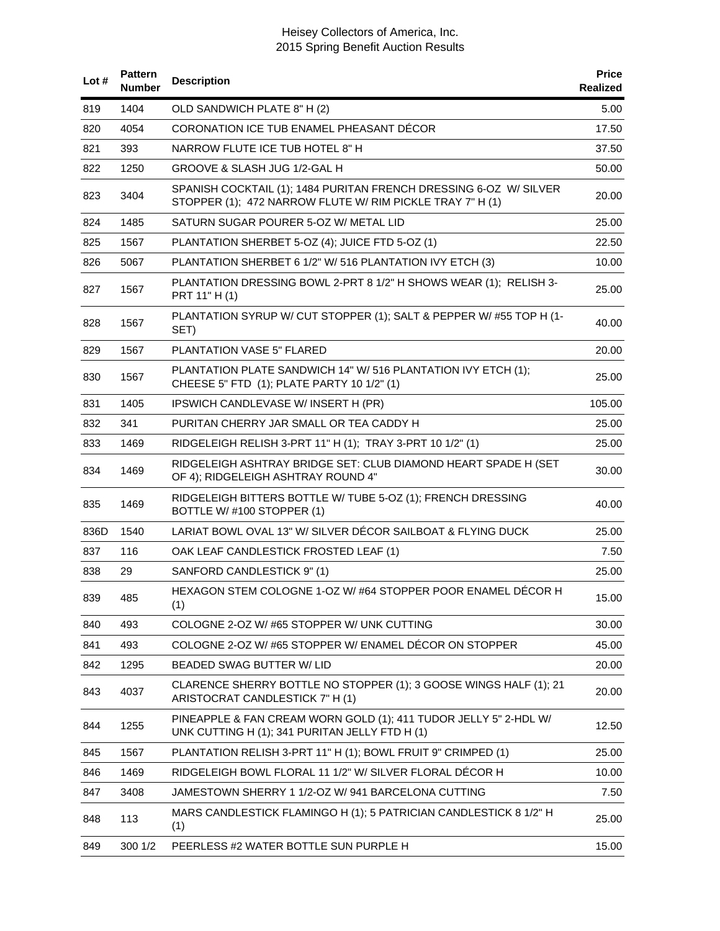| Lot $#$ | <b>Pattern</b><br><b>Number</b> | <b>Description</b>                                                                                                             | <b>Price</b><br>Realized |
|---------|---------------------------------|--------------------------------------------------------------------------------------------------------------------------------|--------------------------|
| 819     | 1404                            | OLD SANDWICH PLATE 8" H (2)                                                                                                    | 5.00                     |
| 820     | 4054                            | CORONATION ICE TUB ENAMEL PHEASANT DÉCOR                                                                                       | 17.50                    |
| 821     | 393                             | NARROW FLUTE ICE TUB HOTEL 8" H                                                                                                | 37.50                    |
| 822     | 1250                            | GROOVE & SLASH JUG 1/2-GAL H                                                                                                   | 50.00                    |
| 823     | 3404                            | SPANISH COCKTAIL (1); 1484 PURITAN FRENCH DRESSING 6-OZ W/ SILVER<br>STOPPER (1); 472 NARROW FLUTE W/ RIM PICKLE TRAY 7" H (1) | 20.00                    |
| 824     | 1485                            | SATURN SUGAR POURER 5-OZ W/ METAL LID                                                                                          | 25.00                    |
| 825     | 1567                            | PLANTATION SHERBET 5-OZ (4); JUICE FTD 5-OZ (1)                                                                                | 22.50                    |
| 826     | 5067                            | PLANTATION SHERBET 6 1/2" W/ 516 PLANTATION IVY ETCH (3)                                                                       | 10.00                    |
| 827     | 1567                            | PLANTATION DRESSING BOWL 2-PRT 8 1/2" H SHOWS WEAR (1); RELISH 3-<br>PRT 11" H (1)                                             | 25.00                    |
| 828     | 1567                            | PLANTATION SYRUP W/ CUT STOPPER (1); SALT & PEPPER W/ #55 TOP H (1-<br>SET)                                                    | 40.00                    |
| 829     | 1567                            | PLANTATION VASE 5" FLARED                                                                                                      | 20.00                    |
| 830     | 1567                            | PLANTATION PLATE SANDWICH 14" W/ 516 PLANTATION IVY ETCH (1);<br>CHEESE 5" FTD (1); PLATE PARTY 10 1/2" (1)                    | 25.00                    |
| 831     | 1405                            | IPSWICH CANDLEVASE W/INSERT H (PR)                                                                                             | 105.00                   |
| 832     | 341                             | PURITAN CHERRY JAR SMALL OR TEA CADDY H                                                                                        | 25.00                    |
| 833     | 1469                            | RIDGELEIGH RELISH 3-PRT 11" H (1); TRAY 3-PRT 10 1/2" (1)                                                                      | 25.00                    |
| 834     | 1469                            | RIDGELEIGH ASHTRAY BRIDGE SET: CLUB DIAMOND HEART SPADE H (SET<br>OF 4); RIDGELEIGH ASHTRAY ROUND 4"                           | 30.00                    |
| 835     | 1469                            | RIDGELEIGH BITTERS BOTTLE W/ TUBE 5-OZ (1); FRENCH DRESSING<br>BOTTLE W/#100 STOPPER (1)                                       | 40.00                    |
| 836D    | 1540                            | LARIAT BOWL OVAL 13" W/ SILVER DÉCOR SAILBOAT & FLYING DUCK                                                                    | 25.00                    |
| 837     | 116                             | OAK LEAF CANDLESTICK FROSTED LEAF (1)                                                                                          | 7.50                     |
| 838     | 29                              | SANFORD CANDLESTICK 9" (1)                                                                                                     | 25.00                    |
| 839     | 485                             | HEXAGON STEM COLOGNE 1-OZ W/#64 STOPPER POOR ENAMEL DÉCOR H<br>(1)                                                             | 15.00                    |
| 840     | 493                             | COLOGNE 2-OZ W/#65 STOPPER W/ UNK CUTTING                                                                                      | 30.00                    |
| 841     | 493                             | COLOGNE 2-OZ W/#65 STOPPER W/ ENAMEL DÉCOR ON STOPPER                                                                          | 45.00                    |
| 842     | 1295                            | BEADED SWAG BUTTER W/ LID                                                                                                      | 20.00                    |
| 843     | 4037                            | CLARENCE SHERRY BOTTLE NO STOPPER (1); 3 GOOSE WINGS HALF (1); 21<br>ARISTOCRAT CANDLESTICK 7" H (1)                           | 20.00                    |
| 844     | 1255                            | PINEAPPLE & FAN CREAM WORN GOLD (1); 411 TUDOR JELLY 5" 2-HDL W/<br>UNK CUTTING H (1); 341 PURITAN JELLY FTD H (1)             | 12.50                    |
| 845     | 1567                            | PLANTATION RELISH 3-PRT 11" H (1); BOWL FRUIT 9" CRIMPED (1)                                                                   | 25.00                    |
| 846     | 1469                            | RIDGELEIGH BOWL FLORAL 11 1/2" W/ SILVER FLORAL DÉCOR H                                                                        | 10.00                    |
| 847     | 3408                            | JAMESTOWN SHERRY 1 1/2-OZ W/ 941 BARCELONA CUTTING                                                                             | 7.50                     |
| 848     | 113                             | MARS CANDLESTICK FLAMINGO H (1); 5 PATRICIAN CANDLESTICK 8 1/2" H<br>(1)                                                       | 25.00                    |
| 849     | 300 1/2                         | PEERLESS #2 WATER BOTTLE SUN PURPLE H                                                                                          | 15.00                    |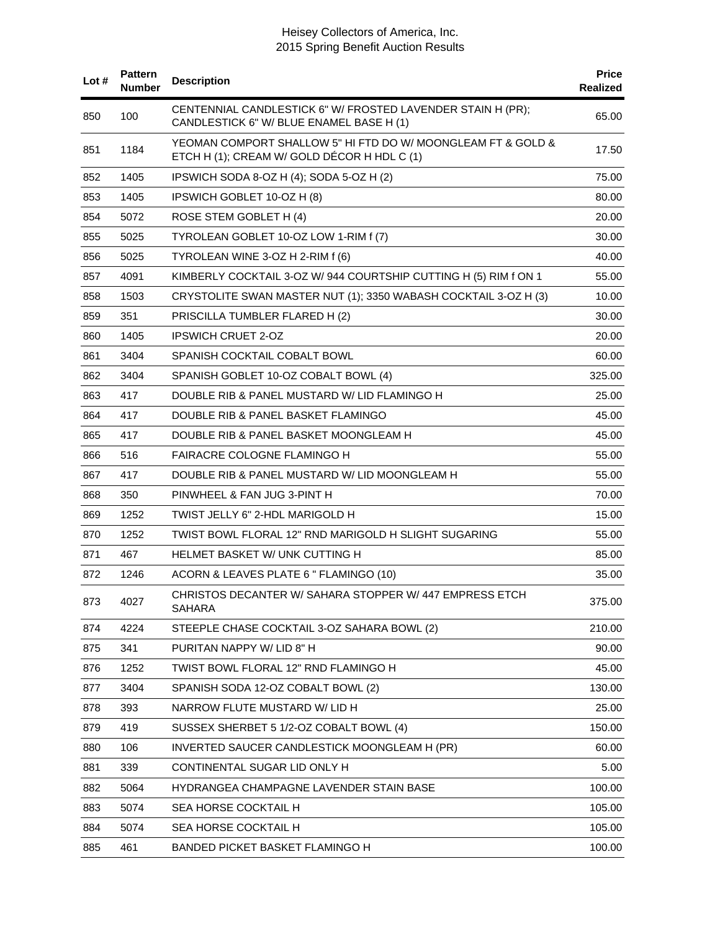| Lot# | <b>Pattern</b><br><b>Number</b> | <b>Description</b>                                                                                          | <b>Price</b><br>Realized |
|------|---------------------------------|-------------------------------------------------------------------------------------------------------------|--------------------------|
| 850  | 100                             | CENTENNIAL CANDLESTICK 6" W/ FROSTED LAVENDER STAIN H (PR);<br>CANDLESTICK 6" W/ BLUE ENAMEL BASE H (1)     | 65.00                    |
| 851  | 1184                            | YEOMAN COMPORT SHALLOW 5" HI FTD DO W/ MOONGLEAM FT & GOLD &<br>ETCH H (1); CREAM W/ GOLD DÉCOR H HDL C (1) | 17.50                    |
| 852  | 1405                            | IPSWICH SODA 8-OZ H (4); SODA 5-OZ H (2)                                                                    | 75.00                    |
| 853  | 1405                            | IPSWICH GOBLET 10-OZ H (8)                                                                                  | 80.00                    |
| 854  | 5072                            | ROSE STEM GOBLET H (4)                                                                                      | 20.00                    |
| 855  | 5025                            | TYROLEAN GOBLET 10-OZ LOW 1-RIM f (7)                                                                       | 30.00                    |
| 856  | 5025                            | TYROLEAN WINE 3-OZ H 2-RIM f (6)                                                                            | 40.00                    |
| 857  | 4091                            | KIMBERLY COCKTAIL 3-OZ W/ 944 COURTSHIP CUTTING H (5) RIM f ON 1                                            | 55.00                    |
| 858  | 1503                            | CRYSTOLITE SWAN MASTER NUT (1); 3350 WABASH COCKTAIL 3-OZ H (3)                                             | 10.00                    |
| 859  | 351                             | PRISCILLA TUMBLER FLARED H (2)                                                                              | 30.00                    |
| 860  | 1405                            | <b>IPSWICH CRUET 2-OZ</b>                                                                                   | 20.00                    |
| 861  | 3404                            | SPANISH COCKTAIL COBALT BOWL                                                                                | 60.00                    |
| 862  | 3404                            | SPANISH GOBLET 10-OZ COBALT BOWL (4)                                                                        | 325.00                   |
| 863  | 417                             | DOUBLE RIB & PANEL MUSTARD W/ LID FLAMINGO H                                                                | 25.00                    |
| 864  | 417                             | DOUBLE RIB & PANEL BASKET FLAMINGO                                                                          | 45.00                    |
| 865  | 417                             | DOUBLE RIB & PANEL BASKET MOONGLEAM H                                                                       | 45.00                    |
| 866  | 516                             | FAIRACRE COLOGNE FLAMINGO H                                                                                 | 55.00                    |
| 867  | 417                             | DOUBLE RIB & PANEL MUSTARD W/ LID MOONGLEAM H                                                               | 55.00                    |
| 868  | 350                             | PINWHEEL & FAN JUG 3-PINT H                                                                                 | 70.00                    |
| 869  | 1252                            | TWIST JELLY 6" 2-HDL MARIGOLD H                                                                             | 15.00                    |
| 870  | 1252                            | TWIST BOWL FLORAL 12" RND MARIGOLD H SLIGHT SUGARING                                                        | 55.00                    |
| 871  | 467                             | HELMET BASKET W/ UNK CUTTING H                                                                              | 85.00                    |
| 872  | 1246                            | ACORN & LEAVES PLATE 6 " FLAMINGO (10)                                                                      | 35.00                    |
| 873  | 4027                            | CHRISTOS DECANTER W/ SAHARA STOPPER W/ 447 EMPRESS ETCH<br><b>SAHARA</b>                                    | 375.00                   |
| 874  | 4224                            | STEEPLE CHASE COCKTAIL 3-OZ SAHARA BOWL (2)                                                                 | 210.00                   |
| 875  | 341                             | PURITAN NAPPY W/ LID 8" H                                                                                   | 90.00                    |
| 876  | 1252                            | TWIST BOWL FLORAL 12" RND FLAMINGO H                                                                        | 45.00                    |
| 877  | 3404                            | SPANISH SODA 12-OZ COBALT BOWL (2)                                                                          | 130.00                   |
| 878  | 393                             | NARROW FLUTE MUSTARD W/ LID H                                                                               | 25.00                    |
| 879  | 419                             | SUSSEX SHERBET 5 1/2-OZ COBALT BOWL (4)                                                                     | 150.00                   |
| 880  | 106                             | INVERTED SAUCER CANDLESTICK MOONGLEAM H (PR)                                                                | 60.00                    |
| 881  | 339                             | CONTINENTAL SUGAR LID ONLY H                                                                                | 5.00                     |
| 882  | 5064                            | HYDRANGEA CHAMPAGNE LAVENDER STAIN BASE                                                                     | 100.00                   |
| 883  | 5074                            | SEA HORSE COCKTAIL H                                                                                        | 105.00                   |
| 884  | 5074                            | SEA HORSE COCKTAIL H                                                                                        | 105.00                   |
| 885  | 461                             | <b>BANDED PICKET BASKET FLAMINGO H</b>                                                                      | 100.00                   |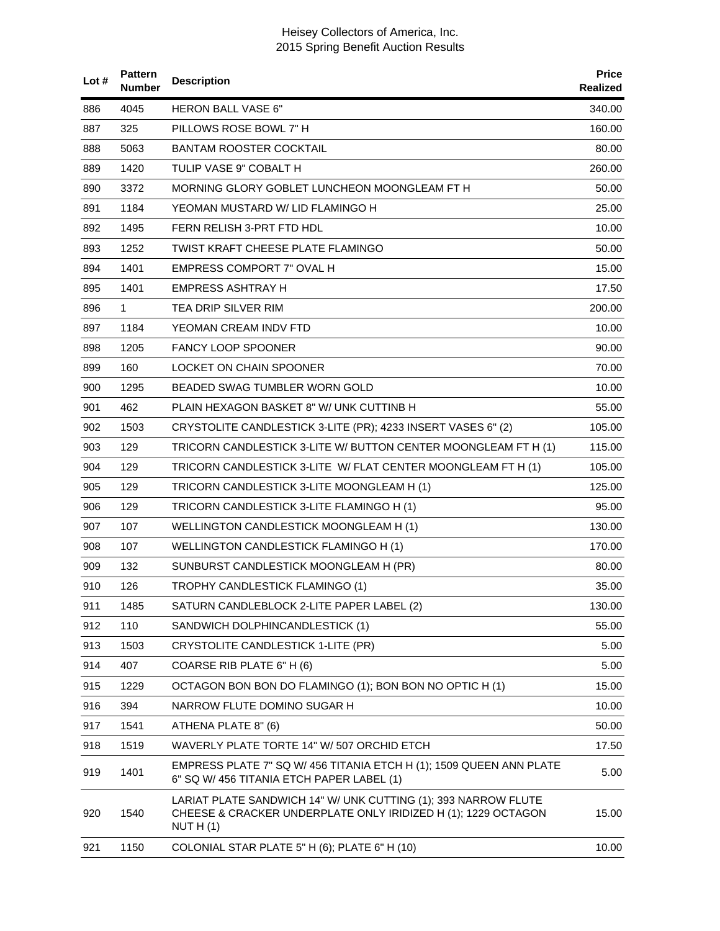| Lot# | <b>Pattern</b><br>Number | <b>Description</b>                                                                                                                           | <b>Price</b><br>Realized |
|------|--------------------------|----------------------------------------------------------------------------------------------------------------------------------------------|--------------------------|
| 886  | 4045                     | <b>HERON BALL VASE 6"</b>                                                                                                                    | 340.00                   |
| 887  | 325                      | PILLOWS ROSE BOWL 7" H                                                                                                                       | 160.00                   |
| 888  | 5063                     | <b>BANTAM ROOSTER COCKTAIL</b>                                                                                                               | 80.00                    |
| 889  | 1420                     | TULIP VASE 9" COBALT H                                                                                                                       | 260.00                   |
| 890  | 3372                     | MORNING GLORY GOBLET LUNCHEON MOONGLEAM FT H                                                                                                 | 50.00                    |
| 891  | 1184                     | YEOMAN MUSTARD W/ LID FLAMINGO H                                                                                                             | 25.00                    |
| 892  | 1495                     | FERN RELISH 3-PRT FTD HDL                                                                                                                    | 10.00                    |
| 893  | 1252                     | TWIST KRAFT CHEESE PLATE FLAMINGO                                                                                                            | 50.00                    |
| 894  | 1401                     | EMPRESS COMPORT 7" OVAL H                                                                                                                    | 15.00                    |
| 895  | 1401                     | EMPRESS ASHTRAY H                                                                                                                            | 17.50                    |
| 896  | 1.                       | <b>TEA DRIP SILVER RIM</b>                                                                                                                   | 200.00                   |
| 897  | 1184                     | YEOMAN CREAM INDV FTD                                                                                                                        | 10.00                    |
| 898  | 1205                     | <b>FANCY LOOP SPOONER</b>                                                                                                                    | 90.00                    |
| 899  | 160                      | LOCKET ON CHAIN SPOONER                                                                                                                      | 70.00                    |
| 900  | 1295                     | BEADED SWAG TUMBLER WORN GOLD                                                                                                                | 10.00                    |
| 901  | 462                      | PLAIN HEXAGON BASKET 8" W/ UNK CUTTINB H                                                                                                     | 55.00                    |
| 902  | 1503                     | CRYSTOLITE CANDLESTICK 3-LITE (PR); 4233 INSERT VASES 6" (2)                                                                                 | 105.00                   |
| 903  | 129                      | TRICORN CANDLESTICK 3-LITE W/ BUTTON CENTER MOONGLEAM FT H (1)                                                                               | 115.00                   |
| 904  | 129                      | TRICORN CANDLESTICK 3-LITE W/ FLAT CENTER MOONGLEAM FT H (1)                                                                                 | 105.00                   |
| 905  | 129                      | TRICORN CANDLESTICK 3-LITE MOONGLEAM H (1)                                                                                                   | 125.00                   |
| 906  | 129                      | TRICORN CANDLESTICK 3-LITE FLAMINGO H (1)                                                                                                    | 95.00                    |
| 907  | 107                      | WELLINGTON CANDLESTICK MOONGLEAM H (1)                                                                                                       | 130.00                   |
| 908  | 107                      | WELLINGTON CANDLESTICK FLAMINGO H (1)                                                                                                        | 170.00                   |
| 909  | 132                      | SUNBURST CANDLESTICK MOONGLEAM H (PR)                                                                                                        | 80.00                    |
| 910  | 126                      | TROPHY CANDLESTICK FLAMINGO (1)                                                                                                              | 35.00                    |
| 911  | 1485                     | SATURN CANDLEBLOCK 2-LITE PAPER LABEL (2)                                                                                                    | 130.00                   |
| 912  | 110                      | SANDWICH DOLPHINCANDLESTICK (1)                                                                                                              | 55.00                    |
| 913  | 1503                     | CRYSTOLITE CANDLESTICK 1-LITE (PR)                                                                                                           | 5.00                     |
| 914  | 407                      | COARSE RIB PLATE 6" H (6)                                                                                                                    | 5.00                     |
| 915  | 1229                     | OCTAGON BON BON DO FLAMINGO (1); BON BON NO OPTIC H (1)                                                                                      | 15.00                    |
| 916  | 394                      | NARROW FLUTE DOMINO SUGAR H                                                                                                                  | 10.00                    |
| 917  | 1541                     | ATHENA PLATE 8" (6)                                                                                                                          | 50.00                    |
| 918  | 1519                     | WAVERLY PLATE TORTE 14" W/ 507 ORCHID ETCH                                                                                                   | 17.50                    |
| 919  | 1401                     | EMPRESS PLATE 7" SQ W/ 456 TITANIA ETCH H (1); 1509 QUEEN ANN PLATE<br>6" SQ W/ 456 TITANIA ETCH PAPER LABEL (1)                             | 5.00                     |
| 920  | 1540                     | LARIAT PLATE SANDWICH 14" W/ UNK CUTTING (1); 393 NARROW FLUTE<br>CHEESE & CRACKER UNDERPLATE ONLY IRIDIZED H (1); 1229 OCTAGON<br>NUT H (1) | 15.00                    |
| 921  | 1150                     | COLONIAL STAR PLATE 5" H (6); PLATE 6" H (10)                                                                                                | 10.00                    |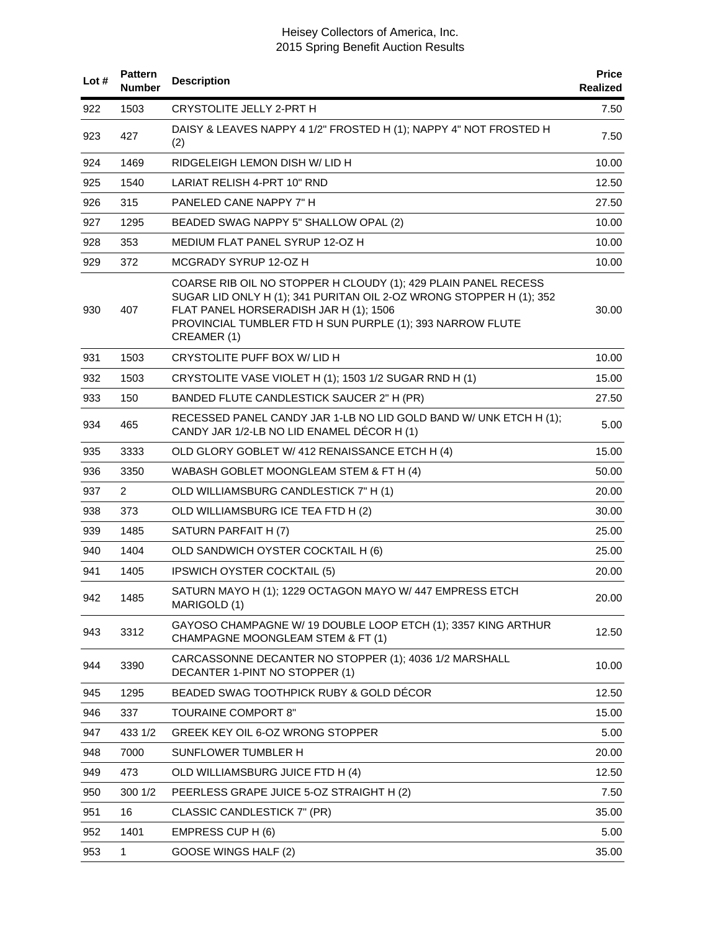| Lot# | <b>Pattern</b><br><b>Number</b> | <b>Description</b>                                                                                                                                                                                                                                          | <b>Price</b><br>Realized |
|------|---------------------------------|-------------------------------------------------------------------------------------------------------------------------------------------------------------------------------------------------------------------------------------------------------------|--------------------------|
| 922  | 1503                            | CRYSTOLITE JELLY 2-PRT H                                                                                                                                                                                                                                    | 7.50                     |
| 923  | 427                             | DAISY & LEAVES NAPPY 4 1/2" FROSTED H (1); NAPPY 4" NOT FROSTED H<br>(2)                                                                                                                                                                                    | 7.50                     |
| 924  | 1469                            | RIDGELEIGH LEMON DISH W/ LID H                                                                                                                                                                                                                              | 10.00                    |
| 925  | 1540                            | LARIAT RELISH 4-PRT 10" RND                                                                                                                                                                                                                                 | 12.50                    |
| 926  | 315                             | PANELED CANE NAPPY 7" H                                                                                                                                                                                                                                     | 27.50                    |
| 927  | 1295                            | BEADED SWAG NAPPY 5" SHALLOW OPAL (2)                                                                                                                                                                                                                       | 10.00                    |
| 928  | 353                             | MEDIUM FLAT PANEL SYRUP 12-OZ H                                                                                                                                                                                                                             | 10.00                    |
| 929  | 372                             | MCGRADY SYRUP 12-OZ H                                                                                                                                                                                                                                       | 10.00                    |
| 930  | 407                             | COARSE RIB OIL NO STOPPER H CLOUDY (1); 429 PLAIN PANEL RECESS<br>SUGAR LID ONLY H (1); 341 PURITAN OIL 2-OZ WRONG STOPPER H (1); 352<br>FLAT PANEL HORSERADISH JAR H (1); 1506<br>PROVINCIAL TUMBLER FTD H SUN PURPLE (1); 393 NARROW FLUTE<br>CREAMER (1) | 30.00                    |
| 931  | 1503                            | CRYSTOLITE PUFF BOX W/ LID H                                                                                                                                                                                                                                | 10.00                    |
| 932  | 1503                            | CRYSTOLITE VASE VIOLET H (1); 1503 1/2 SUGAR RND H (1)                                                                                                                                                                                                      | 15.00                    |
| 933  | 150                             | BANDED FLUTE CANDLESTICK SAUCER 2" H (PR)                                                                                                                                                                                                                   | 27.50                    |
| 934  | 465                             | RECESSED PANEL CANDY JAR 1-LB NO LID GOLD BAND W/ UNK ETCH H (1);<br>CANDY JAR 1/2-LB NO LID ENAMEL DÉCOR H (1)                                                                                                                                             | 5.00                     |
| 935  | 3333                            | OLD GLORY GOBLET W/ 412 RENAISSANCE ETCH H (4)                                                                                                                                                                                                              | 15.00                    |
| 936  | 3350                            | WABASH GOBLET MOONGLEAM STEM & FT H (4)                                                                                                                                                                                                                     | 50.00                    |
| 937  | $\overline{2}$                  | OLD WILLIAMSBURG CANDLESTICK 7" H (1)                                                                                                                                                                                                                       | 20.00                    |
| 938  | 373                             | OLD WILLIAMSBURG ICE TEA FTD H (2)                                                                                                                                                                                                                          | 30.00                    |
| 939  | 1485                            | SATURN PARFAIT H (7)                                                                                                                                                                                                                                        | 25.00                    |
| 940  | 1404                            | OLD SANDWICH OYSTER COCKTAIL H (6)                                                                                                                                                                                                                          | 25.00                    |
| 941  | 1405                            | <b>IPSWICH OYSTER COCKTAIL (5)</b>                                                                                                                                                                                                                          | 20.00                    |
| 942  | 1485                            | SATURN MAYO H (1); 1229 OCTAGON MAYO W/ 447 EMPRESS ETCH<br>MARIGOLD (1)                                                                                                                                                                                    | 20.00                    |
| 943  | 3312                            | GAYOSO CHAMPAGNE W/ 19 DOUBLE LOOP ETCH (1); 3357 KING ARTHUR<br>CHAMPAGNE MOONGLEAM STEM & FT (1)                                                                                                                                                          | 12.50                    |
| 944  | 3390                            | CARCASSONNE DECANTER NO STOPPER (1); 4036 1/2 MARSHALL<br>DECANTER 1-PINT NO STOPPER (1)                                                                                                                                                                    | 10.00                    |
| 945  | 1295                            | BEADED SWAG TOOTHPICK RUBY & GOLD DÉCOR                                                                                                                                                                                                                     | 12.50                    |
| 946  | 337                             | <b>TOURAINE COMPORT 8"</b>                                                                                                                                                                                                                                  | 15.00                    |
| 947  | 433 1/2                         | GREEK KEY OIL 6-OZ WRONG STOPPER                                                                                                                                                                                                                            | 5.00                     |
| 948  | 7000                            | SUNFLOWER TUMBLER H                                                                                                                                                                                                                                         | 20.00                    |
| 949  | 473                             | OLD WILLIAMSBURG JUICE FTD H (4)                                                                                                                                                                                                                            | 12.50                    |
| 950  | 300 1/2                         | PEERLESS GRAPE JUICE 5-OZ STRAIGHT H (2)                                                                                                                                                                                                                    | 7.50                     |
| 951  | 16                              | CLASSIC CANDLESTICK 7" (PR)                                                                                                                                                                                                                                 | 35.00                    |
| 952  | 1401                            | EMPRESS CUP H (6)                                                                                                                                                                                                                                           | 5.00                     |
| 953  | $\mathbf 1$                     | GOOSE WINGS HALF (2)                                                                                                                                                                                                                                        | 35.00                    |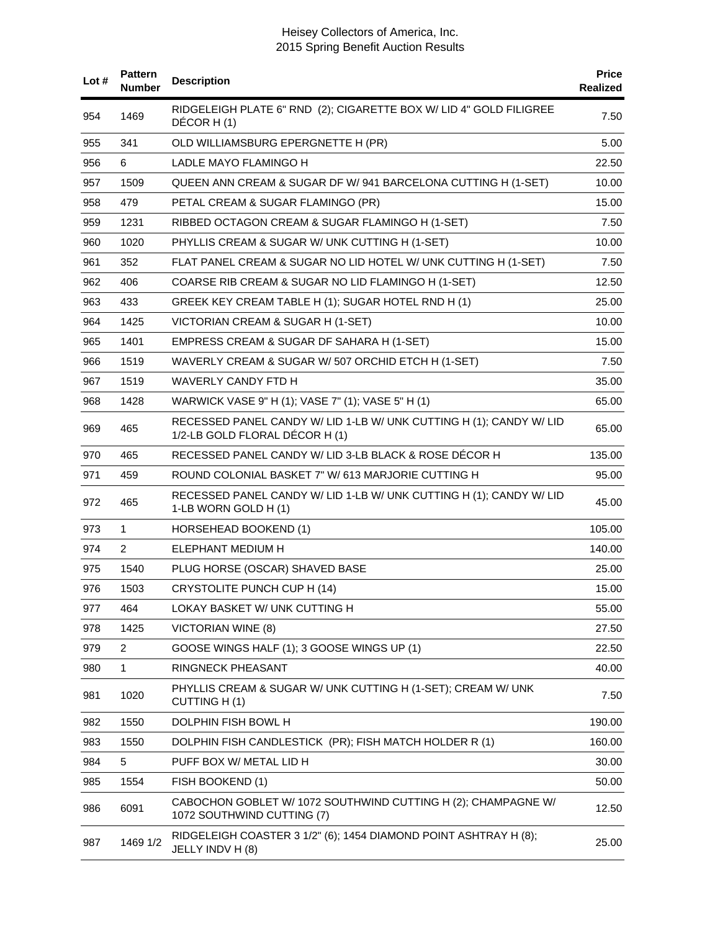| Lot # | <b>Pattern</b><br><b>Number</b> | <b>Description</b>                                                                                    | <b>Price</b><br><b>Realized</b> |
|-------|---------------------------------|-------------------------------------------------------------------------------------------------------|---------------------------------|
| 954   | 1469                            | RIDGELEIGH PLATE 6" RND (2); CIGARETTE BOX W/ LID 4" GOLD FILIGREE<br>DÉCOR H(1)                      | 7.50                            |
| 955   | 341                             | OLD WILLIAMSBURG EPERGNETTE H (PR)                                                                    | 5.00                            |
| 956   | 6                               | LADLE MAYO FLAMINGO H                                                                                 | 22.50                           |
| 957   | 1509                            | QUEEN ANN CREAM & SUGAR DF W/941 BARCELONA CUTTING H (1-SET)                                          | 10.00                           |
| 958   | 479                             | PETAL CREAM & SUGAR FLAMINGO (PR)                                                                     | 15.00                           |
| 959   | 1231                            | RIBBED OCTAGON CREAM & SUGAR FLAMINGO H (1-SET)                                                       | 7.50                            |
| 960   | 1020                            | PHYLLIS CREAM & SUGAR W/ UNK CUTTING H (1-SET)                                                        | 10.00                           |
| 961   | 352                             | FLAT PANEL CREAM & SUGAR NO LID HOTEL W/ UNK CUTTING H (1-SET)                                        | 7.50                            |
| 962   | 406                             | COARSE RIB CREAM & SUGAR NO LID FLAMINGO H (1-SET)                                                    | 12.50                           |
| 963   | 433                             | GREEK KEY CREAM TABLE H (1); SUGAR HOTEL RND H (1)                                                    | 25.00                           |
| 964   | 1425                            | VICTORIAN CREAM & SUGAR H (1-SET)                                                                     | 10.00                           |
| 965   | 1401                            | EMPRESS CREAM & SUGAR DF SAHARA H (1-SET)                                                             | 15.00                           |
| 966   | 1519                            | WAVERLY CREAM & SUGAR W/ 507 ORCHID ETCH H (1-SET)                                                    | 7.50                            |
| 967   | 1519                            | <b>WAVERLY CANDY FTD H</b>                                                                            | 35.00                           |
| 968   | 1428                            | WARWICK VASE 9" H (1); VASE 7" (1); VASE 5" H (1)                                                     | 65.00                           |
| 969   | 465                             | RECESSED PANEL CANDY W/ LID 1-LB W/ UNK CUTTING H (1); CANDY W/ LID<br>1/2-LB GOLD FLORAL DÉCOR H (1) | 65.00                           |
| 970   | 465                             | RECESSED PANEL CANDY W/ LID 3-LB BLACK & ROSE DÉCOR H                                                 | 135.00                          |
| 971   | 459                             | ROUND COLONIAL BASKET 7" W/ 613 MARJORIE CUTTING H                                                    | 95.00                           |
| 972   | 465                             | RECESSED PANEL CANDY W/ LID 1-LB W/ UNK CUTTING H (1); CANDY W/ LID<br>1-LB WORN GOLD H (1)           | 45.00                           |
| 973   | 1                               | HORSEHEAD BOOKEND (1)                                                                                 | 105.00                          |
| 974   | $\overline{2}$                  | ELEPHANT MEDIUM H                                                                                     | 140.00                          |
| 975   | 1540                            | PLUG HORSE (OSCAR) SHAVED BASE                                                                        | 25.00                           |
| 976   | 1503                            | CRYSTOLITE PUNCH CUP H (14)                                                                           | 15.00                           |
| 977   | 464                             | LOKAY BASKET W/ UNK CUTTING H                                                                         | 55.00                           |
| 978   | 1425                            | <b>VICTORIAN WINE (8)</b>                                                                             | 27.50                           |
| 979   | $\overline{2}$                  | GOOSE WINGS HALF (1); 3 GOOSE WINGS UP (1)                                                            | 22.50                           |
| 980   | 1                               | RINGNECK PHEASANT                                                                                     | 40.00                           |
| 981   | 1020                            | PHYLLIS CREAM & SUGAR W/ UNK CUTTING H (1-SET); CREAM W/ UNK<br>CUTTING H(1)                          | 7.50                            |
| 982   | 1550                            | DOLPHIN FISH BOWL H                                                                                   | 190.00                          |
| 983   | 1550                            | DOLPHIN FISH CANDLESTICK (PR); FISH MATCH HOLDER R (1)                                                | 160.00                          |
| 984   | 5                               | PUFF BOX W/ METAL LID H                                                                               | 30.00                           |
| 985   | 1554                            | FISH BOOKEND (1)                                                                                      | 50.00                           |
| 986   | 6091                            | CABOCHON GOBLET W/ 1072 SOUTHWIND CUTTING H (2); CHAMPAGNE W/<br>1072 SOUTHWIND CUTTING (7)           | 12.50                           |
| 987   | 1469 1/2                        | RIDGELEIGH COASTER 3 1/2" (6); 1454 DIAMOND POINT ASHTRAY H (8);<br>JELLY INDV H (8)                  | 25.00                           |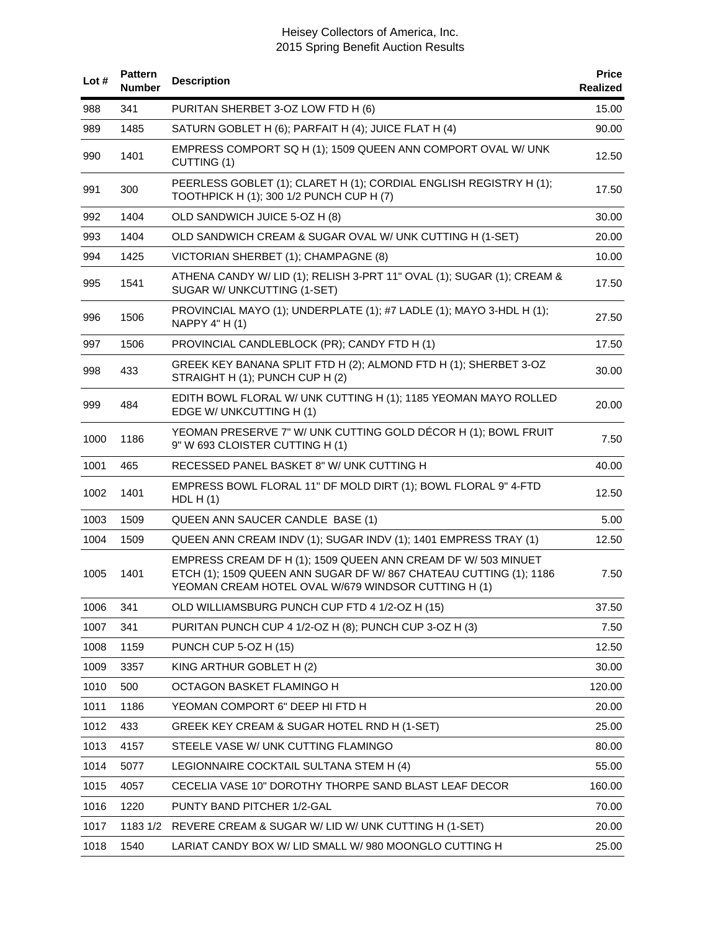| Lot# | <b>Pattern</b><br>Number | <b>Description</b>                                                                                                                                                                         | <b>Price</b><br>Realized |
|------|--------------------------|--------------------------------------------------------------------------------------------------------------------------------------------------------------------------------------------|--------------------------|
| 988  | 341                      | PURITAN SHERBET 3-OZ LOW FTD H (6)                                                                                                                                                         | 15.00                    |
| 989  | 1485                     | SATURN GOBLET H (6); PARFAIT H (4); JUICE FLAT H (4)                                                                                                                                       | 90.00                    |
| 990  | 1401                     | EMPRESS COMPORT SQ H (1); 1509 QUEEN ANN COMPORT OVAL W/ UNK<br>CUTTING (1)                                                                                                                | 12.50                    |
| 991  | 300                      | PEERLESS GOBLET (1); CLARET H (1); CORDIAL ENGLISH REGISTRY H (1);<br>TOOTHPICK H (1); 300 1/2 PUNCH CUP H (7)                                                                             | 17.50                    |
| 992  | 1404                     | OLD SANDWICH JUICE 5-OZ H (8)                                                                                                                                                              | 30.00                    |
| 993  | 1404                     | OLD SANDWICH CREAM & SUGAR OVAL W/ UNK CUTTING H (1-SET)                                                                                                                                   | 20.00                    |
| 994  | 1425                     | VICTORIAN SHERBET (1); CHAMPAGNE (8)                                                                                                                                                       | 10.00                    |
| 995  | 1541                     | ATHENA CANDY W/ LID (1); RELISH 3-PRT 11" OVAL (1); SUGAR (1); CREAM &<br>SUGAR W/ UNKCUTTING (1-SET)                                                                                      | 17.50                    |
| 996  | 1506                     | PROVINCIAL MAYO (1); UNDERPLATE (1); #7 LADLE (1); MAYO 3-HDL H (1);<br>NAPPY 4" H (1)                                                                                                     | 27.50                    |
| 997  | 1506                     | PROVINCIAL CANDLEBLOCK (PR); CANDY FTD H (1)                                                                                                                                               | 17.50                    |
| 998  | 433                      | GREEK KEY BANANA SPLIT FTD H (2); ALMOND FTD H (1); SHERBET 3-OZ<br>STRAIGHT H (1); PUNCH CUP H (2)                                                                                        | 30.00                    |
| 999  | 484                      | EDITH BOWL FLORAL W/ UNK CUTTING H (1); 1185 YEOMAN MAYO ROLLED<br>EDGE W/ UNKCUTTING H (1)                                                                                                | 20.00                    |
| 1000 | 1186                     | YEOMAN PRESERVE 7" W/ UNK CUTTING GOLD DÉCOR H (1); BOWL FRUIT<br>9" W 693 CLOISTER CUTTING H (1)                                                                                          | 7.50                     |
| 1001 | 465                      | RECESSED PANEL BASKET 8" W/ UNK CUTTING H                                                                                                                                                  | 40.00                    |
| 1002 | 1401                     | EMPRESS BOWL FLORAL 11" DF MOLD DIRT (1); BOWL FLORAL 9" 4-FTD<br>HDL H $(1)$                                                                                                              | 12.50                    |
| 1003 | 1509                     | QUEEN ANN SAUCER CANDLE BASE (1)                                                                                                                                                           | 5.00                     |
| 1004 | 1509                     | QUEEN ANN CREAM INDV (1); SUGAR INDV (1); 1401 EMPRESS TRAY (1)                                                                                                                            | 12.50                    |
| 1005 | 1401                     | EMPRESS CREAM DF H (1); 1509 QUEEN ANN CREAM DF W/ 503 MINUET<br>ETCH (1); 1509 QUEEN ANN SUGAR DF W/ 867 CHATEAU CUTTING (1); 1186<br>YEOMAN CREAM HOTEL OVAL W/679 WINDSOR CUTTING H (1) | 7.50                     |
| 1006 | 341                      | OLD WILLIAMSBURG PUNCH CUP FTD 4 1/2-OZ H (15)                                                                                                                                             | 37.50                    |
| 1007 | 341                      | PURITAN PUNCH CUP 4 1/2-OZ H (8); PUNCH CUP 3-OZ H (3)                                                                                                                                     | 7.50                     |
| 1008 | 1159                     | PUNCH CUP 5-OZ H (15)                                                                                                                                                                      | 12.50                    |
| 1009 | 3357                     | KING ARTHUR GOBLET H (2)                                                                                                                                                                   | 30.00                    |
| 1010 | 500                      | OCTAGON BASKET FLAMINGO H                                                                                                                                                                  | 120.00                   |
| 1011 | 1186                     | YEOMAN COMPORT 6" DEEP HI FTD H                                                                                                                                                            | 20.00                    |
| 1012 | 433                      | GREEK KEY CREAM & SUGAR HOTEL RND H (1-SET)                                                                                                                                                | 25.00                    |
| 1013 | 4157                     | STEELE VASE W/ UNK CUTTING FLAMINGO                                                                                                                                                        | 80.00                    |
| 1014 | 5077                     | LEGIONNAIRE COCKTAIL SULTANA STEM H (4)                                                                                                                                                    | 55.00                    |
| 1015 | 4057                     | CECELIA VASE 10" DOROTHY THORPE SAND BLAST LEAF DECOR                                                                                                                                      | 160.00                   |
| 1016 | 1220                     | PUNTY BAND PITCHER 1/2-GAL                                                                                                                                                                 | 70.00                    |
| 1017 | 1183 1/2                 | REVERE CREAM & SUGAR W/ LID W/ UNK CUTTING H (1-SET)                                                                                                                                       | 20.00                    |
| 1018 | 1540                     | LARIAT CANDY BOX W/ LID SMALL W/ 980 MOONGLO CUTTING H                                                                                                                                     | 25.00                    |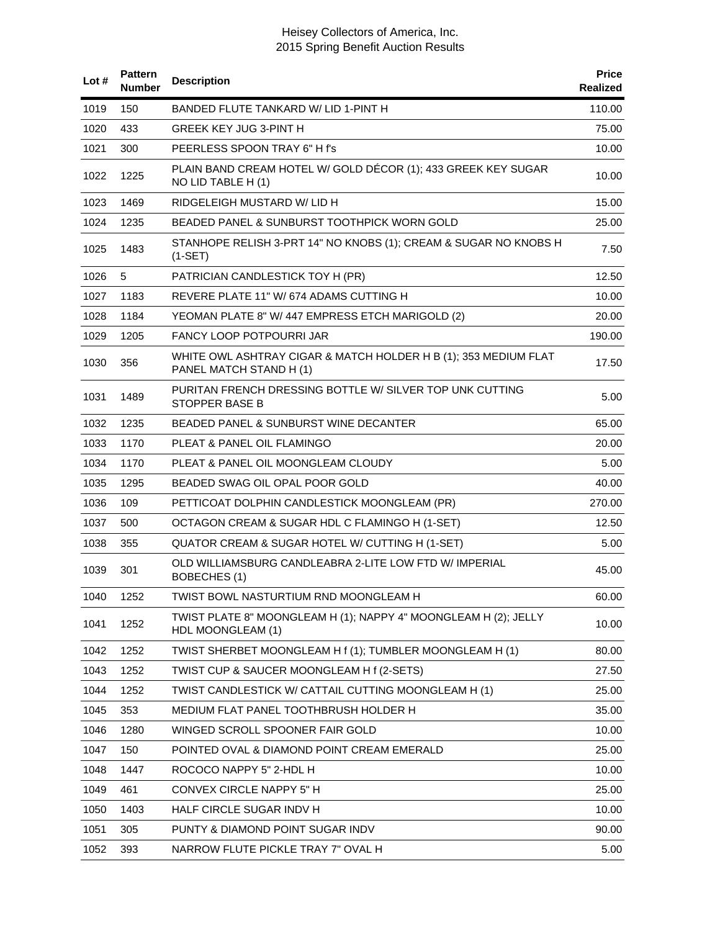| Lot $#$ | <b>Pattern</b><br><b>Number</b> | <b>Description</b>                                                                         | <b>Price</b><br><b>Realized</b> |
|---------|---------------------------------|--------------------------------------------------------------------------------------------|---------------------------------|
| 1019    | 150                             | BANDED FLUTE TANKARD W/ LID 1-PINT H                                                       | 110.00                          |
| 1020    | 433                             | <b>GREEK KEY JUG 3-PINT H</b>                                                              | 75.00                           |
| 1021    | 300                             | PEERLESS SPOON TRAY 6" H f's                                                               | 10.00                           |
| 1022    | 1225                            | PLAIN BAND CREAM HOTEL W/ GOLD DÉCOR (1); 433 GREEK KEY SUGAR<br>NO LID TABLE H (1)        | 10.00                           |
| 1023    | 1469                            | RIDGELEIGH MUSTARD W/ LID H                                                                | 15.00                           |
| 1024    | 1235                            | BEADED PANEL & SUNBURST TOOTHPICK WORN GOLD                                                | 25.00                           |
| 1025    | 1483                            | STANHOPE RELISH 3-PRT 14" NO KNOBS (1); CREAM & SUGAR NO KNOBS H<br>$(1-SET)$              | 7.50                            |
| 1026    | 5                               | PATRICIAN CANDLESTICK TOY H (PR)                                                           | 12.50                           |
| 1027    | 1183                            | REVERE PLATE 11" W/ 674 ADAMS CUTTING H                                                    | 10.00                           |
| 1028    | 1184                            | YEOMAN PLATE 8" W/ 447 EMPRESS ETCH MARIGOLD (2)                                           | 20.00                           |
| 1029    | 1205                            | <b>FANCY LOOP POTPOURRI JAR</b>                                                            | 190.00                          |
| 1030    | 356                             | WHITE OWL ASHTRAY CIGAR & MATCH HOLDER H B (1); 353 MEDIUM FLAT<br>PANEL MATCH STAND H (1) | 17.50                           |
| 1031    | 1489                            | PURITAN FRENCH DRESSING BOTTLE W/ SILVER TOP UNK CUTTING<br>STOPPER BASE B                 | 5.00                            |
| 1032    | 1235                            | <b>BEADED PANEL &amp; SUNBURST WINE DECANTER</b>                                           | 65.00                           |
| 1033    | 1170                            | PLEAT & PANEL OIL FLAMINGO                                                                 | 20.00                           |
| 1034    | 1170                            | PLEAT & PANEL OIL MOONGLEAM CLOUDY                                                         | 5.00                            |
| 1035    | 1295                            | BEADED SWAG OIL OPAL POOR GOLD                                                             | 40.00                           |
| 1036    | 109                             | PETTICOAT DOLPHIN CANDLESTICK MOONGLEAM (PR)                                               | 270.00                          |
| 1037    | 500                             | OCTAGON CREAM & SUGAR HDL C FLAMINGO H (1-SET)                                             | 12.50                           |
| 1038    | 355                             | QUATOR CREAM & SUGAR HOTEL W/ CUTTING H (1-SET)                                            | 5.00                            |
| 1039    | 301                             | OLD WILLIAMSBURG CANDLEABRA 2-LITE LOW FTD W/ IMPERIAL<br>BOBECHES (1)                     | 45.00                           |
| 1040    | 1252                            | TWIST BOWL NASTURTIUM RND MOONGLEAM H                                                      | 60.00                           |
| 1041    | 1252                            | TWIST PLATE 8" MOONGLEAM H (1); NAPPY 4" MOONGLEAM H (2); JELLY<br>HDL MOONGLEAM (1)       | 10.00                           |
| 1042    | 1252                            | TWIST SHERBET MOONGLEAM H f (1); TUMBLER MOONGLEAM H (1)                                   | 80.00                           |
| 1043    | 1252                            | TWIST CUP & SAUCER MOONGLEAM H f (2-SETS)                                                  | 27.50                           |
| 1044    | 1252                            | TWIST CANDLESTICK W/ CATTAIL CUTTING MOONGLEAM H (1)                                       | 25.00                           |
| 1045    | 353                             | MEDIUM FLAT PANEL TOOTHBRUSH HOLDER H                                                      | 35.00                           |
| 1046    | 1280                            | WINGED SCROLL SPOONER FAIR GOLD                                                            | 10.00                           |
| 1047    | 150                             | POINTED OVAL & DIAMOND POINT CREAM EMERALD                                                 | 25.00                           |
| 1048    | 1447                            | ROCOCO NAPPY 5" 2-HDL H                                                                    | 10.00                           |
| 1049    | 461                             | <b>CONVEX CIRCLE NAPPY 5" H</b>                                                            | 25.00                           |
| 1050    | 1403                            | HALF CIRCLE SUGAR INDV H                                                                   | 10.00                           |
| 1051    | 305                             | PUNTY & DIAMOND POINT SUGAR INDV                                                           | 90.00                           |
| 1052    | 393                             | NARROW FLUTE PICKLE TRAY 7" OVAL H                                                         | 5.00                            |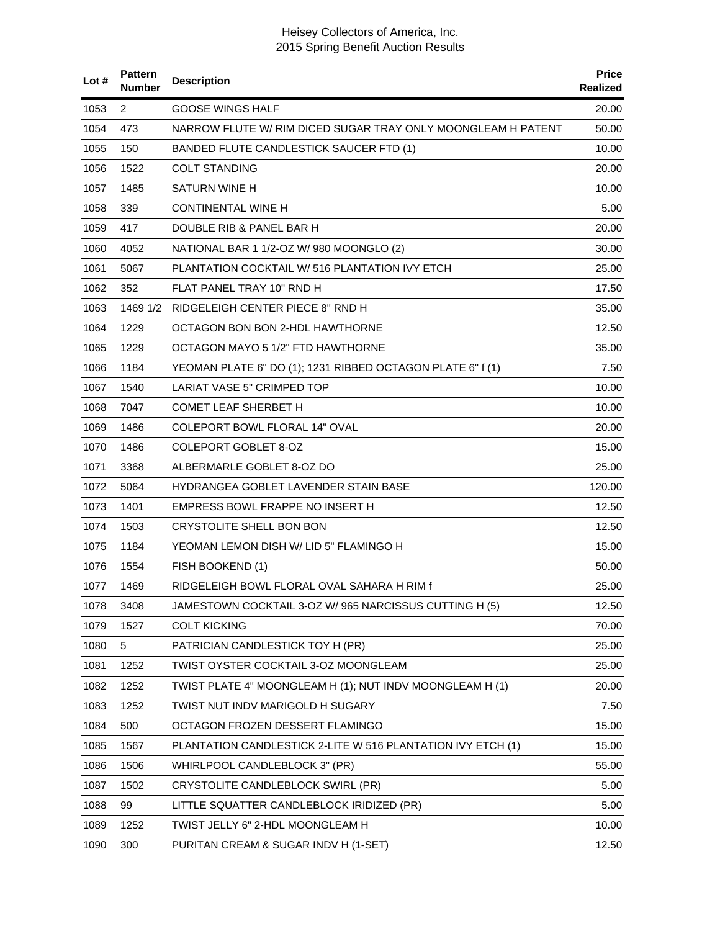| Lot $#$ | <b>Pattern</b><br>Number | <b>Description</b>                                           | <b>Price</b><br><b>Realized</b> |
|---------|--------------------------|--------------------------------------------------------------|---------------------------------|
| 1053    | 2                        | GOOSE WINGS HALF                                             | 20.00                           |
| 1054    | 473                      | NARROW FLUTE W/ RIM DICED SUGAR TRAY ONLY MOONGLEAM H PATENT | 50.00                           |
| 1055    | 150                      | <b>BANDED FLUTE CANDLESTICK SAUCER FTD (1)</b>               | 10.00                           |
| 1056    | 1522                     | <b>COLT STANDING</b>                                         | 20.00                           |
| 1057    | 1485                     | SATURN WINE H                                                | 10.00                           |
| 1058    | 339                      | CONTINENTAL WINE H                                           | 5.00                            |
| 1059    | 417                      | DOUBLE RIB & PANEL BAR H                                     | 20.00                           |
| 1060    | 4052                     | NATIONAL BAR 1 1/2-OZ W/ 980 MOONGLO (2)                     | 30.00                           |
| 1061    | 5067                     | PLANTATION COCKTAIL W/ 516 PLANTATION IVY ETCH               | 25.00                           |
| 1062    | 352                      | FLAT PANEL TRAY 10" RND H                                    | 17.50                           |
| 1063    | 1469 1/2                 | RIDGELEIGH CENTER PIECE 8" RND H                             | 35.00                           |
| 1064    | 1229                     | OCTAGON BON BON 2-HDL HAWTHORNE                              | 12.50                           |
| 1065    | 1229                     | OCTAGON MAYO 5 1/2" FTD HAWTHORNE                            | 35.00                           |
| 1066    | 1184                     | YEOMAN PLATE 6" DO (1); 1231 RIBBED OCTAGON PLATE 6" f (1)   | 7.50                            |
| 1067    | 1540                     | LARIAT VASE 5" CRIMPED TOP                                   | 10.00                           |
| 1068    | 7047                     | COMET LEAF SHERBET H                                         | 10.00                           |
| 1069    | 1486                     | COLEPORT BOWL FLORAL 14" OVAL                                | 20.00                           |
| 1070    | 1486                     | COLEPORT GOBLET 8-OZ                                         | 15.00                           |
| 1071    | 3368                     | ALBERMARLE GOBLET 8-OZ DO                                    | 25.00                           |
| 1072    | 5064                     | HYDRANGEA GOBLET LAVENDER STAIN BASE                         | 120.00                          |
| 1073    | 1401                     | EMPRESS BOWL FRAPPE NO INSERT H                              | 12.50                           |
| 1074    | 1503                     | CRYSTOLITE SHELL BON BON                                     | 12.50                           |
| 1075    | 1184                     | YEOMAN LEMON DISH W/ LID 5" FLAMINGO H                       | 15.00                           |
| 1076    | 1554                     | FISH BOOKEND (1)                                             | 50.00                           |
| 1077    | 1469                     | RIDGELEIGH BOWL FLORAL OVAL SAHARA H RIM f                   | 25.00                           |
| 1078    | 3408                     | JAMESTOWN COCKTAIL 3-OZ W/965 NARCISSUS CUTTING H (5)        | 12.50                           |
| 1079    | 1527                     | <b>COLT KICKING</b>                                          | 70.00                           |
| 1080    | 5                        | PATRICIAN CANDLESTICK TOY H (PR)                             | 25.00                           |
| 1081    | 1252                     | TWIST OYSTER COCKTAIL 3-OZ MOONGLEAM                         | 25.00                           |
| 1082    | 1252                     | TWIST PLATE 4" MOONGLEAM H (1); NUT INDV MOONGLEAM H (1)     | 20.00                           |
| 1083    | 1252                     | TWIST NUT INDV MARIGOLD H SUGARY                             | 7.50                            |
| 1084    | 500                      | OCTAGON FROZEN DESSERT FLAMINGO                              | 15.00                           |
| 1085    | 1567                     | PLANTATION CANDLESTICK 2-LITE W 516 PLANTATION IVY ETCH (1)  | 15.00                           |
| 1086    | 1506                     | WHIRLPOOL CANDLEBLOCK 3" (PR)                                | 55.00                           |
| 1087    | 1502                     | CRYSTOLITE CANDLEBLOCK SWIRL (PR)                            | 5.00                            |
| 1088    | 99                       | LITTLE SQUATTER CANDLEBLOCK IRIDIZED (PR)                    | 5.00                            |
| 1089    | 1252                     | TWIST JELLY 6" 2-HDL MOONGLEAM H                             | 10.00                           |
| 1090    | 300                      | PURITAN CREAM & SUGAR INDV H (1-SET)                         | 12.50                           |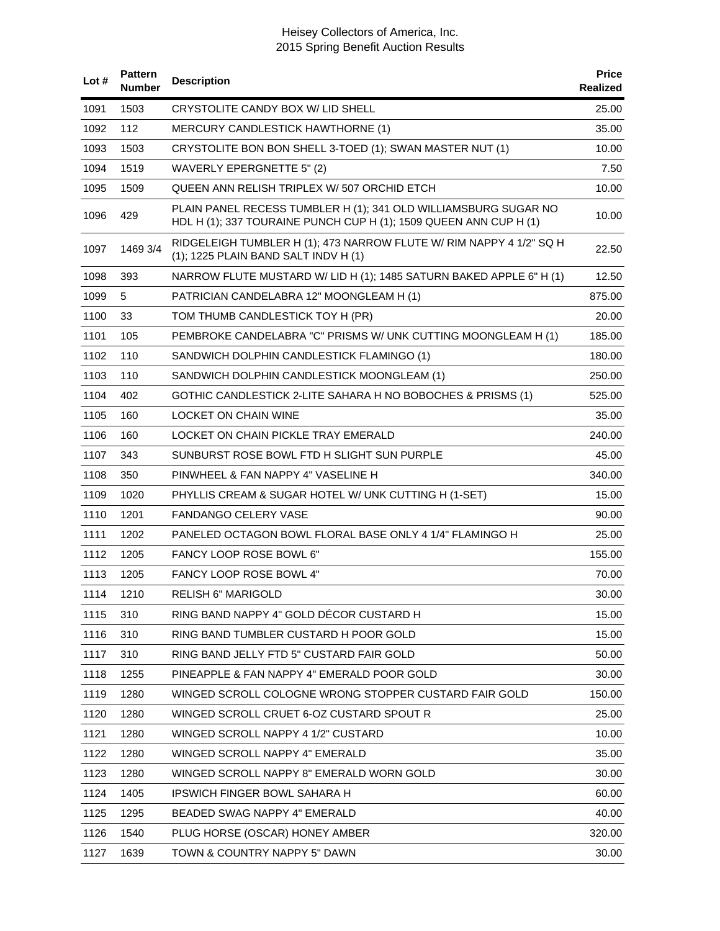| Lot# | <b>Pattern</b><br>Number | <b>Description</b>                                                                                                                   | <b>Price</b><br>Realized |
|------|--------------------------|--------------------------------------------------------------------------------------------------------------------------------------|--------------------------|
| 1091 | 1503                     | CRYSTOLITE CANDY BOX W/ LID SHELL                                                                                                    | 25.00                    |
| 1092 | 112                      | <b>MERCURY CANDLESTICK HAWTHORNE (1)</b>                                                                                             | 35.00                    |
| 1093 | 1503                     | CRYSTOLITE BON BON SHELL 3-TOED (1); SWAN MASTER NUT (1)                                                                             | 10.00                    |
| 1094 | 1519                     | WAVERLY EPERGNETTE 5" (2)                                                                                                            | 7.50                     |
| 1095 | 1509                     | QUEEN ANN RELISH TRIPLEX W/ 507 ORCHID ETCH                                                                                          | 10.00                    |
| 1096 | 429                      | PLAIN PANEL RECESS TUMBLER H (1); 341 OLD WILLIAMSBURG SUGAR NO<br>HDL H (1); 337 TOURAINE PUNCH CUP H (1); 1509 QUEEN ANN CUP H (1) | 10.00                    |
| 1097 | 1469 3/4                 | RIDGELEIGH TUMBLER H (1); 473 NARROW FLUTE W/ RIM NAPPY 4 1/2" SQ H<br>(1); 1225 PLAIN BAND SALT INDV H (1)                          | 22.50                    |
| 1098 | 393                      | NARROW FLUTE MUSTARD W/ LID H (1); 1485 SATURN BAKED APPLE 6" H (1)                                                                  | 12.50                    |
| 1099 | 5                        | PATRICIAN CANDELABRA 12" MOONGLEAM H (1)                                                                                             | 875.00                   |
| 1100 | 33                       | TOM THUMB CANDLESTICK TOY H (PR)                                                                                                     | 20.00                    |
| 1101 | 105                      | PEMBROKE CANDELABRA "C" PRISMS W/ UNK CUTTING MOONGLEAM H (1)                                                                        | 185.00                   |
| 1102 | 110                      | SANDWICH DOLPHIN CANDLESTICK FLAMINGO (1)                                                                                            | 180.00                   |
| 1103 | 110                      | SANDWICH DOLPHIN CANDLESTICK MOONGLEAM (1)                                                                                           | 250.00                   |
| 1104 | 402                      | GOTHIC CANDLESTICK 2-LITE SAHARA H NO BOBOCHES & PRISMS (1)                                                                          | 525.00                   |
| 1105 | 160                      | <b>LOCKET ON CHAIN WINE</b>                                                                                                          | 35.00                    |
| 1106 | 160                      | LOCKET ON CHAIN PICKLE TRAY EMERALD                                                                                                  | 240.00                   |
| 1107 | 343                      | SUNBURST ROSE BOWL FTD H SLIGHT SUN PURPLE                                                                                           | 45.00                    |
| 1108 | 350                      | PINWHEEL & FAN NAPPY 4" VASELINE H                                                                                                   | 340.00                   |
| 1109 | 1020                     | PHYLLIS CREAM & SUGAR HOTEL W/ UNK CUTTING H (1-SET)                                                                                 | 15.00                    |
| 1110 | 1201                     | <b>FANDANGO CELERY VASE</b>                                                                                                          | 90.00                    |
| 1111 | 1202                     | PANELED OCTAGON BOWL FLORAL BASE ONLY 4 1/4" FLAMINGO H                                                                              | 25.00                    |
| 1112 | 1205                     | FANCY LOOP ROSE BOWL 6"                                                                                                              | 155.00                   |
| 1113 | 1205                     | FANCY LOOP ROSE BOWL 4"                                                                                                              | 70.00                    |
| 1114 | 1210                     | RELISH 6" MARIGOLD                                                                                                                   | 30.00                    |
| 1115 | 310                      | RING BAND NAPPY 4" GOLD DECOR CUSTARD H                                                                                              | 15.00                    |
| 1116 | 310                      | RING BAND TUMBLER CUSTARD H POOR GOLD                                                                                                | 15.00                    |
| 1117 | 310                      | RING BAND JELLY FTD 5" CUSTARD FAIR GOLD                                                                                             | 50.00                    |
| 1118 | 1255                     | PINEAPPLE & FAN NAPPY 4" EMERALD POOR GOLD                                                                                           | 30.00                    |
| 1119 | 1280                     | WINGED SCROLL COLOGNE WRONG STOPPER CUSTARD FAIR GOLD                                                                                | 150.00                   |
| 1120 | 1280                     | WINGED SCROLL CRUET 6-OZ CUSTARD SPOUT R                                                                                             | 25.00                    |
| 1121 | 1280                     | WINGED SCROLL NAPPY 4 1/2" CUSTARD                                                                                                   | 10.00                    |
| 1122 | 1280                     | WINGED SCROLL NAPPY 4" EMERALD                                                                                                       | 35.00                    |
| 1123 | 1280                     | WINGED SCROLL NAPPY 8" EMERALD WORN GOLD                                                                                             | 30.00                    |
| 1124 | 1405                     | IPSWICH FINGER BOWL SAHARA H                                                                                                         | 60.00                    |
| 1125 | 1295                     | BEADED SWAG NAPPY 4" EMERALD                                                                                                         | 40.00                    |
| 1126 | 1540                     | PLUG HORSE (OSCAR) HONEY AMBER                                                                                                       | 320.00                   |
| 1127 | 1639                     | TOWN & COUNTRY NAPPY 5" DAWN                                                                                                         | 30.00                    |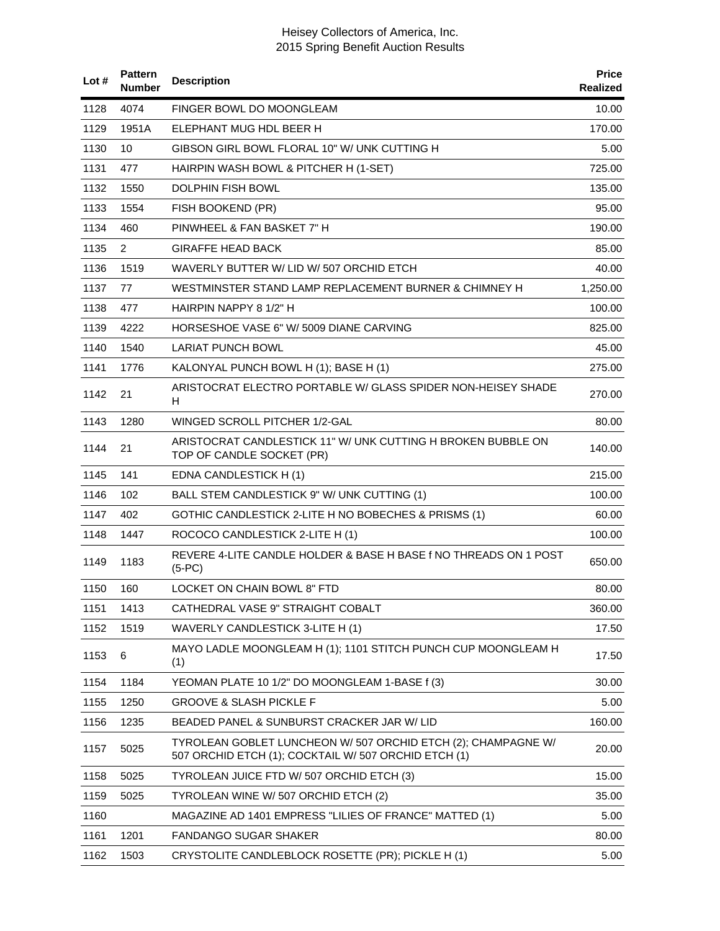| Lot# | <b>Pattern</b><br><b>Number</b> | <b>Description</b>                                                                                                    | <b>Price</b><br>Realized |
|------|---------------------------------|-----------------------------------------------------------------------------------------------------------------------|--------------------------|
| 1128 | 4074                            | FINGER BOWL DO MOONGLEAM                                                                                              | 10.00                    |
| 1129 | 1951A                           | ELEPHANT MUG HDL BEER H                                                                                               | 170.00                   |
| 1130 | 10                              | GIBSON GIRL BOWL FLORAL 10" W/ UNK CUTTING H                                                                          | 5.00                     |
| 1131 | 477                             | HAIRPIN WASH BOWL & PITCHER H (1-SET)                                                                                 | 725.00                   |
| 1132 | 1550                            | DOLPHIN FISH BOWL                                                                                                     | 135.00                   |
| 1133 | 1554                            | FISH BOOKEND (PR)                                                                                                     | 95.00                    |
| 1134 | 460                             | PINWHEEL & FAN BASKET 7" H                                                                                            | 190.00                   |
| 1135 | 2                               | <b>GIRAFFE HEAD BACK</b>                                                                                              | 85.00                    |
| 1136 | 1519                            | WAVERLY BUTTER W/LID W/507 ORCHID ETCH                                                                                | 40.00                    |
| 1137 | 77                              | WESTMINSTER STAND LAMP REPLACEMENT BURNER & CHIMNEY H                                                                 | 1,250.00                 |
| 1138 | 477                             | HAIRPIN NAPPY 8 1/2" H                                                                                                | 100.00                   |
| 1139 | 4222                            | HORSESHOE VASE 6" W/ 5009 DIANE CARVING                                                                               | 825.00                   |
| 1140 | 1540                            | <b>LARIAT PUNCH BOWL</b>                                                                                              | 45.00                    |
| 1141 | 1776                            | KALONYAL PUNCH BOWL H (1); BASE H (1)                                                                                 | 275.00                   |
| 1142 | 21                              | ARISTOCRAT ELECTRO PORTABLE W/ GLASS SPIDER NON-HEISEY SHADE<br>н                                                     | 270.00                   |
| 1143 | 1280                            | WINGED SCROLL PITCHER 1/2-GAL                                                                                         | 80.00                    |
| 1144 | 21                              | ARISTOCRAT CANDLESTICK 11" W/ UNK CUTTING H BROKEN BUBBLE ON<br>TOP OF CANDLE SOCKET (PR)                             | 140.00                   |
| 1145 | 141                             | EDNA CANDLESTICK H (1)                                                                                                | 215.00                   |
| 1146 | 102                             | BALL STEM CANDLESTICK 9" W/ UNK CUTTING (1)                                                                           | 100.00                   |
| 1147 | 402                             | GOTHIC CANDLESTICK 2-LITE H NO BOBECHES & PRISMS (1)                                                                  | 60.00                    |
| 1148 | 1447                            | ROCOCO CANDLESTICK 2-LITE H (1)                                                                                       | 100.00                   |
| 1149 | 1183                            | REVERE 4-LITE CANDLE HOLDER & BASE H BASE f NO THREADS ON 1 POST<br>$(5-PC)$                                          | 650.00                   |
| 1150 | 160                             | LOCKET ON CHAIN BOWL 8" FTD                                                                                           | 80.00                    |
| 1151 | 1413                            | CATHEDRAL VASE 9" STRAIGHT COBALT                                                                                     | 360.00                   |
| 1152 | 1519                            | WAVERLY CANDLESTICK 3-LITE H (1)                                                                                      | 17.50                    |
| 1153 | 6                               | MAYO LADLE MOONGLEAM H (1); 1101 STITCH PUNCH CUP MOONGLEAM H<br>(1)                                                  | 17.50                    |
| 1154 | 1184                            | YEOMAN PLATE 10 1/2" DO MOONGLEAM 1-BASE f (3)                                                                        | 30.00                    |
| 1155 | 1250                            | <b>GROOVE &amp; SLASH PICKLE F</b>                                                                                    | 5.00                     |
| 1156 | 1235                            | BEADED PANEL & SUNBURST CRACKER JAR W/ LID                                                                            | 160.00                   |
| 1157 | 5025                            | TYROLEAN GOBLET LUNCHEON W/ 507 ORCHID ETCH (2); CHAMPAGNE W/<br>507 ORCHID ETCH (1); COCKTAIL W/ 507 ORCHID ETCH (1) | 20.00                    |
| 1158 | 5025                            | TYROLEAN JUICE FTD W/ 507 ORCHID ETCH (3)                                                                             | 15.00                    |
| 1159 | 5025                            | TYROLEAN WINE W/ 507 ORCHID ETCH (2)                                                                                  | 35.00                    |
| 1160 |                                 | MAGAZINE AD 1401 EMPRESS "LILIES OF FRANCE" MATTED (1)                                                                | 5.00                     |
| 1161 | 1201                            | <b>FANDANGO SUGAR SHAKER</b>                                                                                          | 80.00                    |
| 1162 | 1503                            | CRYSTOLITE CANDLEBLOCK ROSETTE (PR); PICKLE H (1)                                                                     | 5.00                     |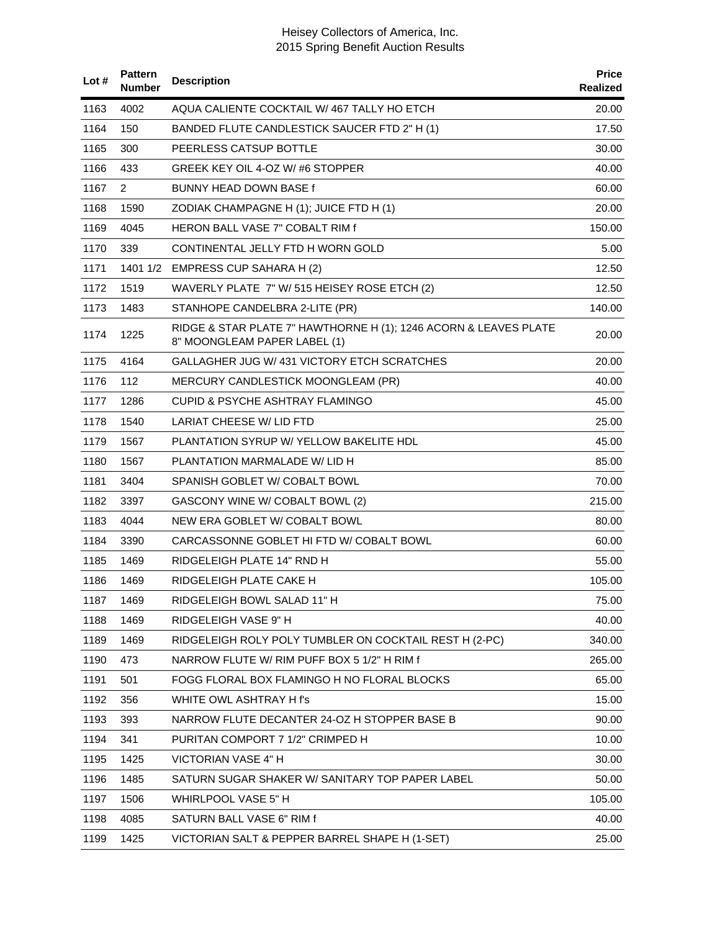| Lot $#$ | <b>Pattern</b><br><b>Number</b> | <b>Description</b>                                                                               | <b>Price</b><br><b>Realized</b> |
|---------|---------------------------------|--------------------------------------------------------------------------------------------------|---------------------------------|
| 1163    | 4002                            | AQUA CALIENTE COCKTAIL W/467 TALLY HO ETCH                                                       | 20.00                           |
| 1164    | 150                             | BANDED FLUTE CANDLESTICK SAUCER FTD 2" H (1)                                                     | 17.50                           |
| 1165    | 300                             | PEERLESS CATSUP BOTTLE                                                                           | 30.00                           |
| 1166    | 433                             | GREEK KEY OIL 4-OZ W/#6 STOPPER                                                                  | 40.00                           |
| 1167    | 2                               | BUNNY HEAD DOWN BASE f                                                                           | 60.00                           |
| 1168    | 1590                            | ZODIAK CHAMPAGNE H (1); JUICE FTD H (1)                                                          | 20.00                           |
| 1169    | 4045                            | HERON BALL VASE 7" COBALT RIM f                                                                  | 150.00                          |
| 1170    | 339                             | CONTINENTAL JELLY FTD H WORN GOLD                                                                | 5.00                            |
| 1171    |                                 | 1401 1/2 EMPRESS CUP SAHARA H (2)                                                                | 12.50                           |
| 1172    | 1519                            | WAVERLY PLATE 7" W/ 515 HEISEY ROSE ETCH (2)                                                     | 12.50                           |
| 1173    | 1483                            | STANHOPE CANDELBRA 2-LITE (PR)                                                                   | 140.00                          |
| 1174    | 1225                            | RIDGE & STAR PLATE 7" HAWTHORNE H (1); 1246 ACORN & LEAVES PLATE<br>8" MOONGLEAM PAPER LABEL (1) | 20.00                           |
| 1175    | 4164                            | GALLAGHER JUG W/431 VICTORY ETCH SCRATCHES                                                       | 20.00                           |
| 1176    | 112                             | MERCURY CANDLESTICK MOONGLEAM (PR)                                                               | 40.00                           |
| 1177    | 1286                            | <b>CUPID &amp; PSYCHE ASHTRAY FLAMINGO</b>                                                       | 45.00                           |
| 1178    | 1540                            | LARIAT CHEESE W/ LID FTD                                                                         | 25.00                           |
| 1179    | 1567                            | PLANTATION SYRUP W/ YELLOW BAKELITE HDL                                                          | 45.00                           |
| 1180    | 1567                            | PLANTATION MARMALADE W/LID H                                                                     | 85.00                           |
| 1181    | 3404                            | SPANISH GOBLET W/ COBALT BOWL                                                                    | 70.00                           |
| 1182    | 3397                            | GASCONY WINE W/ COBALT BOWL (2)                                                                  | 215.00                          |
| 1183    | 4044                            | NEW ERA GOBLET W/ COBALT BOWL                                                                    | 80.00                           |
| 1184    | 3390                            | CARCASSONNE GOBLET HI FTD W/ COBALT BOWL                                                         | 60.00                           |
| 1185    | 1469                            | RIDGELEIGH PLATE 14" RND H                                                                       | 55.00                           |
| 1186    | 1469                            | RIDGELEIGH PLATE CAKE H                                                                          | 105.00                          |
| 1187    | 1469                            | RIDGELEIGH BOWL SALAD 11" H                                                                      | 75.00                           |
| 1188    | 1469                            | RIDGELEIGH VASE 9" H                                                                             | 40.00                           |
| 1189    | 1469                            | RIDGELEIGH ROLY POLY TUMBLER ON COCKTAIL REST H (2-PC)                                           | 340.00                          |
| 1190    | 473                             | NARROW FLUTE W/ RIM PUFF BOX 5 1/2" H RIM f                                                      | 265.00                          |
| 1191    | 501                             | FOGG FLORAL BOX FLAMINGO H NO FLORAL BLOCKS                                                      | 65.00                           |
| 1192    | 356                             | WHITE OWL ASHTRAY H f's                                                                          | 15.00                           |
| 1193    | 393                             | NARROW FLUTE DECANTER 24-OZ H STOPPER BASE B                                                     | 90.00                           |
| 1194    | 341                             | PURITAN COMPORT 7 1/2" CRIMPED H                                                                 | 10.00                           |
| 1195    | 1425                            | VICTORIAN VASE 4" H                                                                              | 30.00                           |
| 1196    | 1485                            | SATURN SUGAR SHAKER W/ SANITARY TOP PAPER LABEL                                                  | 50.00                           |
| 1197    | 1506                            | WHIRLPOOL VASE 5" H                                                                              | 105.00                          |
| 1198    | 4085                            | SATURN BALL VASE 6" RIM f                                                                        | 40.00                           |
| 1199    | 1425                            | VICTORIAN SALT & PEPPER BARREL SHAPE H (1-SET)                                                   | 25.00                           |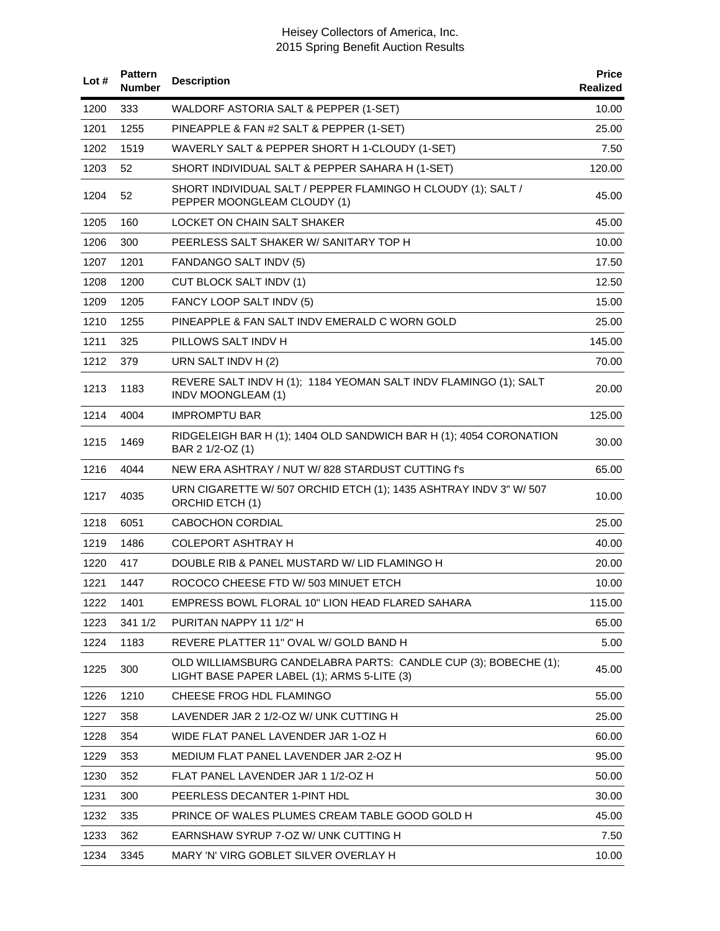| Lot# | <b>Pattern</b><br>Number | <b>Description</b>                                                                                             | <b>Price</b><br>Realized |
|------|--------------------------|----------------------------------------------------------------------------------------------------------------|--------------------------|
| 1200 | 333                      | WALDORF ASTORIA SALT & PEPPER (1-SET)                                                                          | 10.00                    |
| 1201 | 1255                     | PINEAPPLE & FAN #2 SALT & PEPPER (1-SET)                                                                       | 25.00                    |
| 1202 | 1519                     | WAVERLY SALT & PEPPER SHORT H 1-CLOUDY (1-SET)                                                                 | 7.50                     |
| 1203 | 52                       | SHORT INDIVIDUAL SALT & PEPPER SAHARA H (1-SET)                                                                | 120.00                   |
| 1204 | 52                       | SHORT INDIVIDUAL SALT / PEPPER FLAMINGO H CLOUDY (1); SALT /<br>PEPPER MOONGLEAM CLOUDY (1)                    | 45.00                    |
| 1205 | 160                      | LOCKET ON CHAIN SALT SHAKER                                                                                    | 45.00                    |
| 1206 | 300                      | PEERLESS SALT SHAKER W/ SANITARY TOP H                                                                         | 10.00                    |
| 1207 | 1201                     | FANDANGO SALT INDV (5)                                                                                         | 17.50                    |
| 1208 | 1200                     | CUT BLOCK SALT INDV (1)                                                                                        | 12.50                    |
| 1209 | 1205                     | FANCY LOOP SALT INDV (5)                                                                                       | 15.00                    |
| 1210 | 1255                     | PINEAPPLE & FAN SALT INDV EMERALD C WORN GOLD                                                                  | 25.00                    |
| 1211 | 325                      | PILLOWS SALT INDV H                                                                                            | 145.00                   |
| 1212 | 379                      | URN SALT INDV H (2)                                                                                            | 70.00                    |
| 1213 | 1183                     | REVERE SALT INDV H (1); 1184 YEOMAN SALT INDV FLAMINGO (1); SALT<br>INDV MOONGLEAM (1)                         | 20.00                    |
| 1214 | 4004                     | <b>IMPROMPTU BAR</b>                                                                                           | 125.00                   |
| 1215 | 1469                     | RIDGELEIGH BAR H (1); 1404 OLD SANDWICH BAR H (1); 4054 CORONATION<br>BAR 2 1/2-OZ (1)                         | 30.00                    |
| 1216 | 4044                     | NEW ERA ASHTRAY / NUT W/ 828 STARDUST CUTTING f's                                                              | 65.00                    |
| 1217 | 4035                     | URN CIGARETTE W/ 507 ORCHID ETCH (1); 1435 ASHTRAY INDV 3" W/ 507<br>ORCHID ETCH (1)                           | 10.00                    |
| 1218 | 6051                     | CABOCHON CORDIAL                                                                                               | 25.00                    |
| 1219 | 1486                     | <b>COLEPORT ASHTRAY H</b>                                                                                      | 40.00                    |
| 1220 | 417                      | DOUBLE RIB & PANEL MUSTARD W/ LID FLAMINGO H                                                                   | 20.00                    |
| 1221 | 1447                     | ROCOCO CHEESE FTD W/503 MINUET ETCH                                                                            | 10.00                    |
| 1222 | 1401                     | EMPRESS BOWL FLORAL 10" LION HEAD FLARED SAHARA                                                                | 115.00                   |
| 1223 | 341 1/2                  | PURITAN NAPPY 11 1/2" H                                                                                        | 65.00                    |
| 1224 | 1183                     | REVERE PLATTER 11" OVAL W/ GOLD BAND H                                                                         | 5.00                     |
| 1225 | 300                      | OLD WILLIAMSBURG CANDELABRA PARTS: CANDLE CUP (3); BOBECHE (1);<br>LIGHT BASE PAPER LABEL (1); ARMS 5-LITE (3) | 45.00                    |
| 1226 | 1210                     | CHEESE FROG HDL FLAMINGO                                                                                       | 55.00                    |
| 1227 | 358                      | LAVENDER JAR 2 1/2-OZ W/ UNK CUTTING H                                                                         | 25.00                    |
| 1228 | 354                      | WIDE FLAT PANEL LAVENDER JAR 1-OZ H                                                                            | 60.00                    |
| 1229 | 353                      | MEDIUM FLAT PANEL LAVENDER JAR 2-OZ H                                                                          | 95.00                    |
| 1230 | 352                      | FLAT PANEL LAVENDER JAR 1 1/2-OZ H                                                                             | 50.00                    |
| 1231 | 300                      | PEERLESS DECANTER 1-PINT HDL                                                                                   | 30.00                    |
| 1232 | 335                      | PRINCE OF WALES PLUMES CREAM TABLE GOOD GOLD H                                                                 | 45.00                    |
| 1233 | 362                      | EARNSHAW SYRUP 7-OZ W/ UNK CUTTING H                                                                           | 7.50                     |
| 1234 | 3345                     | MARY 'N' VIRG GOBLET SILVER OVERLAY H                                                                          | 10.00                    |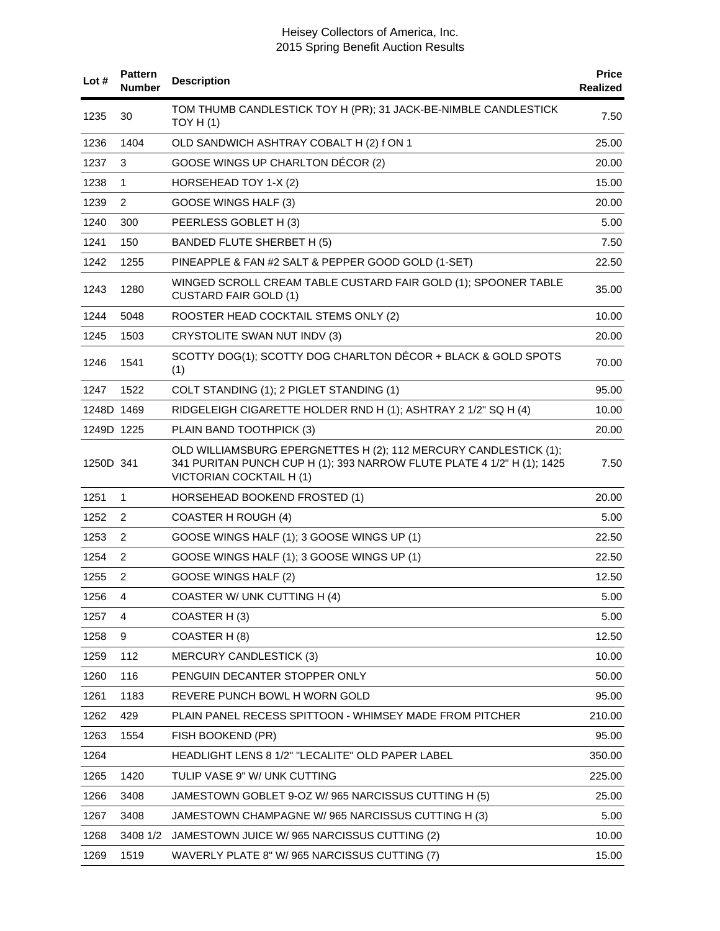| Lot#       | <b>Pattern</b><br><b>Number</b> | <b>Description</b>                                                                                                                                                            | <b>Price</b><br><b>Realized</b> |
|------------|---------------------------------|-------------------------------------------------------------------------------------------------------------------------------------------------------------------------------|---------------------------------|
| 1235       | 30                              | TOM THUMB CANDLESTICK TOY H (PR); 31 JACK-BE-NIMBLE CANDLESTICK<br>TOY H $(1)$                                                                                                | 7.50                            |
| 1236       | 1404                            | OLD SANDWICH ASHTRAY COBALT H (2) f ON 1                                                                                                                                      | 25.00                           |
| 1237       | 3                               | GOOSE WINGS UP CHARLTON DÉCOR (2)                                                                                                                                             | 20.00                           |
| 1238       | 1                               | HORSEHEAD TOY 1-X (2)                                                                                                                                                         | 15.00                           |
| 1239       | 2                               | GOOSE WINGS HALF (3)                                                                                                                                                          | 20.00                           |
| 1240       | 300                             | PEERLESS GOBLET H (3)                                                                                                                                                         | 5.00                            |
| 1241       | 150                             | BANDED FLUTE SHERBET H (5)                                                                                                                                                    | 7.50                            |
| 1242       | 1255                            | PINEAPPLE & FAN #2 SALT & PEPPER GOOD GOLD (1-SET)                                                                                                                            | 22.50                           |
| 1243       | 1280                            | WINGED SCROLL CREAM TABLE CUSTARD FAIR GOLD (1); SPOONER TABLE<br><b>CUSTARD FAIR GOLD (1)</b>                                                                                | 35.00                           |
| 1244       | 5048                            | ROOSTER HEAD COCKTAIL STEMS ONLY (2)                                                                                                                                          | 10.00                           |
| 1245       | 1503                            | CRYSTOLITE SWAN NUT INDV (3)                                                                                                                                                  | 20.00                           |
| 1246       | 1541                            | SCOTTY DOG(1); SCOTTY DOG CHARLTON DÉCOR + BLACK & GOLD SPOTS<br>(1)                                                                                                          | 70.00                           |
| 1247       | 1522                            | COLT STANDING (1); 2 PIGLET STANDING (1)                                                                                                                                      | 95.00                           |
| 1248D 1469 |                                 | RIDGELEIGH CIGARETTE HOLDER RND H (1); ASHTRAY 2 1/2" SQ H (4)                                                                                                                | 10.00                           |
| 1249D 1225 |                                 | PLAIN BAND TOOTHPICK (3)                                                                                                                                                      | 20.00                           |
| 1250D 341  |                                 | OLD WILLIAMSBURG EPERGNETTES H (2); 112 MERCURY CANDLESTICK (1);<br>341 PURITAN PUNCH CUP H (1); 393 NARROW FLUTE PLATE 4 1/2" H (1); 1425<br><b>VICTORIAN COCKTAIL H (1)</b> | 7.50                            |
| 1251       | $\mathbf{1}$                    | HORSEHEAD BOOKEND FROSTED (1)                                                                                                                                                 | 20.00                           |
| 1252       | 2                               | <b>COASTER H ROUGH (4)</b>                                                                                                                                                    | 5.00                            |
| 1253       | 2                               | GOOSE WINGS HALF (1); 3 GOOSE WINGS UP (1)                                                                                                                                    | 22.50                           |
| 1254       | 2                               | GOOSE WINGS HALF (1); 3 GOOSE WINGS UP (1)                                                                                                                                    | 22.50                           |
| 1255       | 2                               | GOOSE WINGS HALF (2)                                                                                                                                                          | 12.50                           |
| 1256       | 4                               | COASTER W/ UNK CUTTING H (4)                                                                                                                                                  | 5.00                            |
| 1257       | 4                               | COASTER H(3)                                                                                                                                                                  | 5.00                            |
| 1258       | 9                               | COASTER H (8)                                                                                                                                                                 | 12.50                           |
| 1259       | 112                             | <b>MERCURY CANDLESTICK (3)</b>                                                                                                                                                | 10.00                           |
| 1260       | 116                             | PENGUIN DECANTER STOPPER ONLY                                                                                                                                                 | 50.00                           |
| 1261       | 1183                            | REVERE PUNCH BOWL H WORN GOLD                                                                                                                                                 | 95.00                           |
| 1262       | 429                             | PLAIN PANEL RECESS SPITTOON - WHIMSEY MADE FROM PITCHER                                                                                                                       | 210.00                          |
| 1263       | 1554                            | FISH BOOKEND (PR)                                                                                                                                                             | 95.00                           |
| 1264       |                                 | HEADLIGHT LENS 8 1/2" "LECALITE" OLD PAPER LABEL                                                                                                                              | 350.00                          |
| 1265       | 1420                            | TULIP VASE 9" W/ UNK CUTTING                                                                                                                                                  | 225.00                          |
| 1266       | 3408                            | JAMESTOWN GOBLET 9-OZ W/ 965 NARCISSUS CUTTING H (5)                                                                                                                          | 25.00                           |
| 1267       | 3408                            | JAMESTOWN CHAMPAGNE W/965 NARCISSUS CUTTING H (3)                                                                                                                             | 5.00                            |
| 1268       | 3408 1/2                        | JAMESTOWN JUICE W/ 965 NARCISSUS CUTTING (2)                                                                                                                                  | 10.00                           |
| 1269       | 1519                            | WAVERLY PLATE 8" W/ 965 NARCISSUS CUTTING (7)                                                                                                                                 | 15.00                           |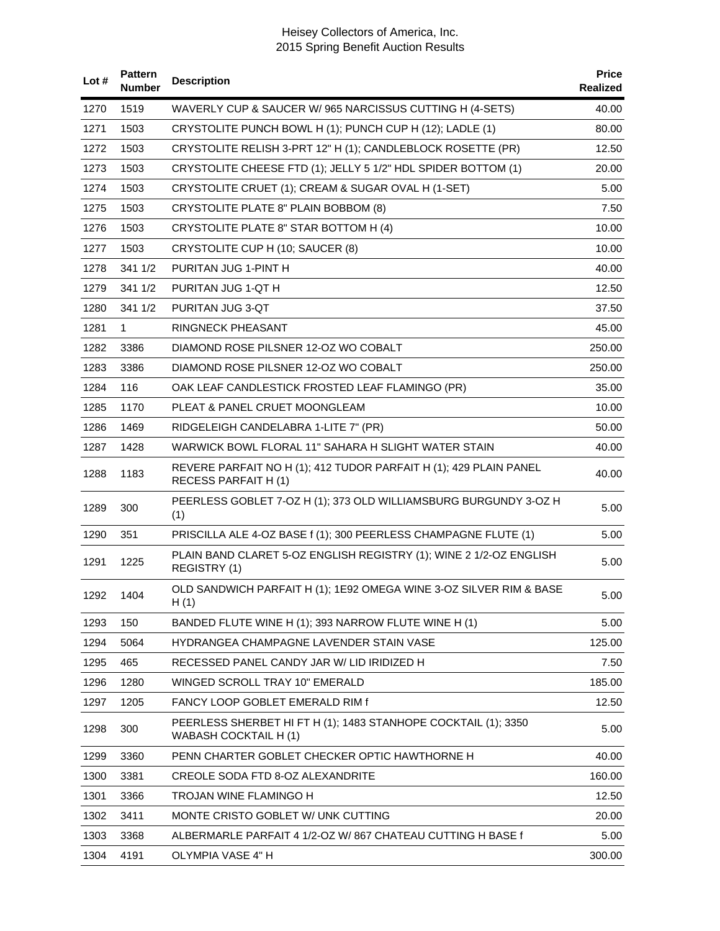| Lot# | <b>Pattern</b><br><b>Number</b> | <b>Description</b>                                                                              | <b>Price</b><br>Realized |
|------|---------------------------------|-------------------------------------------------------------------------------------------------|--------------------------|
| 1270 | 1519                            | WAVERLY CUP & SAUCER W/ 965 NARCISSUS CUTTING H (4-SETS)                                        | 40.00                    |
| 1271 | 1503                            | CRYSTOLITE PUNCH BOWL H (1); PUNCH CUP H (12); LADLE (1)                                        | 80.00                    |
| 1272 | 1503                            | CRYSTOLITE RELISH 3-PRT 12" H (1); CANDLEBLOCK ROSETTE (PR)                                     | 12.50                    |
| 1273 | 1503                            | CRYSTOLITE CHEESE FTD (1); JELLY 5 1/2" HDL SPIDER BOTTOM (1)                                   | 20.00                    |
| 1274 | 1503                            | CRYSTOLITE CRUET (1); CREAM & SUGAR OVAL H (1-SET)                                              | 5.00                     |
| 1275 | 1503                            | CRYSTOLITE PLATE 8" PLAIN BOBBOM (8)                                                            | 7.50                     |
| 1276 | 1503                            | CRYSTOLITE PLATE 8" STAR BOTTOM H (4)                                                           | 10.00                    |
| 1277 | 1503                            | CRYSTOLITE CUP H (10; SAUCER (8)                                                                | 10.00                    |
| 1278 | 341 1/2                         | PURITAN JUG 1-PINT H                                                                            | 40.00                    |
| 1279 | 341 1/2                         | PURITAN JUG 1-QT H                                                                              | 12.50                    |
| 1280 | 341 1/2                         | PURITAN JUG 3-QT                                                                                | 37.50                    |
| 1281 | $\mathbf 1$                     | RINGNECK PHEASANT                                                                               | 45.00                    |
| 1282 | 3386                            | DIAMOND ROSE PILSNER 12-OZ WO COBALT                                                            | 250.00                   |
| 1283 | 3386                            | DIAMOND ROSE PILSNER 12-OZ WO COBALT                                                            | 250.00                   |
| 1284 | 116                             | OAK LEAF CANDLESTICK FROSTED LEAF FLAMINGO (PR)                                                 | 35.00                    |
| 1285 | 1170                            | PLEAT & PANEL CRUET MOONGLEAM                                                                   | 10.00                    |
| 1286 | 1469                            | RIDGELEIGH CANDELABRA 1-LITE 7" (PR)                                                            | 50.00                    |
| 1287 | 1428                            | WARWICK BOWL FLORAL 11" SAHARA H SLIGHT WATER STAIN                                             | 40.00                    |
| 1288 | 1183                            | REVERE PARFAIT NO H (1); 412 TUDOR PARFAIT H (1); 429 PLAIN PANEL<br><b>RECESS PARFAIT H(1)</b> | 40.00                    |
| 1289 | 300                             | PEERLESS GOBLET 7-OZ H (1); 373 OLD WILLIAMSBURG BURGUNDY 3-OZ H<br>(1)                         | 5.00                     |
| 1290 | 351                             | PRISCILLA ALE 4-OZ BASE f (1); 300 PEERLESS CHAMPAGNE FLUTE (1)                                 | 5.00                     |
| 1291 | 1225                            | PLAIN BAND CLARET 5-OZ ENGLISH REGISTRY (1); WINE 2 1/2-OZ ENGLISH<br>REGISTRY (1)              | 5.00                     |
|      | 1292 1404                       | OLD SANDWICH PARFAIT H (1); 1E92 OMEGA WINE 3-OZ SILVER RIM & BASE<br>H(1)                      | 5.00                     |
| 1293 | 150                             | BANDED FLUTE WINE H (1); 393 NARROW FLUTE WINE H (1)                                            | 5.00                     |
| 1294 | 5064                            | HYDRANGEA CHAMPAGNE LAVENDER STAIN VASE                                                         | 125.00                   |
| 1295 | 465                             | RECESSED PANEL CANDY JAR W/ LID IRIDIZED H                                                      | 7.50                     |
| 1296 | 1280                            | WINGED SCROLL TRAY 10" EMERALD                                                                  | 185.00                   |
| 1297 | 1205                            | FANCY LOOP GOBLET EMERALD RIM f                                                                 | 12.50                    |
| 1298 | 300                             | PEERLESS SHERBET HI FT H (1); 1483 STANHOPE COCKTAIL (1); 3350<br>WABASH COCKTAIL H (1)         | 5.00                     |
| 1299 | 3360                            | PENN CHARTER GOBLET CHECKER OPTIC HAWTHORNE H                                                   | 40.00                    |
| 1300 | 3381                            | CREOLE SODA FTD 8-OZ ALEXANDRITE                                                                | 160.00                   |
| 1301 | 3366                            | TROJAN WINE FLAMINGO H                                                                          | 12.50                    |
| 1302 | 3411                            | MONTE CRISTO GOBLET W/ UNK CUTTING                                                              | 20.00                    |
| 1303 | 3368                            | ALBERMARLE PARFAIT 4 1/2-OZ W/ 867 CHATEAU CUTTING H BASE f                                     | 5.00                     |
| 1304 | 4191                            | OLYMPIA VASE 4" H                                                                               | 300.00                   |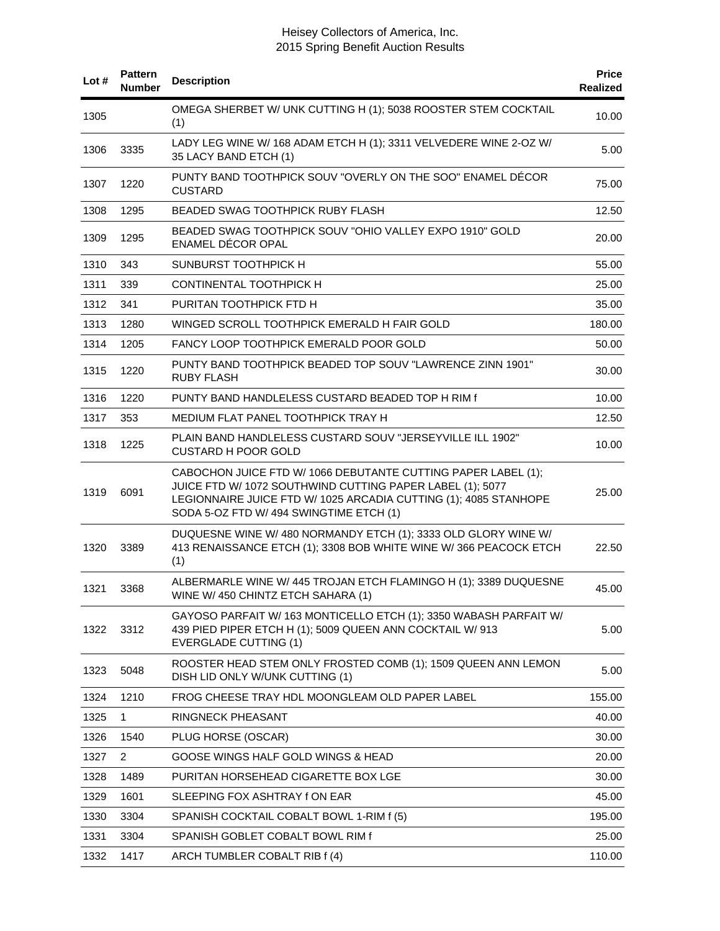| Lot# | <b>Pattern</b><br><b>Number</b> | <b>Description</b>                                                                                                                                                                                                                        | <b>Price</b><br>Realized |
|------|---------------------------------|-------------------------------------------------------------------------------------------------------------------------------------------------------------------------------------------------------------------------------------------|--------------------------|
| 1305 |                                 | OMEGA SHERBET W/ UNK CUTTING H (1); 5038 ROOSTER STEM COCKTAIL<br>(1)                                                                                                                                                                     | 10.00                    |
| 1306 | 3335                            | LADY LEG WINE W/ 168 ADAM ETCH H (1); 3311 VELVEDERE WINE 2-OZ W/<br>35 LACY BAND ETCH (1)                                                                                                                                                | 5.00                     |
| 1307 | 1220                            | PUNTY BAND TOOTHPICK SOUV "OVERLY ON THE SOO" ENAMEL DECOR<br><b>CUSTARD</b>                                                                                                                                                              | 75.00                    |
| 1308 | 1295                            | <b>BEADED SWAG TOOTHPICK RUBY FLASH</b>                                                                                                                                                                                                   | 12.50                    |
| 1309 | 1295                            | BEADED SWAG TOOTHPICK SOUV "OHIO VALLEY EXPO 1910" GOLD<br>ENAMEL DÉCOR OPAL                                                                                                                                                              | 20.00                    |
| 1310 | 343                             | SUNBURST TOOTHPICK H                                                                                                                                                                                                                      | 55.00                    |
| 1311 | 339                             | CONTINENTAL TOOTHPICK H                                                                                                                                                                                                                   | 25.00                    |
| 1312 | 341                             | PURITAN TOOTHPICK FTD H                                                                                                                                                                                                                   | 35.00                    |
| 1313 | 1280                            | WINGED SCROLL TOOTHPICK EMERALD H FAIR GOLD                                                                                                                                                                                               | 180.00                   |
| 1314 | 1205                            | FANCY LOOP TOOTHPICK EMERALD POOR GOLD                                                                                                                                                                                                    | 50.00                    |
| 1315 | 1220                            | PUNTY BAND TOOTHPICK BEADED TOP SOUV "LAWRENCE ZINN 1901"<br><b>RUBY FLASH</b>                                                                                                                                                            | 30.00                    |
| 1316 | 1220                            | PUNTY BAND HANDLELESS CUSTARD BEADED TOP H RIM f                                                                                                                                                                                          | 10.00                    |
| 1317 | 353                             | MEDIUM FLAT PANEL TOOTHPICK TRAY H                                                                                                                                                                                                        | 12.50                    |
| 1318 | 1225                            | PLAIN BAND HANDLELESS CUSTARD SOUV "JERSEYVILLE ILL 1902"<br><b>CUSTARD H POOR GOLD</b>                                                                                                                                                   | 10.00                    |
| 1319 | 6091                            | CABOCHON JUICE FTD W/ 1066 DEBUTANTE CUTTING PAPER LABEL (1);<br>JUICE FTD W/ 1072 SOUTHWIND CUTTING PAPER LABEL (1); 5077<br>LEGIONNAIRE JUICE FTD W/ 1025 ARCADIA CUTTING (1); 4085 STANHOPE<br>SODA 5-OZ FTD W/ 494 SWINGTIME ETCH (1) | 25.00                    |
| 1320 | 3389                            | DUQUESNE WINE W/ 480 NORMANDY ETCH (1); 3333 OLD GLORY WINE W/<br>413 RENAISSANCE ETCH (1); 3308 BOB WHITE WINE W/ 366 PEACOCK ETCH<br>(1)                                                                                                | 22.50                    |
| 1321 | 3368                            | ALBERMARLE WINE W/ 445 TROJAN ETCH FLAMINGO H (1); 3389 DUQUESNE<br>WINE W/ 450 CHINTZ ETCH SAHARA (1)                                                                                                                                    | 45.00                    |
| 1322 | 3312                            | GAYOSO PARFAIT W/163 MONTICELLO ETCH (1); 3350 WABASH PARFAIT W/<br>439 PIED PIPER ETCH H (1); 5009 QUEEN ANN COCKTAIL W/ 913<br><b>EVERGLADE CUTTING (1)</b>                                                                             | 5.00                     |
| 1323 | 5048                            | ROOSTER HEAD STEM ONLY FROSTED COMB (1); 1509 QUEEN ANN LEMON<br>DISH LID ONLY W/UNK CUTTING (1)                                                                                                                                          | 5.00                     |
| 1324 | 1210                            | FROG CHEESE TRAY HDL MOONGLEAM OLD PAPER LABEL                                                                                                                                                                                            | 155.00                   |
| 1325 | 1                               | <b>RINGNECK PHEASANT</b>                                                                                                                                                                                                                  | 40.00                    |
| 1326 | 1540                            | PLUG HORSE (OSCAR)                                                                                                                                                                                                                        | 30.00                    |
| 1327 | $\overline{2}$                  | GOOSE WINGS HALF GOLD WINGS & HEAD                                                                                                                                                                                                        | 20.00                    |
| 1328 | 1489                            | PURITAN HORSEHEAD CIGARETTE BOX LGE                                                                                                                                                                                                       | 30.00                    |
| 1329 | 1601                            | SLEEPING FOX ASHTRAY fON EAR                                                                                                                                                                                                              | 45.00                    |
| 1330 | 3304                            | SPANISH COCKTAIL COBALT BOWL 1-RIM f (5)                                                                                                                                                                                                  | 195.00                   |
| 1331 | 3304                            | SPANISH GOBLET COBALT BOWL RIM f                                                                                                                                                                                                          | 25.00                    |
| 1332 | 1417                            | ARCH TUMBLER COBALT RIB f (4)                                                                                                                                                                                                             | 110.00                   |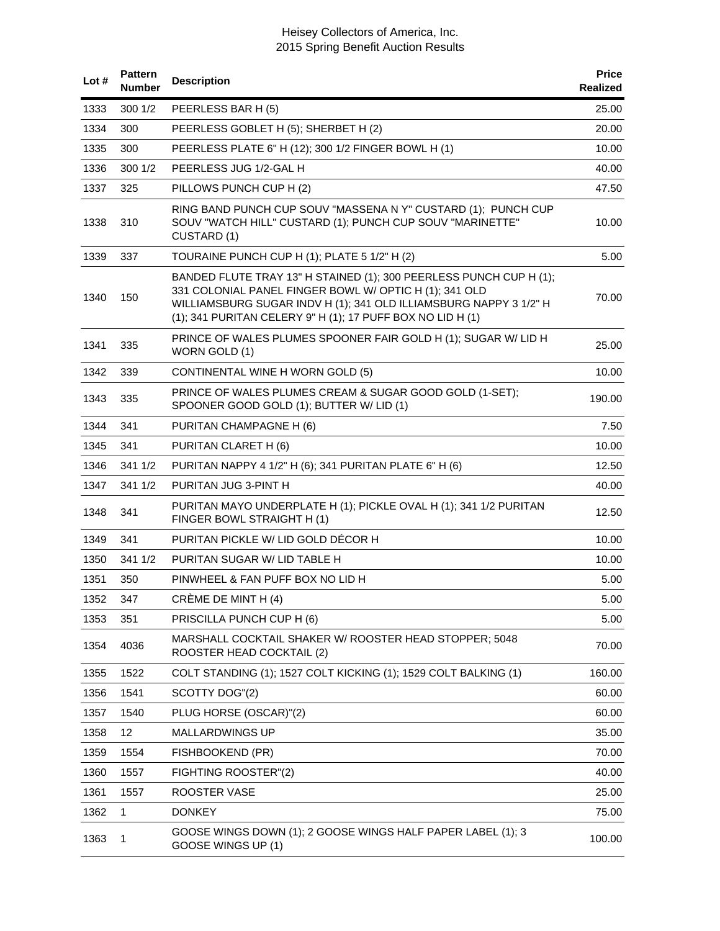| Lot# | <b>Pattern</b><br><b>Number</b> | <b>Description</b>                                                                                                                                                                                                                                              | <b>Price</b><br><b>Realized</b> |
|------|---------------------------------|-----------------------------------------------------------------------------------------------------------------------------------------------------------------------------------------------------------------------------------------------------------------|---------------------------------|
| 1333 | 3001/2                          | PEERLESS BAR H (5)                                                                                                                                                                                                                                              | 25.00                           |
| 1334 | 300                             | PEERLESS GOBLET H (5); SHERBET H (2)                                                                                                                                                                                                                            | 20.00                           |
| 1335 | 300                             | PEERLESS PLATE 6" H (12); 300 1/2 FINGER BOWL H (1)                                                                                                                                                                                                             | 10.00                           |
| 1336 | 300 1/2                         | PEERLESS JUG 1/2-GAL H                                                                                                                                                                                                                                          | 40.00                           |
| 1337 | 325                             | PILLOWS PUNCH CUP H (2)                                                                                                                                                                                                                                         | 47.50                           |
| 1338 | 310                             | RING BAND PUNCH CUP SOUV "MASSENA N Y" CUSTARD (1); PUNCH CUP<br>SOUV "WATCH HILL" CUSTARD (1); PUNCH CUP SOUV "MARINETTE"<br>CUSTARD (1)                                                                                                                       | 10.00                           |
| 1339 | 337                             | TOURAINE PUNCH CUP H (1); PLATE 5 1/2" H (2)                                                                                                                                                                                                                    | 5.00                            |
| 1340 | 150                             | BANDED FLUTE TRAY 13" H STAINED (1); 300 PEERLESS PUNCH CUP H (1);<br>331 COLONIAL PANEL FINGER BOWL W/ OPTIC H (1); 341 OLD<br>WILLIAMSBURG SUGAR INDV H (1); 341 OLD ILLIAMSBURG NAPPY 3 1/2" H<br>(1); 341 PURITAN CELERY 9" H (1); 17 PUFF BOX NO LID H (1) | 70.00                           |
| 1341 | 335                             | PRINCE OF WALES PLUMES SPOONER FAIR GOLD H (1); SUGAR W/ LID H<br>WORN GOLD (1)                                                                                                                                                                                 | 25.00                           |
| 1342 | 339                             | CONTINENTAL WINE H WORN GOLD (5)                                                                                                                                                                                                                                | 10.00                           |
| 1343 | 335                             | PRINCE OF WALES PLUMES CREAM & SUGAR GOOD GOLD (1-SET);<br>SPOONER GOOD GOLD (1); BUTTER W/ LID (1)                                                                                                                                                             | 190.00                          |
| 1344 | 341                             | PURITAN CHAMPAGNE H (6)                                                                                                                                                                                                                                         | 7.50                            |
| 1345 | 341                             | PURITAN CLARET H (6)                                                                                                                                                                                                                                            | 10.00                           |
| 1346 | 341 1/2                         | PURITAN NAPPY 4 1/2" H (6); 341 PURITAN PLATE 6" H (6)                                                                                                                                                                                                          | 12.50                           |
| 1347 | 341 1/2                         | PURITAN JUG 3-PINT H                                                                                                                                                                                                                                            | 40.00                           |
| 1348 | 341                             | PURITAN MAYO UNDERPLATE H (1); PICKLE OVAL H (1); 341 1/2 PURITAN<br>FINGER BOWL STRAIGHT H (1)                                                                                                                                                                 | 12.50                           |
| 1349 | 341                             | PURITAN PICKLE W/ LID GOLD DÉCOR H                                                                                                                                                                                                                              | 10.00                           |
| 1350 | 341 1/2                         | PURITAN SUGAR W/ LID TABLE H                                                                                                                                                                                                                                    | 10.00                           |
| 1351 | 350                             | PINWHEEL & FAN PUFF BOX NO LID H                                                                                                                                                                                                                                | 5.00                            |
| 1352 | 347                             | CRÈME DE MINT H (4)                                                                                                                                                                                                                                             | 5.00                            |
| 1353 | 351                             | PRISCILLA PUNCH CUP H (6)                                                                                                                                                                                                                                       | 5.00                            |
| 1354 | 4036                            | MARSHALL COCKTAIL SHAKER W/ ROOSTER HEAD STOPPER; 5048<br>ROOSTER HEAD COCKTAIL (2)                                                                                                                                                                             | 70.00                           |
| 1355 | 1522                            | COLT STANDING (1); 1527 COLT KICKING (1); 1529 COLT BALKING (1)                                                                                                                                                                                                 | 160.00                          |
| 1356 | 1541                            | SCOTTY DOG"(2)                                                                                                                                                                                                                                                  | 60.00                           |
| 1357 | 1540                            | PLUG HORSE (OSCAR)"(2)                                                                                                                                                                                                                                          | 60.00                           |
| 1358 | 12                              | MALLARDWINGS UP                                                                                                                                                                                                                                                 | 35.00                           |
| 1359 | 1554                            | FISHBOOKEND (PR)                                                                                                                                                                                                                                                | 70.00                           |
| 1360 | 1557                            | FIGHTING ROOSTER"(2)                                                                                                                                                                                                                                            | 40.00                           |
| 1361 | 1557                            | ROOSTER VASE                                                                                                                                                                                                                                                    | 25.00                           |
| 1362 | 1                               | <b>DONKEY</b>                                                                                                                                                                                                                                                   | 75.00                           |
| 1363 | 1                               | GOOSE WINGS DOWN (1); 2 GOOSE WINGS HALF PAPER LABEL (1); 3<br>GOOSE WINGS UP (1)                                                                                                                                                                               | 100.00                          |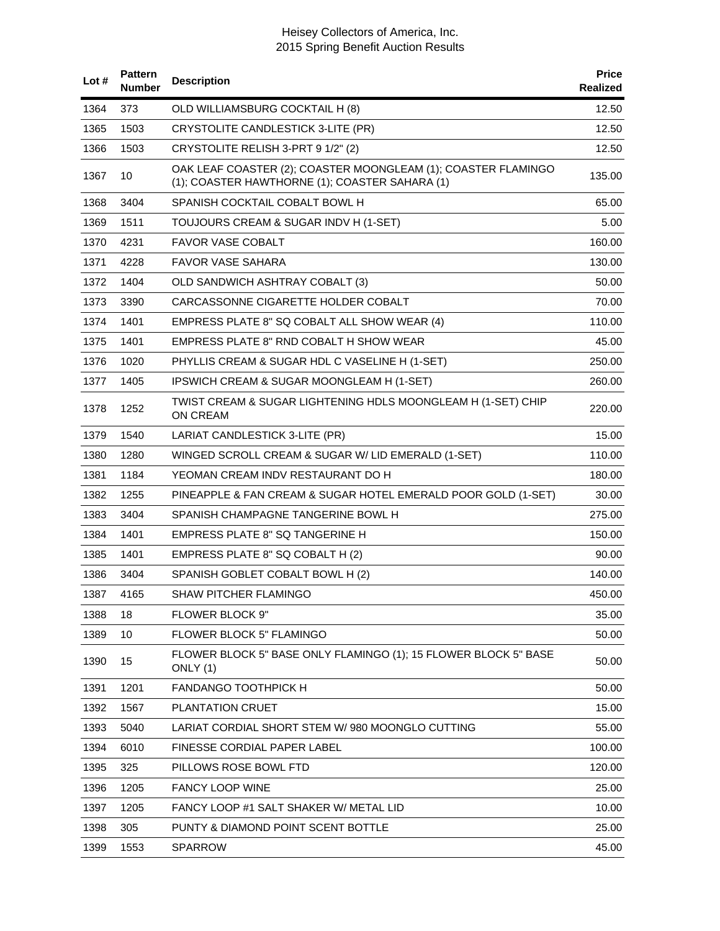| Lot # | <b>Pattern</b><br><b>Number</b> | <b>Description</b>                                                                                              | <b>Price</b><br>Realized |
|-------|---------------------------------|-----------------------------------------------------------------------------------------------------------------|--------------------------|
| 1364  | 373                             | OLD WILLIAMSBURG COCKTAIL H (8)                                                                                 | 12.50                    |
| 1365  | 1503                            | CRYSTOLITE CANDLESTICK 3-LITE (PR)                                                                              | 12.50                    |
| 1366  | 1503                            | CRYSTOLITE RELISH 3-PRT 9 1/2" (2)                                                                              | 12.50                    |
| 1367  | 10                              | OAK LEAF COASTER (2); COASTER MOONGLEAM (1); COASTER FLAMINGO<br>(1); COASTER HAWTHORNE (1); COASTER SAHARA (1) | 135.00                   |
| 1368  | 3404                            | SPANISH COCKTAIL COBALT BOWL H                                                                                  | 65.00                    |
| 1369  | 1511                            | TOUJOURS CREAM & SUGAR INDV H (1-SET)                                                                           | 5.00                     |
| 1370  | 4231                            | <b>FAVOR VASE COBALT</b>                                                                                        | 160.00                   |
| 1371  | 4228                            | FAVOR VASE SAHARA                                                                                               | 130.00                   |
| 1372  | 1404                            | OLD SANDWICH ASHTRAY COBALT (3)                                                                                 | 50.00                    |
| 1373  | 3390                            | CARCASSONNE CIGARETTE HOLDER COBALT                                                                             | 70.00                    |
| 1374  | 1401                            | EMPRESS PLATE 8" SQ COBALT ALL SHOW WEAR (4)                                                                    | 110.00                   |
| 1375  | 1401                            | EMPRESS PLATE 8" RND COBALT H SHOW WEAR                                                                         | 45.00                    |
| 1376  | 1020                            | PHYLLIS CREAM & SUGAR HDL C VASELINE H (1-SET)                                                                  | 250.00                   |
| 1377  | 1405                            | IPSWICH CREAM & SUGAR MOONGLEAM H (1-SET)                                                                       | 260.00                   |
| 1378  | 1252                            | TWIST CREAM & SUGAR LIGHTENING HDLS MOONGLEAM H (1-SET) CHIP<br>ON CREAM                                        | 220.00                   |
| 1379  | 1540                            | LARIAT CANDLESTICK 3-LITE (PR)                                                                                  | 15.00                    |
| 1380  | 1280                            | WINGED SCROLL CREAM & SUGAR W/ LID EMERALD (1-SET)                                                              | 110.00                   |
| 1381  | 1184                            | YEOMAN CREAM INDV RESTAURANT DO H                                                                               | 180.00                   |
| 1382  | 1255                            | PINEAPPLE & FAN CREAM & SUGAR HOTEL EMERALD POOR GOLD (1-SET)                                                   | 30.00                    |
| 1383  | 3404                            | SPANISH CHAMPAGNE TANGERINE BOWL H                                                                              | 275.00                   |
| 1384  | 1401                            | <b>EMPRESS PLATE 8" SQ TANGERINE H</b>                                                                          | 150.00                   |
| 1385  | 1401                            | EMPRESS PLATE 8" SQ COBALT H (2)                                                                                | 90.00                    |
| 1386  | 3404                            | SPANISH GOBLET COBALT BOWL H (2)                                                                                | 140.00                   |
| 1387  | 4165                            | SHAW PITCHER FLAMINGO                                                                                           | 450.00                   |
| 1388  | 18                              | FLOWER BLOCK 9"                                                                                                 | 35.00                    |
| 1389  | 10                              | FLOWER BLOCK 5" FLAMINGO                                                                                        | 50.00                    |
| 1390  | 15                              | FLOWER BLOCK 5" BASE ONLY FLAMINGO (1); 15 FLOWER BLOCK 5" BASE<br>ONLY (1)                                     | 50.00                    |
| 1391  | 1201                            | <b>FANDANGO TOOTHPICK H</b>                                                                                     | 50.00                    |
| 1392  | 1567                            | PLANTATION CRUET                                                                                                | 15.00                    |
| 1393  | 5040                            | LARIAT CORDIAL SHORT STEM W/980 MOONGLO CUTTING                                                                 | 55.00                    |
| 1394  | 6010                            | FINESSE CORDIAL PAPER LABEL                                                                                     | 100.00                   |
| 1395  | 325                             | PILLOWS ROSE BOWL FTD                                                                                           | 120.00                   |
| 1396  | 1205                            | <b>FANCY LOOP WINE</b>                                                                                          | 25.00                    |
| 1397  | 1205                            | FANCY LOOP #1 SALT SHAKER W/ METAL LID                                                                          | 10.00                    |
| 1398  | 305                             | PUNTY & DIAMOND POINT SCENT BOTTLE                                                                              | 25.00                    |
| 1399  | 1553                            | <b>SPARROW</b>                                                                                                  | 45.00                    |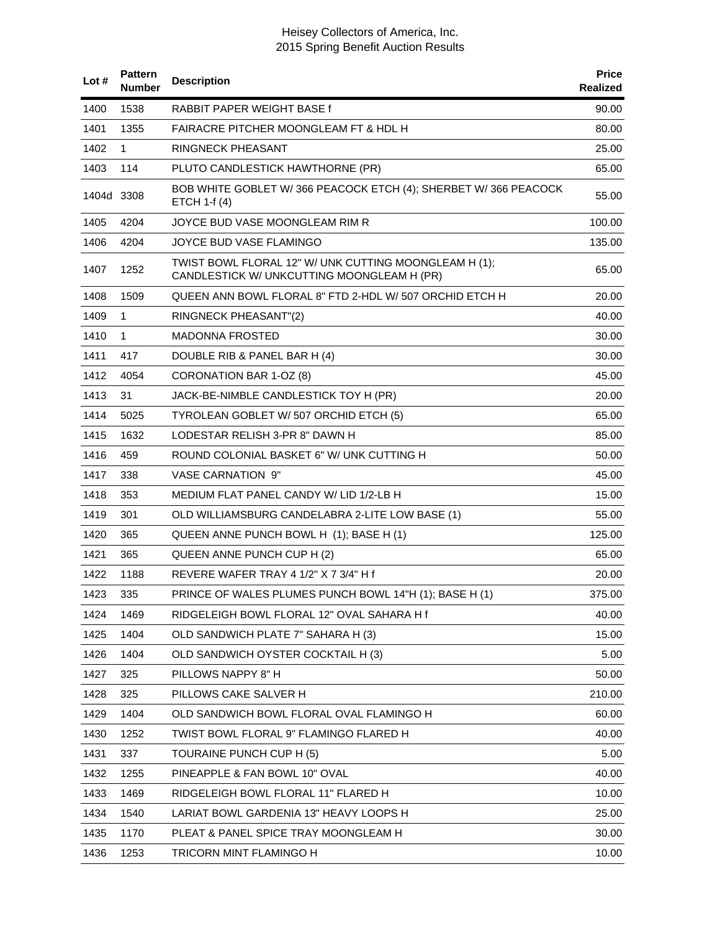| Lot#       | <b>Pattern</b><br><b>Number</b> | <b>Description</b>                                                                                  | <b>Price</b><br>Realized |
|------------|---------------------------------|-----------------------------------------------------------------------------------------------------|--------------------------|
| 1400       | 1538                            | RABBIT PAPER WEIGHT BASE f                                                                          | 90.00                    |
| 1401       | 1355                            | <b>FAIRACRE PITCHER MOONGLEAM FT &amp; HDL H</b>                                                    | 80.00                    |
| 1402       | 1                               | <b>RINGNECK PHEASANT</b>                                                                            | 25.00                    |
| 1403       | 114                             | PLUTO CANDLESTICK HAWTHORNE (PR)                                                                    | 65.00                    |
| 1404d 3308 |                                 | BOB WHITE GOBLET W/366 PEACOCK ETCH (4); SHERBET W/366 PEACOCK<br><b>ETCH 1-f (4)</b>               | 55.00                    |
| 1405       | 4204                            | JOYCE BUD VASE MOONGLEAM RIM R                                                                      | 100.00                   |
| 1406       | 4204                            | JOYCE BUD VASE FLAMINGO                                                                             | 135.00                   |
| 1407       | 1252                            | TWIST BOWL FLORAL 12" W/ UNK CUTTING MOONGLEAM H (1);<br>CANDLESTICK W/ UNKCUTTING MOONGLEAM H (PR) | 65.00                    |
| 1408       | 1509                            | QUEEN ANN BOWL FLORAL 8" FTD 2-HDL W/ 507 ORCHID ETCH H                                             | 20.00                    |
| 1409       | 1                               | RINGNECK PHEASANT"(2)                                                                               | 40.00                    |
| 1410       | $\mathbf{1}$                    | <b>MADONNA FROSTED</b>                                                                              | 30.00                    |
| 1411       | 417                             | DOUBLE RIB & PANEL BAR H (4)                                                                        | 30.00                    |
| 1412       | 4054                            | CORONATION BAR 1-OZ (8)                                                                             | 45.00                    |
| 1413       | 31                              | JACK-BE-NIMBLE CANDLESTICK TOY H (PR)                                                               | 20.00                    |
| 1414       | 5025                            | TYROLEAN GOBLET W/ 507 ORCHID ETCH (5)                                                              | 65.00                    |
| 1415       | 1632                            | LODESTAR RELISH 3-PR 8" DAWN H                                                                      | 85.00                    |
| 1416       | 459                             | ROUND COLONIAL BASKET 6" W/ UNK CUTTING H                                                           | 50.00                    |
| 1417       | 338                             | <b>VASE CARNATION 9"</b>                                                                            | 45.00                    |
| 1418       | 353                             | MEDIUM FLAT PANEL CANDY W/ LID 1/2-LB H                                                             | 15.00                    |
| 1419       | 301                             | OLD WILLIAMSBURG CANDELABRA 2-LITE LOW BASE (1)                                                     | 55.00                    |
| 1420       | 365                             | QUEEN ANNE PUNCH BOWL H (1); BASE H (1)                                                             | 125.00                   |
| 1421       | 365                             | QUEEN ANNE PUNCH CUP H (2)                                                                          | 65.00                    |
| 1422       | 1188                            | REVERE WAFER TRAY 4 1/2" X 7 3/4" H f                                                               | 20.00                    |
| 1423       | 335                             | PRINCE OF WALES PLUMES PUNCH BOWL 14"H (1); BASE H (1)                                              | 375.00                   |
| 1424       | 1469                            | RIDGELEIGH BOWL FLORAL 12" OVAL SAHARA H f                                                          | 40.00                    |
| 1425       | 1404                            | OLD SANDWICH PLATE 7" SAHARA H (3)                                                                  | 15.00                    |
| 1426       | 1404                            | OLD SANDWICH OYSTER COCKTAIL H (3)                                                                  | 5.00                     |
| 1427       | 325                             | PILLOWS NAPPY 8" H                                                                                  | 50.00                    |
| 1428       | 325                             | PILLOWS CAKE SALVER H                                                                               | 210.00                   |
| 1429       | 1404                            | OLD SANDWICH BOWL FLORAL OVAL FLAMINGO H                                                            | 60.00                    |
| 1430       | 1252                            | TWIST BOWL FLORAL 9" FLAMINGO FLARED H                                                              | 40.00                    |
| 1431       | 337                             | TOURAINE PUNCH CUP H (5)                                                                            | 5.00                     |
| 1432       | 1255                            | PINEAPPLE & FAN BOWL 10" OVAL                                                                       | 40.00                    |
| 1433       | 1469                            | RIDGELEIGH BOWL FLORAL 11" FLARED H                                                                 | 10.00                    |
| 1434       | 1540                            | LARIAT BOWL GARDENIA 13" HEAVY LOOPS H                                                              | 25.00                    |
| 1435       | 1170                            | PLEAT & PANEL SPICE TRAY MOONGLEAM H                                                                | 30.00                    |
| 1436       | 1253                            | TRICORN MINT FLAMINGO H                                                                             | 10.00                    |